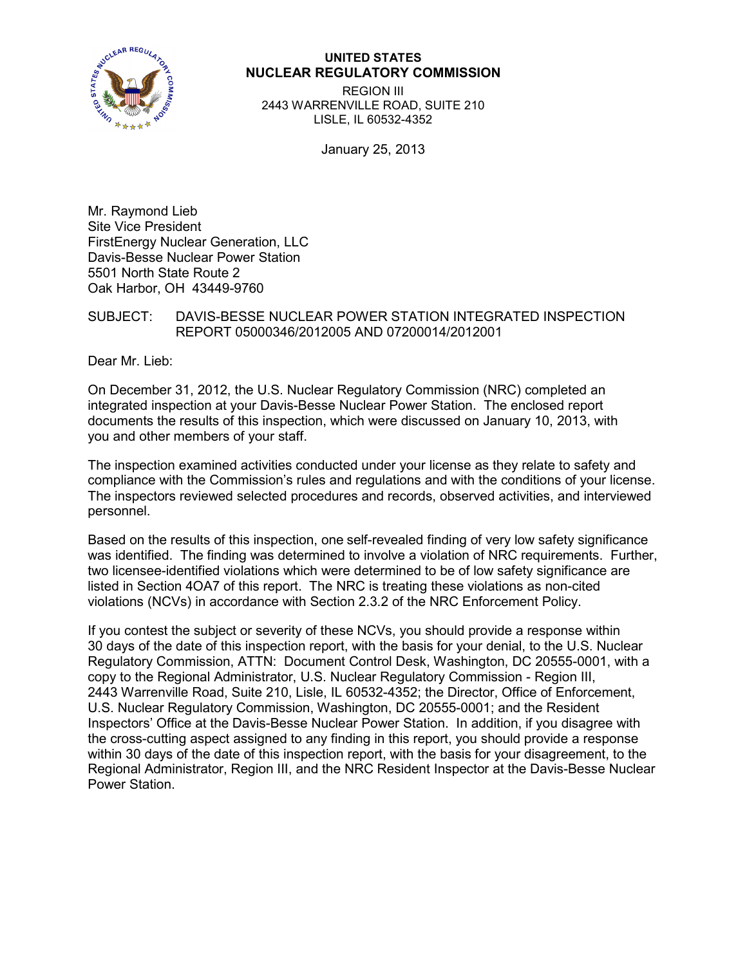

### **UNITED STATES NUCLEAR REGULATORY COMMISSION**

REGION III 2443 WARRENVILLE ROAD, SUITE 210 LISLE, IL 60532-4352

January 25, 2013

Mr. Raymond Lieb Site Vice President FirstEnergy Nuclear Generation, LLC Davis-Besse Nuclear Power Station 5501 North State Route 2 Oak Harbor, OH 43449-9760

# SUBJECT: DAVIS-BESSE NUCLEAR POWER STATION INTEGRATED INSPECTION REPORT 05000346/2012005 AND 07200014/2012001

Dear Mr. Lieb:

On December 31, 2012, the U.S. Nuclear Regulatory Commission (NRC) completed an integrated inspection at your Davis-Besse Nuclear Power Station. The enclosed report documents the results of this inspection, which were discussed on January 10, 2013, with you and other members of your staff.

The inspection examined activities conducted under your license as they relate to safety and compliance with the Commission's rules and regulations and with the conditions of your license. The inspectors reviewed selected procedures and records, observed activities, and interviewed personnel.

Based on the results of this inspection, one self-revealed finding of very low safety significance was identified. The finding was determined to involve a violation of NRC requirements. Further, two licensee-identified violations which were determined to be of low safety significance are listed in Section 4OA7 of this report. The NRC is treating these violations as non-cited violations (NCVs) in accordance with Section 2.3.2 of the NRC Enforcement Policy.

If you contest the subject or severity of these NCVs, you should provide a response within 30 days of the date of this inspection report, with the basis for your denial, to the U.S. Nuclear Regulatory Commission, ATTN: Document Control Desk, Washington, DC 20555-0001, with a copy to the Regional Administrator, U.S. Nuclear Regulatory Commission - Region III, 2443 Warrenville Road, Suite 210, Lisle, IL 60532-4352; the Director, Office of Enforcement, U.S. Nuclear Regulatory Commission, Washington, DC 20555-0001; and the Resident Inspectors' Office at the Davis-Besse Nuclear Power Station. In addition, if you disagree with the cross-cutting aspect assigned to any finding in this report, you should provide a response within 30 days of the date of this inspection report, with the basis for your disagreement, to the Regional Administrator, Region III, and the NRC Resident Inspector at the Davis-Besse Nuclear Power Station.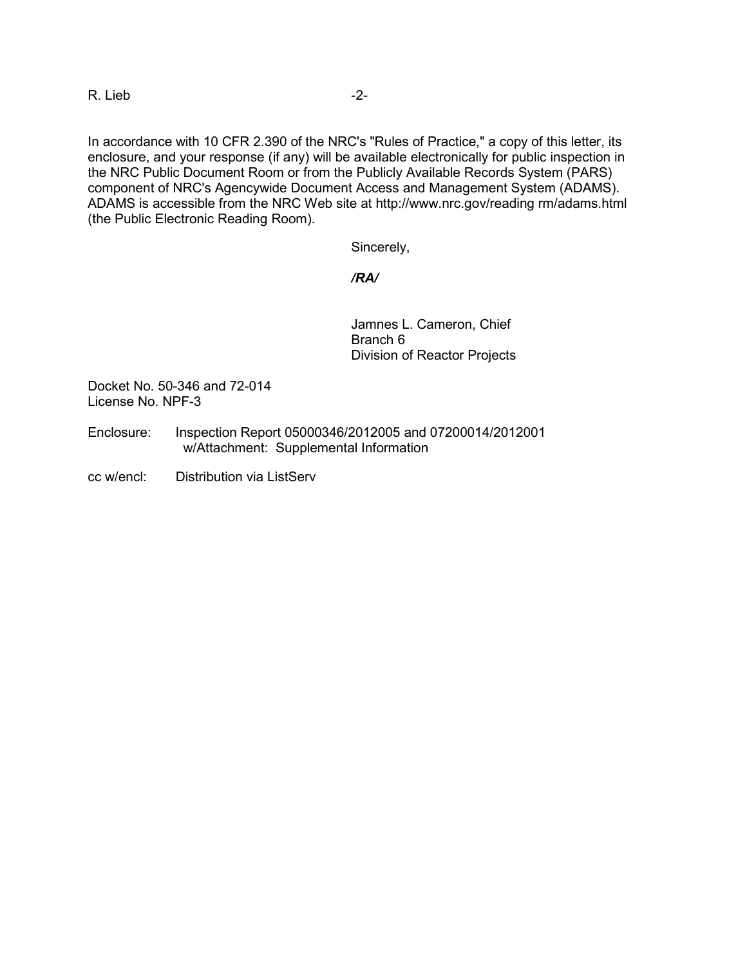R. Lieb -2-

In accordance with 10 CFR 2.390 of the NRC's "Rules of Practice," a copy of this letter, its enclosure, and your response (if any) will be available electronically for public inspection in the NRC Public Document Room or from the Publicly Available Records System (PARS) component of NRC's Agencywide Document Access and Management System (ADAMS). ADAMS is accessible from the NRC Web site at http://www.nrc.gov/reading rm/adams.html (the Public Electronic Reading Room).

Sincerely,

*/RA/*

Jamnes L. Cameron, Chief Branch 6 Division of Reactor Projects

Docket No. 50-346 and 72-014 License No. NPF-3

- Enclosure: Inspection Report 05000346/2012005 and 07200014/2012001 w/Attachment: Supplemental Information
- cc w/encl: Distribution via ListServ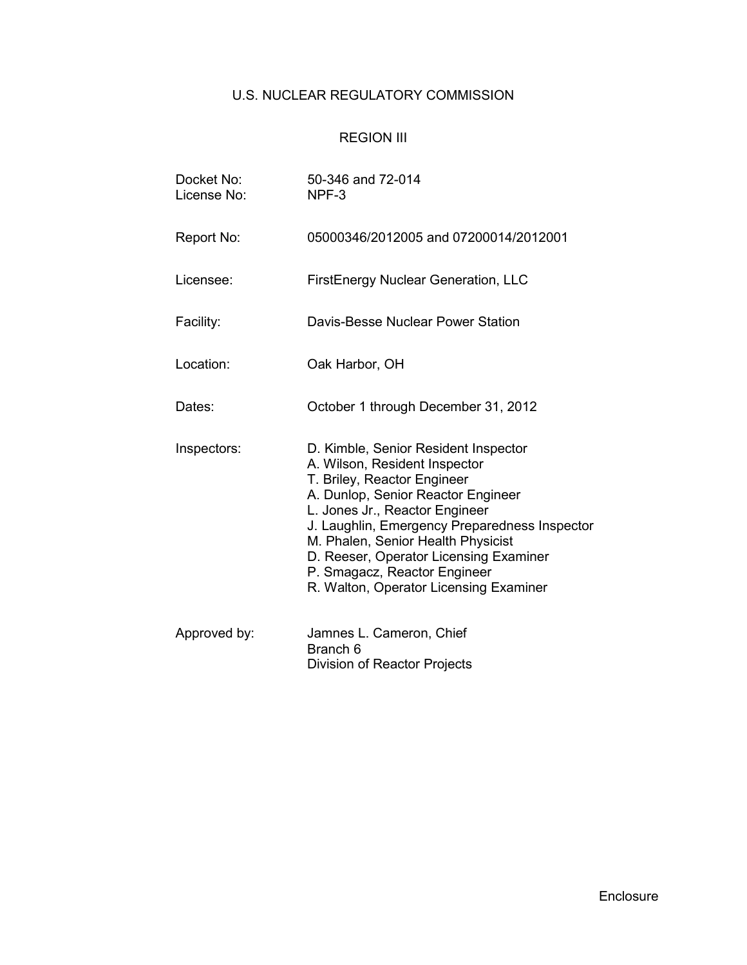# U.S. NUCLEAR REGULATORY COMMISSION

# REGION III

| Docket No:<br>License No: | 50-346 and 72-014<br>NPF-3                                                                                                                                                                                                                                                                                                                                                              |
|---------------------------|-----------------------------------------------------------------------------------------------------------------------------------------------------------------------------------------------------------------------------------------------------------------------------------------------------------------------------------------------------------------------------------------|
| Report No:                | 05000346/2012005 and 07200014/2012001                                                                                                                                                                                                                                                                                                                                                   |
| Licensee:                 | <b>FirstEnergy Nuclear Generation, LLC</b>                                                                                                                                                                                                                                                                                                                                              |
| Facility:                 | Davis-Besse Nuclear Power Station                                                                                                                                                                                                                                                                                                                                                       |
| Location:                 | Oak Harbor, OH                                                                                                                                                                                                                                                                                                                                                                          |
| Dates:                    | October 1 through December 31, 2012                                                                                                                                                                                                                                                                                                                                                     |
| Inspectors:               | D. Kimble, Senior Resident Inspector<br>A. Wilson, Resident Inspector<br>T. Briley, Reactor Engineer<br>A. Dunlop, Senior Reactor Engineer<br>L. Jones Jr., Reactor Engineer<br>J. Laughlin, Emergency Preparedness Inspector<br>M. Phalen, Senior Health Physicist<br>D. Reeser, Operator Licensing Examiner<br>P. Smagacz, Reactor Engineer<br>R. Walton, Operator Licensing Examiner |
| Approved by:              | Jamnes L. Cameron, Chief<br>Branch <sub>6</sub><br>Division of Reactor Projects                                                                                                                                                                                                                                                                                                         |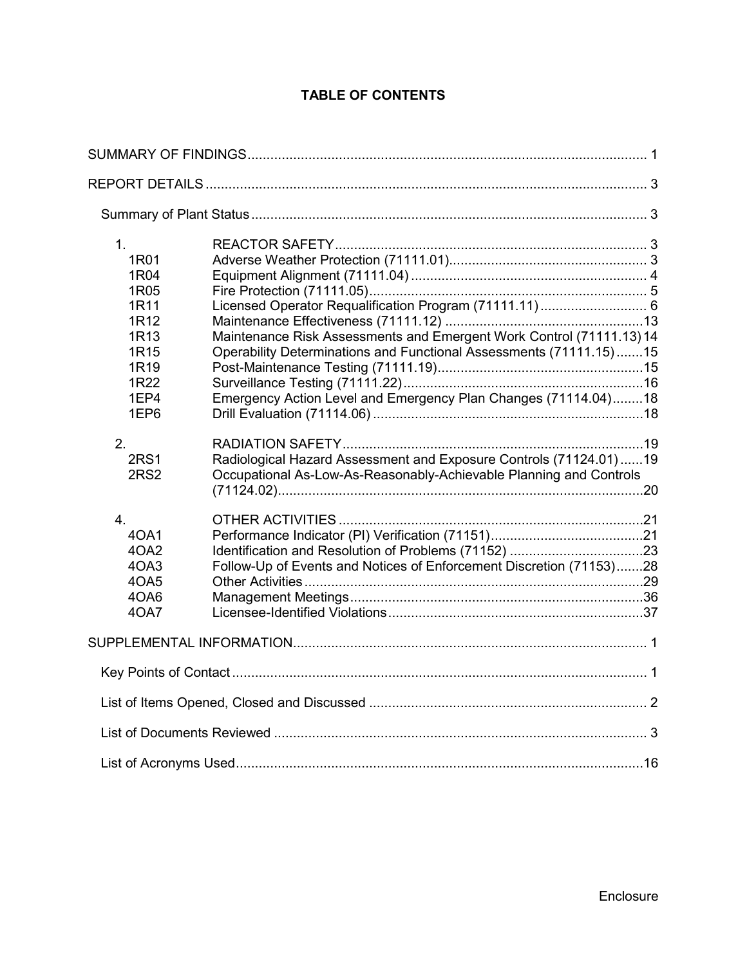# **TABLE OF CONTENTS**

| 1 <sub>1</sub><br>1R01<br>1R04<br>1R05<br>1R11<br>1R12<br>1R <sub>13</sub><br>1R15<br>1R <sub>19</sub><br>1R22<br>1EP4<br>1EP6 | Maintenance Risk Assessments and Emergent Work Control (71111.13) 14<br>Operability Determinations and Functional Assessments (71111.15)15<br>Emergency Action Level and Emergency Plan Changes (71114.04)18 |  |
|--------------------------------------------------------------------------------------------------------------------------------|--------------------------------------------------------------------------------------------------------------------------------------------------------------------------------------------------------------|--|
| 2.<br><b>2RS1</b><br>2RS <sub>2</sub>                                                                                          | Radiological Hazard Assessment and Exposure Controls (71124.01)19<br>Occupational As-Low-As-Reasonably-Achievable Planning and Controls                                                                      |  |
| 4.<br>40A1<br>4OA2<br>4OA3<br>4OA5<br>4OA6<br>40A7                                                                             | Follow-Up of Events and Notices of Enforcement Discretion (71153)28                                                                                                                                          |  |
|                                                                                                                                |                                                                                                                                                                                                              |  |
|                                                                                                                                |                                                                                                                                                                                                              |  |
|                                                                                                                                |                                                                                                                                                                                                              |  |
|                                                                                                                                |                                                                                                                                                                                                              |  |
|                                                                                                                                |                                                                                                                                                                                                              |  |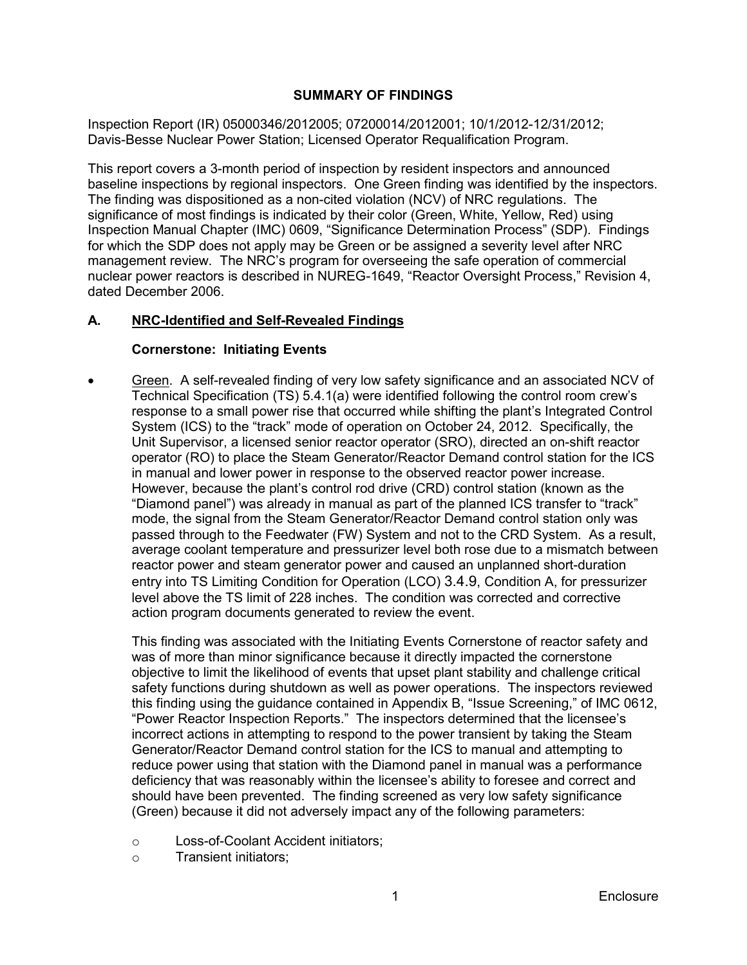# **SUMMARY OF FINDINGS**

<span id="page-4-0"></span>Inspection Report (IR) 05000346/2012005; 07200014/2012001; 10/1/2012-12/31/2012; Davis-Besse Nuclear Power Station; Licensed Operator Requalification Program.

This report covers a 3-month period of inspection by resident inspectors and announced baseline inspections by regional inspectors. One Green finding was identified by the inspectors. The finding was dispositioned as a non-cited violation (NCV) of NRC regulations. The significance of most findings is indicated by their color (Green, White, Yellow, Red) using Inspection Manual Chapter (IMC) 0609, "Significance Determination Process" (SDP). Findings for which the SDP does not apply may be Green or be assigned a severity level after NRC management review. The NRC's program for overseeing the safe operation of commercial nuclear power reactors is described in NUREG-1649, "Reactor Oversight Process," Revision 4, dated December 2006.

#### **A. NRC-Identified and Self-Revealed Findings**

# **Cornerstone: Initiating Events**

• Green. A self-revealed finding of very low safety significance and an associated NCV of Technical Specification (TS) 5.4.1(a) were identified following the control room crew's response to a small power rise that occurred while shifting the plant's Integrated Control System (ICS) to the "track" mode of operation on October 24, 2012. Specifically, the Unit Supervisor, a licensed senior reactor operator (SRO), directed an on-shift reactor operator (RO) to place the Steam Generator/Reactor Demand control station for the ICS in manual and lower power in response to the observed reactor power increase. However, because the plant's control rod drive (CRD) control station (known as the "Diamond panel") was already in manual as part of the planned ICS transfer to "track" mode, the signal from the Steam Generator/Reactor Demand control station only was passed through to the Feedwater (FW) System and not to the CRD System. As a result, average coolant temperature and pressurizer level both rose due to a mismatch between reactor power and steam generator power and caused an unplanned short-duration entry into TS Limiting Condition for Operation (LCO) 3.4.9, Condition A, for pressurizer level above the TS limit of 228 inches. The condition was corrected and corrective action program documents generated to review the event.

This finding was associated with the Initiating Events Cornerstone of reactor safety and was of more than minor significance because it directly impacted the cornerstone objective to limit the likelihood of events that upset plant stability and challenge critical safety functions during shutdown as well as power operations. The inspectors reviewed this finding using the guidance contained in Appendix B, "Issue Screening," of IMC 0612, "Power Reactor Inspection Reports." The inspectors determined that the licensee's incorrect actions in attempting to respond to the power transient by taking the Steam Generator/Reactor Demand control station for the ICS to manual and attempting to reduce power using that station with the Diamond panel in manual was a performance deficiency that was reasonably within the licensee's ability to foresee and correct and should have been prevented. The finding screened as very low safety significance (Green) because it did not adversely impact any of the following parameters:

- o Loss-of-Coolant Accident initiators;
- o Transient initiators;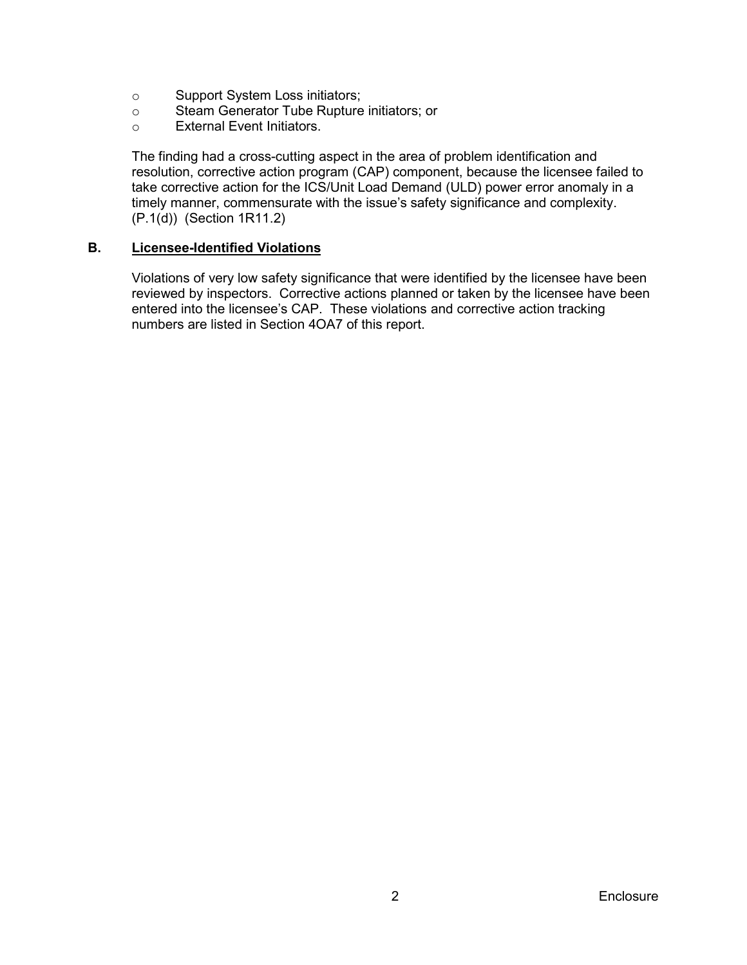- o Support System Loss initiators;<br>
o Steam Generator Tube Rupture
- o Steam Generator Tube Rupture initiators; or<br>○ External Event Initiators.
- External Event Initiators.

The finding had a cross-cutting aspect in the area of problem identification and resolution, corrective action program (CAP) component, because the licensee failed to take corrective action for the ICS/Unit Load Demand (ULD) power error anomaly in a timely manner, commensurate with the issue's safety significance and complexity. (P.1(d)) (Section 1R11.2)

#### **B. Licensee-Identified Violations**

Violations of very low safety significance that were identified by the licensee have been reviewed by inspectors. Corrective actions planned or taken by the licensee have been entered into the licensee's CAP. These violations and corrective action tracking numbers are listed in Section 4OA7 of this report.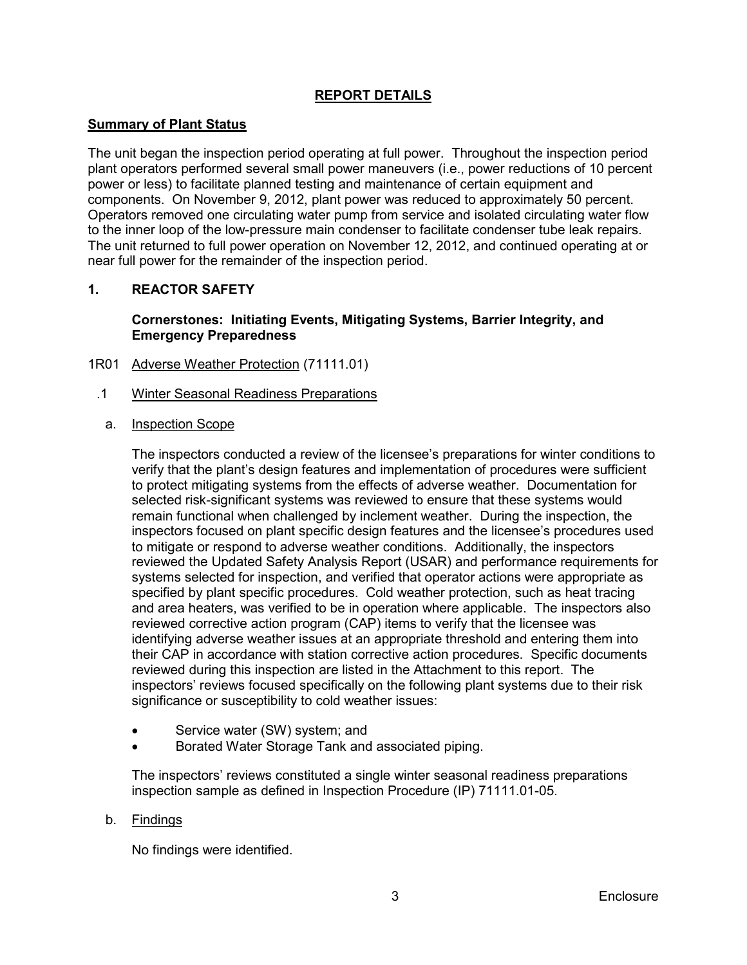# **REPORT DETAILS**

# <span id="page-6-1"></span><span id="page-6-0"></span>**Summary of Plant Status**

The unit began the inspection period operating at full power. Throughout the inspection period plant operators performed several small power maneuvers (i.e., power reductions of 10 percent power or less) to facilitate planned testing and maintenance of certain equipment and components. On November 9, 2012, plant power was reduced to approximately 50 percent. Operators removed one circulating water pump from service and isolated circulating water flow to the inner loop of the low-pressure main condenser to facilitate condenser tube leak repairs. The unit returned to full power operation on November 12, 2012, and continued operating at or near full power for the remainder of the inspection period.

### <span id="page-6-2"></span>**1. REACTOR SAFETY**

# **Cornerstones: Initiating Events, Mitigating Systems, Barrier Integrity, and Emergency Preparedness**

- <span id="page-6-3"></span>1R01 Adverse Weather Protection (71111.01)
	- .1 Winter Seasonal Readiness Preparations
		- a. Inspection Scope

The inspectors conducted a review of the licensee's preparations for winter conditions to verify that the plant's design features and implementation of procedures were sufficient to protect mitigating systems from the effects of adverse weather. Documentation for selected risk-significant systems was reviewed to ensure that these systems would remain functional when challenged by inclement weather. During the inspection, the inspectors focused on plant specific design features and the licensee's procedures used to mitigate or respond to adverse weather conditions. Additionally, the inspectors reviewed the Updated Safety Analysis Report (USAR) and performance requirements for systems selected for inspection, and verified that operator actions were appropriate as specified by plant specific procedures. Cold weather protection, such as heat tracing and area heaters, was verified to be in operation where applicable. The inspectors also reviewed corrective action program (CAP) items to verify that the licensee was identifying adverse weather issues at an appropriate threshold and entering them into their CAP in accordance with station corrective action procedures. Specific documents reviewed during this inspection are listed in the Attachment to this report. The inspectors' reviews focused specifically on the following plant systems due to their risk significance or susceptibility to cold weather issues:

- Service water (SW) system; and
- Borated Water Storage Tank and associated piping.

The inspectors' reviews constituted a single winter seasonal readiness preparations inspection sample as defined in Inspection Procedure (IP) 71111.01-05.

# b. <u>Findings</u>

No findings were identified.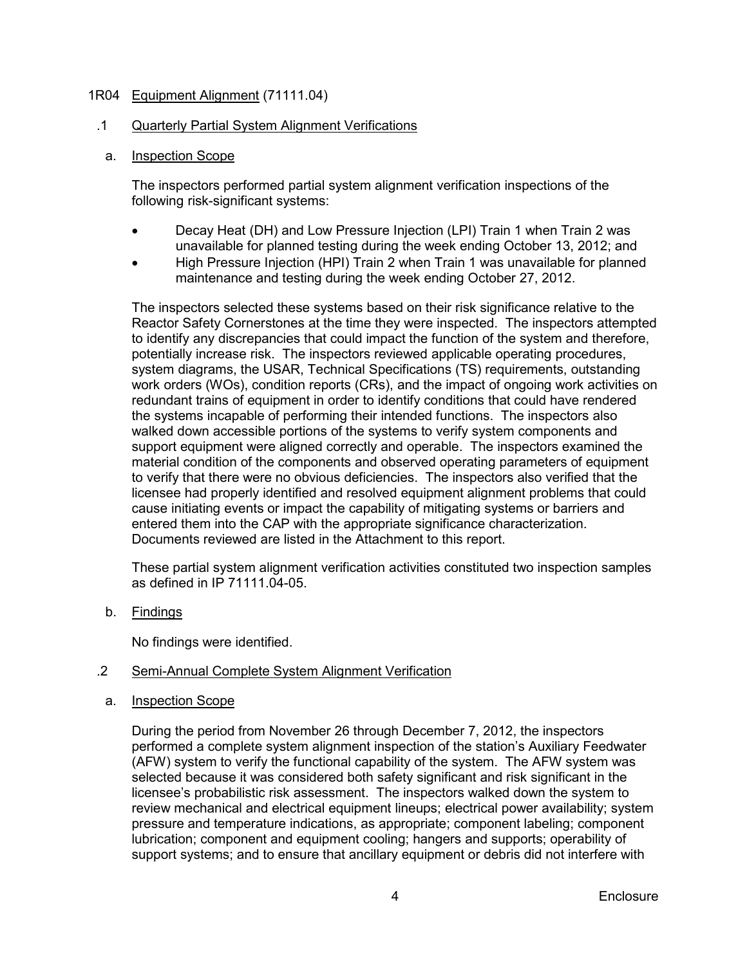# <span id="page-7-0"></span>1R04 Equipment Alignment (71111.04)

#### .1 Quarterly Partial System Alignment Verifications

a. Inspection Scope

The inspectors performed partial system alignment verification inspections of the following risk-significant systems:

- Decay Heat (DH) and Low Pressure Injection (LPI) Train 1 when Train 2 was unavailable for planned testing during the week ending October 13, 2012; and
- High Pressure Injection (HPI) Train 2 when Train 1 was unavailable for planned maintenance and testing during the week ending October 27, 2012.

The inspectors selected these systems based on their risk significance relative to the Reactor Safety Cornerstones at the time they were inspected. The inspectors attempted to identify any discrepancies that could impact the function of the system and therefore, potentially increase risk. The inspectors reviewed applicable operating procedures, system diagrams, the USAR, Technical Specifications (TS) requirements, outstanding work orders (WOs), condition reports (CRs), and the impact of ongoing work activities on redundant trains of equipment in order to identify conditions that could have rendered the systems incapable of performing their intended functions. The inspectors also walked down accessible portions of the systems to verify system components and support equipment were aligned correctly and operable. The inspectors examined the material condition of the components and observed operating parameters of equipment to verify that there were no obvious deficiencies. The inspectors also verified that the licensee had properly identified and resolved equipment alignment problems that could cause initiating events or impact the capability of mitigating systems or barriers and entered them into the CAP with the appropriate significance characterization. Documents reviewed are listed in the Attachment to this report.

These partial system alignment verification activities constituted two inspection samples as defined in IP  $71111.04-05$ .

b. <u>Findings</u>

No findings were identified.

#### .2 Semi-Annual Complete System Alignment Verification

a. Inspection Scope

> During the period from November 26 through December 7, 2012, the inspectors performed a complete system alignment inspection of the station's Auxiliary Feedwater (AFW) system to verify the functional capability of the system. The AFW system was selected because it was considered both safety significant and risk significant in the licensee's probabilistic risk assessment. The inspectors walked down the system to review mechanical and electrical equipment lineups; electrical power availability; system pressure and temperature indications, as appropriate; component labeling; component lubrication; component and equipment cooling; hangers and supports; operability of support systems; and to ensure that ancillary equipment or debris did not interfere with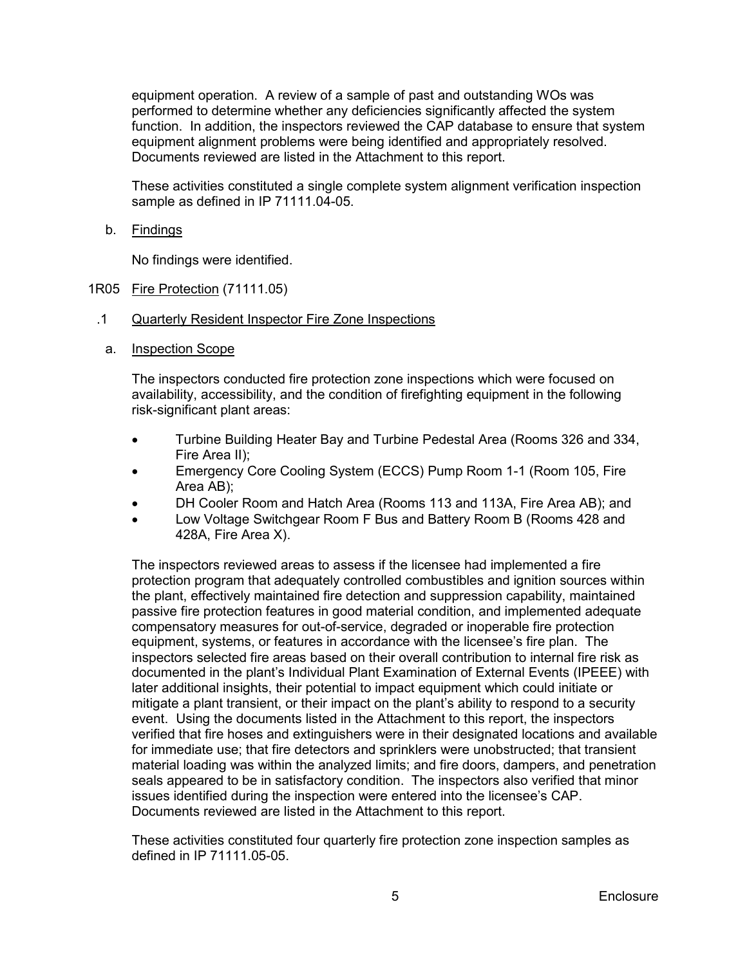equipment operation. A review of a sample of past and outstanding WOs was performed to determine whether any deficiencies significantly affected the system function. In addition, the inspectors reviewed the CAP database to ensure that system equipment alignment problems were being identified and appropriately resolved. Documents reviewed are listed in the Attachment to this report.

These activities constituted a single complete system alignment verification inspection sample as defined in IP 71111.04-05.

b. <u>Findings</u>

No findings were identified.

- <span id="page-8-0"></span>1R05 Fire Protection (71111.05)
- .1 Quarterly Resident Inspector Fire Zone Inspections
	- a. Inspection Scope

The inspectors conducted fire protection zone inspections which were focused on availability, accessibility, and the condition of firefighting equipment in the following risk-significant plant areas:

- Turbine Building Heater Bay and Turbine Pedestal Area (Rooms 326 and 334, Fire Area II);
- Emergency Core Cooling System (ECCS) Pump Room 1-1 (Room 105, Fire Area AB);
- DH Cooler Room and Hatch Area (Rooms 113 and 113A, Fire Area AB); and
- Low Voltage Switchgear Room F Bus and Battery Room B (Rooms 428 and 428A, Fire Area X).

The inspectors reviewed areas to assess if the licensee had implemented a fire protection program that adequately controlled combustibles and ignition sources within the plant, effectively maintained fire detection and suppression capability, maintained passive fire protection features in good material condition, and implemented adequate compensatory measures for out-of-service, degraded or inoperable fire protection equipment, systems, or features in accordance with the licensee's fire plan. The inspectors selected fire areas based on their overall contribution to internal fire risk as documented in the plant's Individual Plant Examination of External Events (IPEEE) with later additional insights, their potential to impact equipment which could initiate or mitigate a plant transient, or their impact on the plant's ability to respond to a security event. Using the documents listed in the Attachment to this report, the inspectors verified that fire hoses and extinguishers were in their designated locations and available for immediate use; that fire detectors and sprinklers were unobstructed; that transient material loading was within the analyzed limits; and fire doors, dampers, and penetration seals appeared to be in satisfactory condition. The inspectors also verified that minor issues identified during the inspection were entered into the licensee's CAP. Documents reviewed are listed in the Attachment to this report.

These activities constituted four quarterly fire protection zone inspection samples as defined in IP 71111.05-05.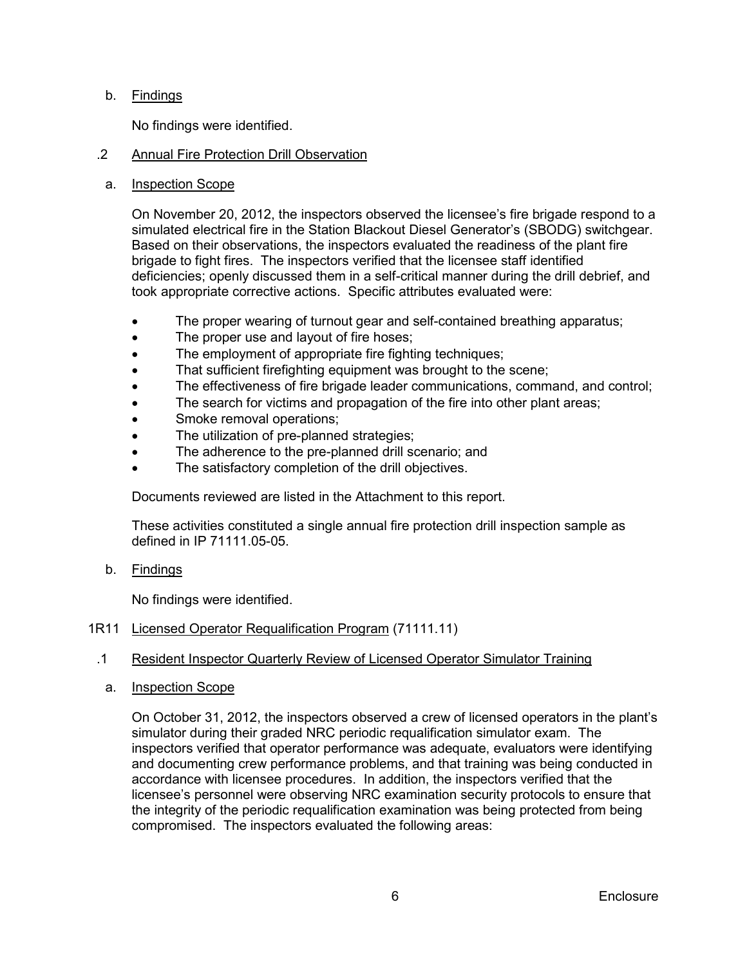# b. <u>Findings</u>

No findings were identified.

#### .2 Annual Fire Protection Drill Observation

#### a. Inspection Scope

On November 20, 2012, the inspectors observed the licensee's fire brigade respond to a simulated electrical fire in the Station Blackout Diesel Generator's (SBODG) switchgear. Based on their observations, the inspectors evaluated the readiness of the plant fire brigade to fight fires. The inspectors verified that the licensee staff identified deficiencies; openly discussed them in a self-critical manner during the drill debrief, and took appropriate corrective actions. Specific attributes evaluated were:

- The proper wearing of turnout gear and self-contained breathing apparatus;
- The proper use and layout of fire hoses:
- The employment of appropriate fire fighting techniques;
- That sufficient firefighting equipment was brought to the scene:
- The effectiveness of fire brigade leader communications, command, and control;
- The search for victims and propagation of the fire into other plant areas;
- Smoke removal operations;
- The utilization of pre-planned strategies;
- The adherence to the pre-planned drill scenario; and
- The satisfactory completion of the drill objectives.

Documents reviewed are listed in the Attachment to this report.

These activities constituted a single annual fire protection drill inspection sample as defined in IP 71111.05-05.

b. <u>Findings</u>

No findings were identified.

# <span id="page-9-0"></span>1R11 Licensed Operator Requalification Program (71111.11)

#### .1 Resident Inspector Quarterly Review of Licensed Operator Simulator Training

a. Inspection Scope

On October 31, 2012, the inspectors observed a crew of licensed operators in the plant's simulator during their graded NRC periodic requalification simulator exam. The inspectors verified that operator performance was adequate, evaluators were identifying and documenting crew performance problems, and that training was being conducted in accordance with licensee procedures. In addition, the inspectors verified that the licensee's personnel were observing NRC examination security protocols to ensure that the integrity of the periodic requalification examination was being protected from being compromised. The inspectors evaluated the following areas: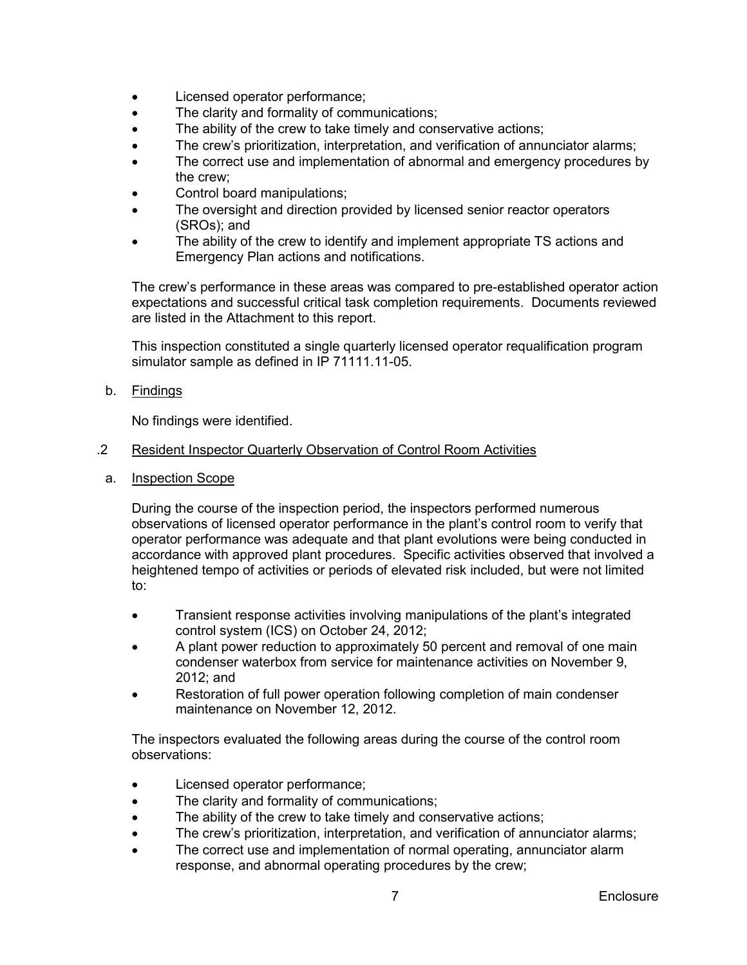- Licensed operator performance;
- The clarity and formality of communications;
- The ability of the crew to take timely and conservative actions;
- The crew's prioritization, interpretation, and verification of annunciator alarms;
- The correct use and implementation of abnormal and emergency procedures by the crew;
- Control board manipulations;
- The oversight and direction provided by licensed senior reactor operators (SROs); and
- The ability of the crew to identify and implement appropriate TS actions and Emergency Plan actions and notifications.

The crew's performance in these areas was compared to pre-established operator action expectations and successful critical task completion requirements. Documents reviewed are listed in the Attachment to this report.

This inspection constituted a single quarterly licensed operator requalification program simulator sample as defined in IP 71111.11-05.

b. <u>Findings</u>

No findings were identified.

#### .2 Resident Inspector Quarterly Observation of Control Room Activities

a. Inspection Scope

During the course of the inspection period, the inspectors performed numerous observations of licensed operator performance in the plant's control room to verify that operator performance was adequate and that plant evolutions were being conducted in accordance with approved plant procedures. Specific activities observed that involved a heightened tempo of activities or periods of elevated risk included, but were not limited to:

- Transient response activities involving manipulations of the plant's integrated control system (ICS) on October 24, 2012;
- A plant power reduction to approximately 50 percent and removal of one main condenser waterbox from service for maintenance activities on November 9, 2012; and
- Restoration of full power operation following completion of main condenser maintenance on November 12, 2012.

The inspectors evaluated the following areas during the course of the control room observations:

- Licensed operator performance;
- The clarity and formality of communications;
- The ability of the crew to take timely and conservative actions;
- The crew's prioritization, interpretation, and verification of annunciator alarms;
- The correct use and implementation of normal operating, annunciator alarm response, and abnormal operating procedures by the crew;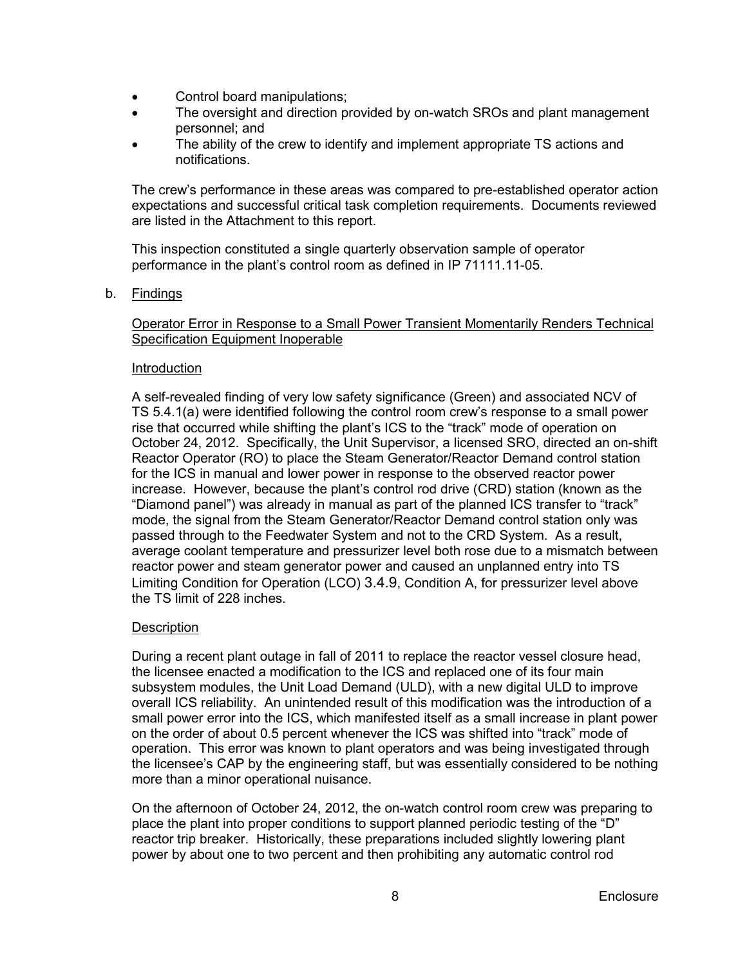- Control board manipulations;
- The oversight and direction provided by on-watch SROs and plant management personnel; and
- The ability of the crew to identify and implement appropriate TS actions and notifications.

The crew's performance in these areas was compared to pre-established operator action expectations and successful critical task completion requirements. Documents reviewed are listed in the Attachment to this report.

This inspection constituted a single quarterly observation sample of operator performance in the plant's control room as defined in IP 71111.11-05.

b. Findings

# Operator Error in Response to a Small Power Transient Momentarily Renders Technical Specification Equipment Inoperable

### Introduction

A self-revealed finding of very low safety significance (Green) and associated NCV of TS 5.4.1(a) were identified following the control room crew's response to a small power rise that occurred while shifting the plant's ICS to the "track" mode of operation on October 24, 2012. Specifically, the Unit Supervisor, a licensed SRO, directed an on-shift Reactor Operator (RO) to place the Steam Generator/Reactor Demand control station for the ICS in manual and lower power in response to the observed reactor power increase. However, because the plant's control rod drive (CRD) station (known as the "Diamond panel") was already in manual as part of the planned ICS transfer to "track" mode, the signal from the Steam Generator/Reactor Demand control station only was passed through to the Feedwater System and not to the CRD System. As a result, average coolant temperature and pressurizer level both rose due to a mismatch between reactor power and steam generator power and caused an unplanned entry into TS Limiting Condition for Operation (LCO) 3.4.9, Condition A, for pressurizer level above the TS limit of 228 inches.

# **Description**

During a recent plant outage in fall of 2011 to replace the reactor vessel closure head, the licensee enacted a modification to the ICS and replaced one of its four main subsystem modules, the Unit Load Demand (ULD), with a new digital ULD to improve overall ICS reliability. An unintended result of this modification was the introduction of a small power error into the ICS, which manifested itself as a small increase in plant power on the order of about 0.5 percent whenever the ICS was shifted into "track" mode of operation. This error was known to plant operators and was being investigated through the licensee's CAP by the engineering staff, but was essentially considered to be nothing more than a minor operational nuisance.

On the afternoon of October 24, 2012, the on-watch control room crew was preparing to place the plant into proper conditions to support planned periodic testing of the "D" reactor trip breaker. Historically, these preparations included slightly lowering plant power by about one to two percent and then prohibiting any automatic control rod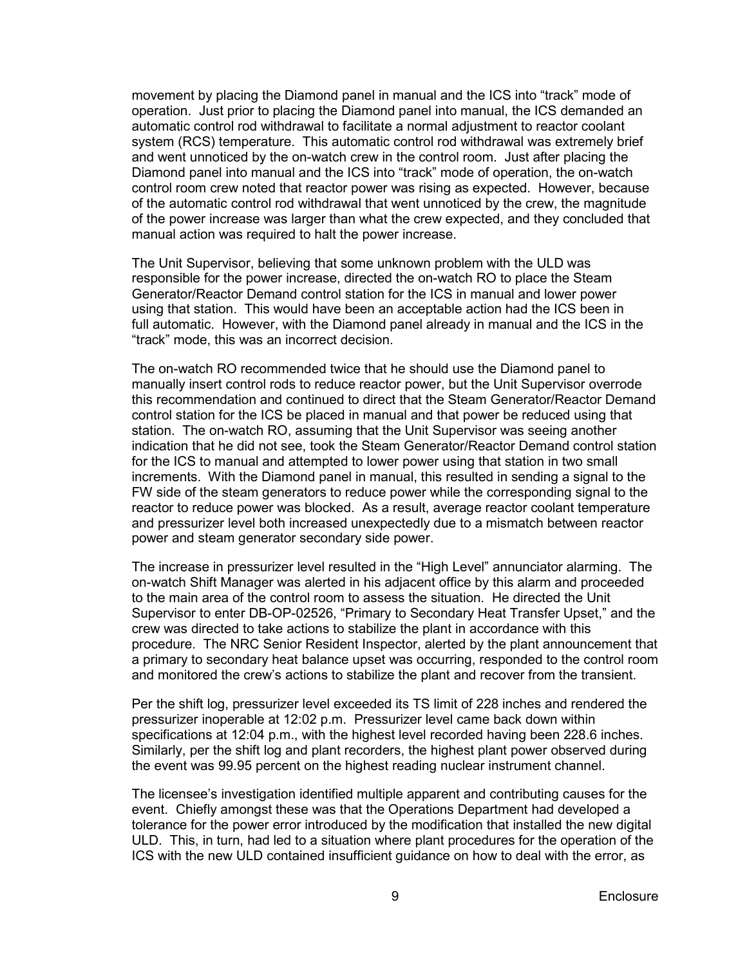movement by placing the Diamond panel in manual and the ICS into "track" mode of operation. Just prior to placing the Diamond panel into manual, the ICS demanded an automatic control rod withdrawal to facilitate a normal adjustment to reactor coolant system (RCS) temperature. This automatic control rod withdrawal was extremely brief and went unnoticed by the on-watch crew in the control room. Just after placing the Diamond panel into manual and the ICS into "track" mode of operation, the on-watch control room crew noted that reactor power was rising as expected. However, because of the automatic control rod withdrawal that went unnoticed by the crew, the magnitude of the power increase was larger than what the crew expected, and they concluded that manual action was required to halt the power increase.

The Unit Supervisor, believing that some unknown problem with the ULD was responsible for the power increase, directed the on-watch RO to place the Steam Generator/Reactor Demand control station for the ICS in manual and lower power using that station. This would have been an acceptable action had the ICS been in full automatic. However, with the Diamond panel already in manual and the ICS in the "track" mode, this was an incorrect decision.

The on-watch RO recommended twice that he should use the Diamond panel to manually insert control rods to reduce reactor power, but the Unit Supervisor overrode this recommendation and continued to direct that the Steam Generator/Reactor Demand control station for the ICS be placed in manual and that power be reduced using that station. The on-watch RO, assuming that the Unit Supervisor was seeing another indication that he did not see, took the Steam Generator/Reactor Demand control station for the ICS to manual and attempted to lower power using that station in two small increments. With the Diamond panel in manual, this resulted in sending a signal to the FW side of the steam generators to reduce power while the corresponding signal to the reactor to reduce power was blocked. As a result, average reactor coolant temperature and pressurizer level both increased unexpectedly due to a mismatch between reactor power and steam generator secondary side power.

The increase in pressurizer level resulted in the "High Level" annunciator alarming. The on-watch Shift Manager was alerted in his adjacent office by this alarm and proceeded to the main area of the control room to assess the situation. He directed the Unit Supervisor to enter DB-OP-02526, "Primary to Secondary Heat Transfer Upset," and the crew was directed to take actions to stabilize the plant in accordance with this procedure. The NRC Senior Resident Inspector, alerted by the plant announcement that a primary to secondary heat balance upset was occurring, responded to the control room and monitored the crew's actions to stabilize the plant and recover from the transient.

Per the shift log, pressurizer level exceeded its TS limit of 228 inches and rendered the pressurizer inoperable at 12:02 p.m. Pressurizer level came back down within specifications at 12:04 p.m., with the highest level recorded having been 228.6 inches. Similarly, per the shift log and plant recorders, the highest plant power observed during the event was 99.95 percent on the highest reading nuclear instrument channel.

The licensee's investigation identified multiple apparent and contributing causes for the event. Chiefly amongst these was that the Operations Department had developed a tolerance for the power error introduced by the modification that installed the new digital ULD. This, in turn, had led to a situation where plant procedures for the operation of the ICS with the new ULD contained insufficient guidance on how to deal with the error, as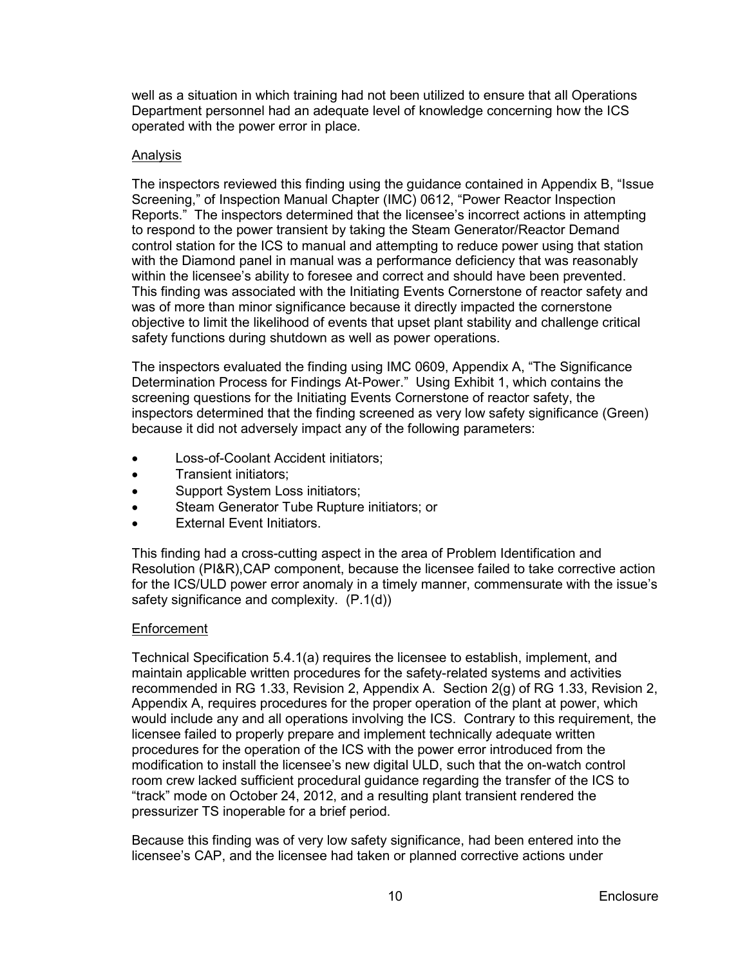well as a situation in which training had not been utilized to ensure that all Operations Department personnel had an adequate level of knowledge concerning how the ICS operated with the power error in place.

# Analysis

The inspectors reviewed this finding using the guidance contained in Appendix B, "Issue Screening," of Inspection Manual Chapter (IMC) 0612, "Power Reactor Inspection Reports." The inspectors determined that the licensee's incorrect actions in attempting to respond to the power transient by taking the Steam Generator/Reactor Demand control station for the ICS to manual and attempting to reduce power using that station with the Diamond panel in manual was a performance deficiency that was reasonably within the licensee's ability to foresee and correct and should have been prevented. This finding was associated with the Initiating Events Cornerstone of reactor safety and was of more than minor significance because it directly impacted the cornerstone objective to limit the likelihood of events that upset plant stability and challenge critical safety functions during shutdown as well as power operations.

The inspectors evaluated the finding using IMC 0609, Appendix A, "The Significance Determination Process for Findings At-Power." Using Exhibit 1, which contains the screening questions for the Initiating Events Cornerstone of reactor safety, the inspectors determined that the finding screened as very low safety significance (Green) because it did not adversely impact any of the following parameters:

- Loss-of-Coolant Accident initiators;
- Transient initiators;
- Support System Loss initiators;
- Steam Generator Tube Rupture initiators; or
- **External Event Initiators.**

This finding had a cross-cutting aspect in the area of Problem Identification and Resolution (PI&R),CAP component, because the licensee failed to take corrective action for the ICS/ULD power error anomaly in a timely manner, commensurate with the issue's safety significance and complexity. (P.1(d))

#### Enforcement

Technical Specification 5.4.1(a) requires the licensee to establish, implement, and maintain applicable written procedures for the safety-related systems and activities recommended in RG 1.33, Revision 2, Appendix A. Section 2(g) of RG 1.33, Revision 2, Appendix A, requires procedures for the proper operation of the plant at power, which would include any and all operations involving the ICS. Contrary to this requirement, the licensee failed to properly prepare and implement technically adequate written procedures for the operation of the ICS with the power error introduced from the modification to install the licensee's new digital ULD, such that the on-watch control room crew lacked sufficient procedural guidance regarding the transfer of the ICS to "track" mode on October 24, 2012, and a resulting plant transient rendered the pressurizer TS inoperable for a brief period.

Because this finding was of very low safety significance, had been entered into the licensee's CAP, and the licensee had taken or planned corrective actions under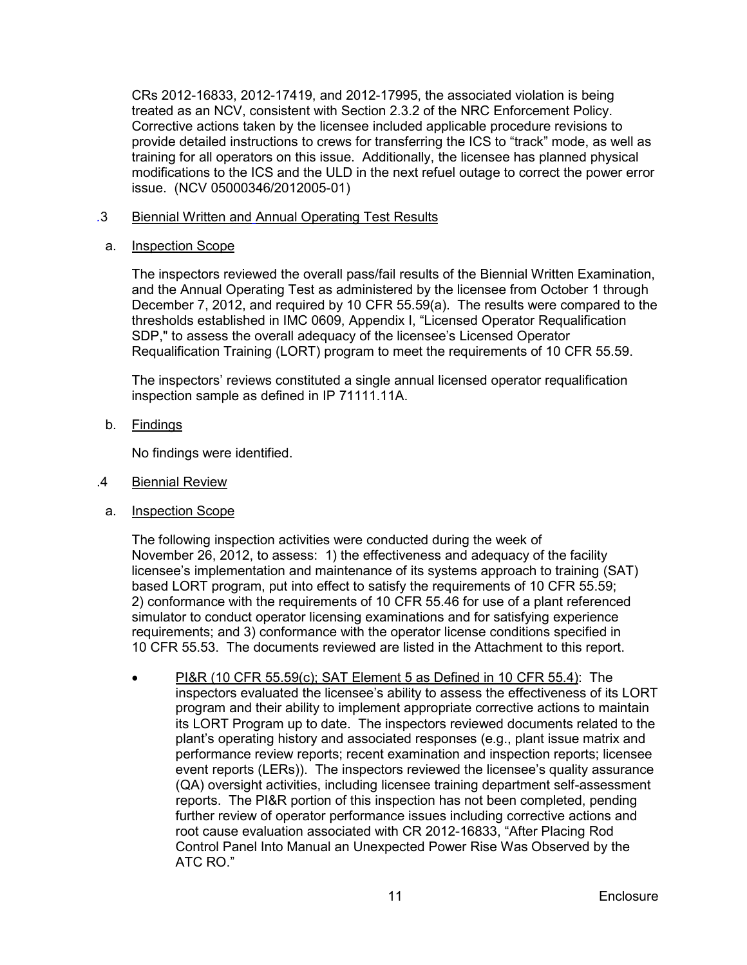CRs 2012-16833, 2012-17419, and 2012-17995, the associated violation is being treated as an NCV, consistent with Section 2.3.2 of the NRC Enforcement Policy. Corrective actions taken by the licensee included applicable procedure revisions to provide detailed instructions to crews for transferring the ICS to "track" mode, as well as training for all operators on this issue. Additionally, the licensee has planned physical modifications to the ICS and the ULD in the next refuel outage to correct the power error issue. (NCV 05000346/2012005-01)

- *.*3 Biennial Written and Annual Operating Test Results
	- a. Inspection Scope

The inspectors reviewed the overall pass/fail results of the Biennial Written Examination, and the Annual Operating Test as administered by the licensee from October 1 through December 7, 2012, and required by 10 CFR 55.59(a). The results were compared to the thresholds established in IMC 0609, Appendix I, "Licensed Operator Requalification SDP," to assess the overall adequacy of the licensee's Licensed Operator Requalification Training (LORT) program to meet the requirements of 10 CFR 55.59.

The inspectors' reviews constituted a single annual licensed operator requalification inspection sample as defined in IP 71111.11A.

b. <u>Findings</u>

No findings were identified.

- .4 Biennial Review
- a. Inspection Scope

The following inspection activities were conducted during the week of November 26, 2012, to assess: 1) the effectiveness and adequacy of the facility licensee's implementation and maintenance of its systems approach to training (SAT) based LORT program, put into effect to satisfy the requirements of 10 CFR 55.59; 2) conformance with the requirements of 10 CFR 55.46 for use of a plant referenced simulator to conduct operator licensing examinations and for satisfying experience requirements; and 3) conformance with the operator license conditions specified in 10 CFR 55.53. The documents reviewed are listed in the Attachment to this report.

• PI&R (10 CFR 55.59(c); SAT Element 5 as Defined in 10 CFR 55.4): The inspectors evaluated the licensee's ability to assess the effectiveness of its LORT program and their ability to implement appropriate corrective actions to maintain its LORT Program up to date. The inspectors reviewed documents related to the plant's operating history and associated responses (e.g., plant issue matrix and performance review reports; recent examination and inspection reports; licensee event reports (LERs)). The inspectors reviewed the licensee's quality assurance (QA) oversight activities, including licensee training department self-assessment reports. The PI&R portion of this inspection has not been completed, pending further review of operator performance issues including corrective actions and root cause evaluation associated with CR 2012-16833, "After Placing Rod Control Panel Into Manual an Unexpected Power Rise Was Observed by the ATC RO."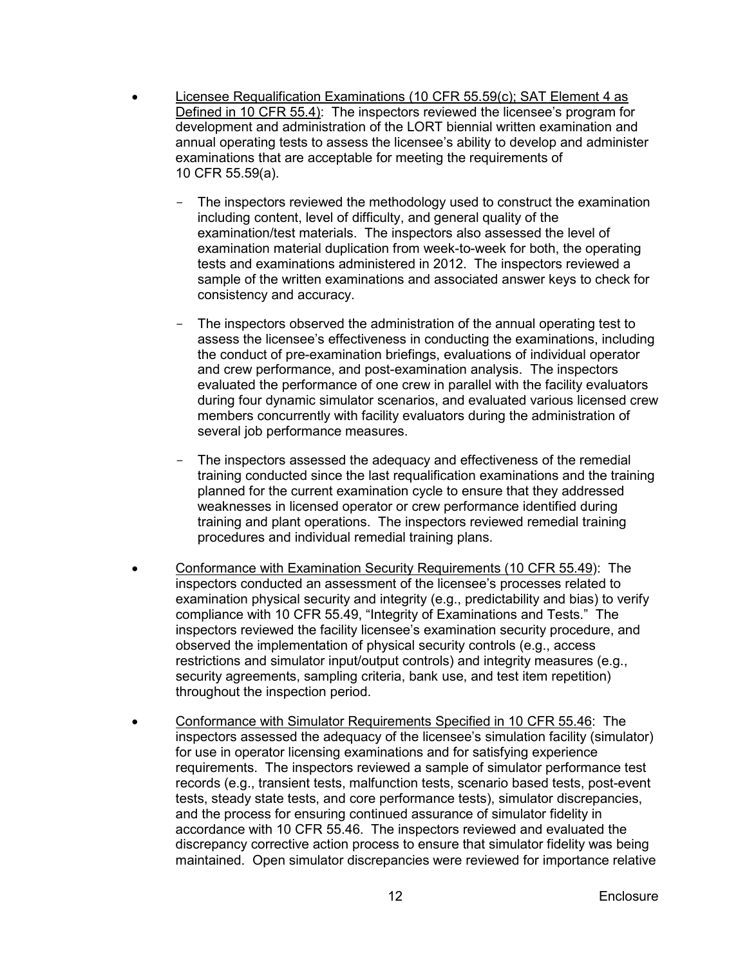- Licensee Requalification Examinations (10 CFR 55.59(c); SAT Element 4 as Defined in 10 CFR 55.4): The inspectors reviewed the licensee's program for development and administration of the LORT biennial written examination and annual operating tests to assess the licensee's ability to develop and administer examinations that are acceptable for meeting the requirements of 10 CFR 55.59(a).
	- The inspectors reviewed the methodology used to construct the examination including content, level of difficulty, and general quality of the examination/test materials. The inspectors also assessed the level of examination material duplication from week-to-week for both, the operating tests and examinations administered in 2012. The inspectors reviewed a sample of the written examinations and associated answer keys to check for consistency and accuracy.
	- The inspectors observed the administration of the annual operating test to assess the licensee's effectiveness in conducting the examinations, including the conduct of pre-examination briefings, evaluations of individual operator and crew performance, and post-examination analysis. The inspectors evaluated the performance of one crew in parallel with the facility evaluators during four dynamic simulator scenarios, and evaluated various licensed crew members concurrently with facility evaluators during the administration of several job performance measures.
	- The inspectors assessed the adequacy and effectiveness of the remedial training conducted since the last requalification examinations and the training planned for the current examination cycle to ensure that they addressed weaknesses in licensed operator or crew performance identified during training and plant operations. The inspectors reviewed remedial training procedures and individual remedial training plans.
- Conformance with Examination Security Requirements (10 CFR 55.49): The inspectors conducted an assessment of the licensee's processes related to examination physical security and integrity (e.g., predictability and bias) to verify compliance with 10 CFR 55.49, "Integrity of Examinations and Tests." The inspectors reviewed the facility licensee's examination security procedure, and observed the implementation of physical security controls (e.g., access restrictions and simulator input/output controls) and integrity measures (e.g., security agreements, sampling criteria, bank use, and test item repetition) throughout the inspection period.
- Conformance with Simulator Requirements Specified in 10 CFR 55.46: The inspectors assessed the adequacy of the licensee's simulation facility (simulator) for use in operator licensing examinations and for satisfying experience requirements. The inspectors reviewed a sample of simulator performance test records (e.g., transient tests, malfunction tests, scenario based tests, post-event tests, steady state tests, and core performance tests), simulator discrepancies, and the process for ensuring continued assurance of simulator fidelity in accordance with 10 CFR 55.46. The inspectors reviewed and evaluated the discrepancy corrective action process to ensure that simulator fidelity was being maintained. Open simulator discrepancies were reviewed for importance relative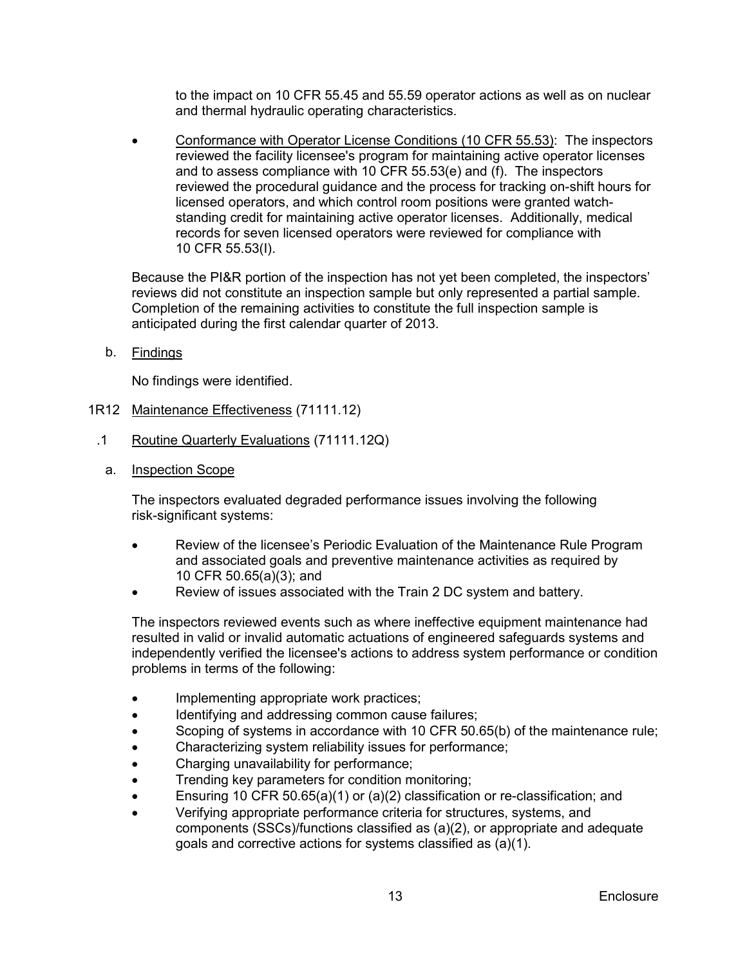to the impact on 10 CFR 55.45 and 55.59 operator actions as well as on nuclear and thermal hydraulic operating characteristics.

• Conformance with Operator License Conditions (10 CFR 55.53): The inspectors reviewed the facility licensee's program for maintaining active operator licenses and to assess compliance with 10 CFR 55.53(e) and (f). The inspectors reviewed the procedural guidance and the process for tracking on-shift hours for licensed operators, and which control room positions were granted watchstanding credit for maintaining active operator licenses. Additionally, medical records for seven licensed operators were reviewed for compliance with 10 CFR 55.53(I).

Because the PI&R portion of the inspection has not yet been completed, the inspectors' reviews did not constitute an inspection sample but only represented a partial sample. Completion of the remaining activities to constitute the full inspection sample is anticipated during the first calendar quarter of 2013.

b. <u>Findings</u>

No findings were identified.

- <span id="page-16-0"></span>1R12 Maintenance Effectiveness (71111.12)
- .1 Routine Quarterly Evaluations (71111.12Q)
	- a. Inspection Scope

The inspectors evaluated degraded performance issues involving the following risk-significant systems:

- Review of the licensee's Periodic Evaluation of the Maintenance Rule Program and associated goals and preventive maintenance activities as required by 10 CFR 50.65(a)(3); and
- Review of issues associated with the Train 2 DC system and battery.

The inspectors reviewed events such as where ineffective equipment maintenance had resulted in valid or invalid automatic actuations of engineered safeguards systems and independently verified the licensee's actions to address system performance or condition problems in terms of the following:

- Implementing appropriate work practices;
- Identifying and addressing common cause failures;
- Scoping of systems in accordance with 10 CFR 50.65(b) of the maintenance rule;
- Characterizing system reliability issues for performance;
- Charging unavailability for performance;
- Trending key parameters for condition monitoring;
- Ensuring 10 CFR 50.65(a)(1) or (a)(2) classification or re-classification; and
- Verifying appropriate performance criteria for structures, systems, and components (SSCs)/functions classified as (a)(2), or appropriate and adequate goals and corrective actions for systems classified as (a)(1).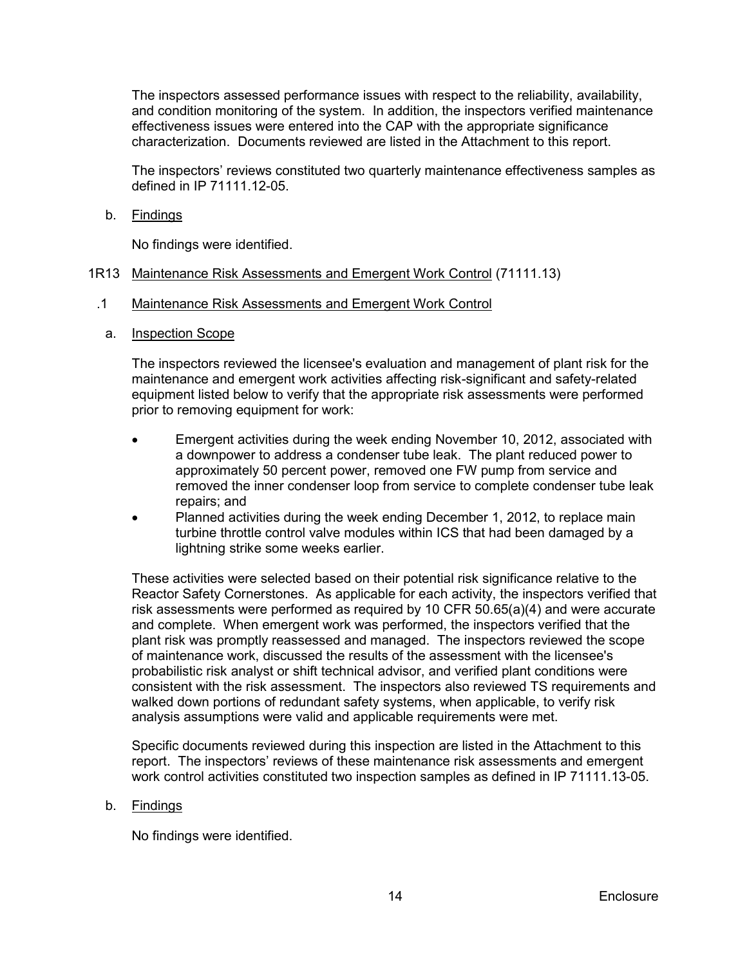The inspectors assessed performance issues with respect to the reliability, availability, and condition monitoring of the system. In addition, the inspectors verified maintenance effectiveness issues were entered into the CAP with the appropriate significance characterization. Documents reviewed are listed in the Attachment to this report.

The inspectors' reviews constituted two quarterly maintenance effectiveness samples as defined in IP 71111.12-05.

b. <u>Findings</u>

No findings were identified.

# <span id="page-17-0"></span>1R13 Maintenance Risk Assessments and Emergent Work Control (71111.13)

- .1 Maintenance Risk Assessments and Emergent Work Control
	- a. Inspection Scope

The inspectors reviewed the licensee's evaluation and management of plant risk for the maintenance and emergent work activities affecting risk-significant and safety-related equipment listed below to verify that the appropriate risk assessments were performed prior to removing equipment for work:

- Emergent activities during the week ending November 10, 2012, associated with a downpower to address a condenser tube leak. The plant reduced power to approximately 50 percent power, removed one FW pump from service and removed the inner condenser loop from service to complete condenser tube leak repairs; and
- Planned activities during the week ending December 1, 2012, to replace main turbine throttle control valve modules within ICS that had been damaged by a lightning strike some weeks earlier.

These activities were selected based on their potential risk significance relative to the Reactor Safety Cornerstones. As applicable for each activity, the inspectors verified that risk assessments were performed as required by 10 CFR 50.65(a)(4) and were accurate and complete. When emergent work was performed, the inspectors verified that the plant risk was promptly reassessed and managed. The inspectors reviewed the scope of maintenance work, discussed the results of the assessment with the licensee's probabilistic risk analyst or shift technical advisor, and verified plant conditions were consistent with the risk assessment. The inspectors also reviewed TS requirements and walked down portions of redundant safety systems, when applicable, to verify risk analysis assumptions were valid and applicable requirements were met.

Specific documents reviewed during this inspection are listed in the Attachment to this report. The inspectors' reviews of these maintenance risk assessments and emergent work control activities constituted two inspection samples as defined in IP 71111.13-05.

#### b. <u>Findings</u>

No findings were identified.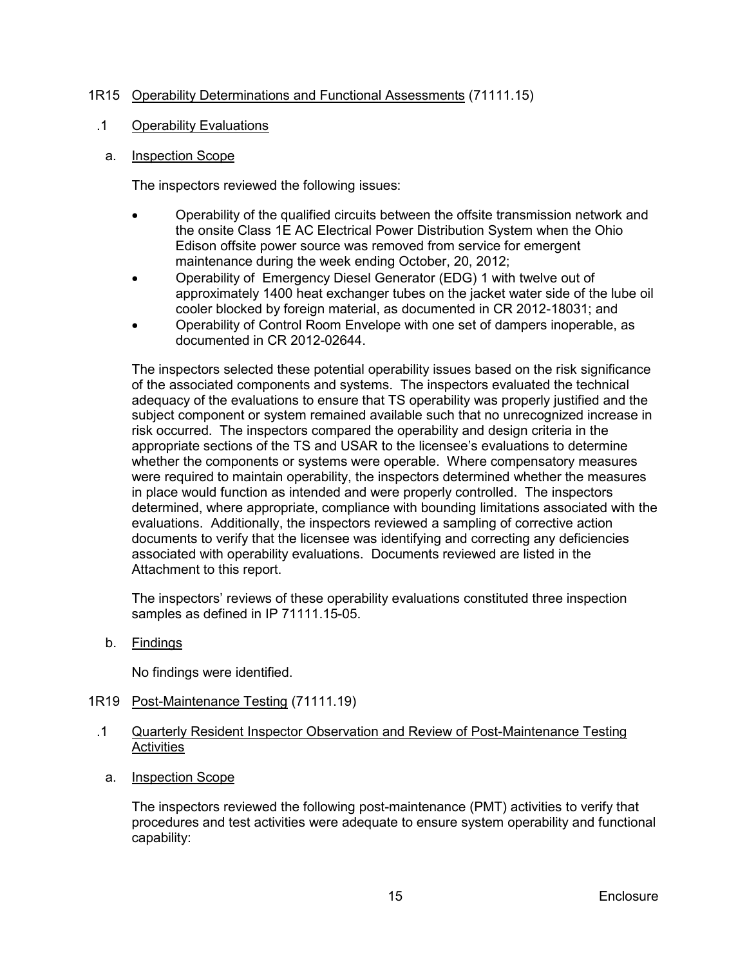# <span id="page-18-0"></span>1R15 Operability Determinations and Functional Assessments (71111.15)

#### .1 Operability Evaluations

# a. Inspection Scope

The inspectors reviewed the following issues:

- Operability of the qualified circuits between the offsite transmission network and the onsite Class 1E AC Electrical Power Distribution System when the Ohio Edison offsite power source was removed from service for emergent maintenance during the week ending October, 20, 2012;
- Operability of Emergency Diesel Generator (EDG) 1 with twelve out of approximately 1400 heat exchanger tubes on the jacket water side of the lube oil cooler blocked by foreign material, as documented in CR 2012-18031; and
- Operability of Control Room Envelope with one set of dampers inoperable, as documented in CR 2012-02644.

The inspectors selected these potential operability issues based on the risk significance of the associated components and systems. The inspectors evaluated the technical adequacy of the evaluations to ensure that TS operability was properly justified and the subject component or system remained available such that no unrecognized increase in risk occurred. The inspectors compared the operability and design criteria in the appropriate sections of the TS and USAR to the licensee's evaluations to determine whether the components or systems were operable. Where compensatory measures were required to maintain operability, the inspectors determined whether the measures in place would function as intended and were properly controlled. The inspectors determined, where appropriate, compliance with bounding limitations associated with the evaluations. Additionally, the inspectors reviewed a sampling of corrective action documents to verify that the licensee was identifying and correcting any deficiencies associated with operability evaluations. Documents reviewed are listed in the Attachment to this report.

The inspectors' reviews of these operability evaluations constituted three inspection samples as defined in IP 71111.15-05.

b. <u>Findings</u>

No findings were identified.

- <span id="page-18-1"></span>1R19 Post-Maintenance Testing (71111.19)
- .1 Quarterly Resident Inspector Observation and Review of Post-Maintenance Testing Activities
	- a. Inspection Scope

The inspectors reviewed the following post-maintenance (PMT) activities to verify that procedures and test activities were adequate to ensure system operability and functional capability: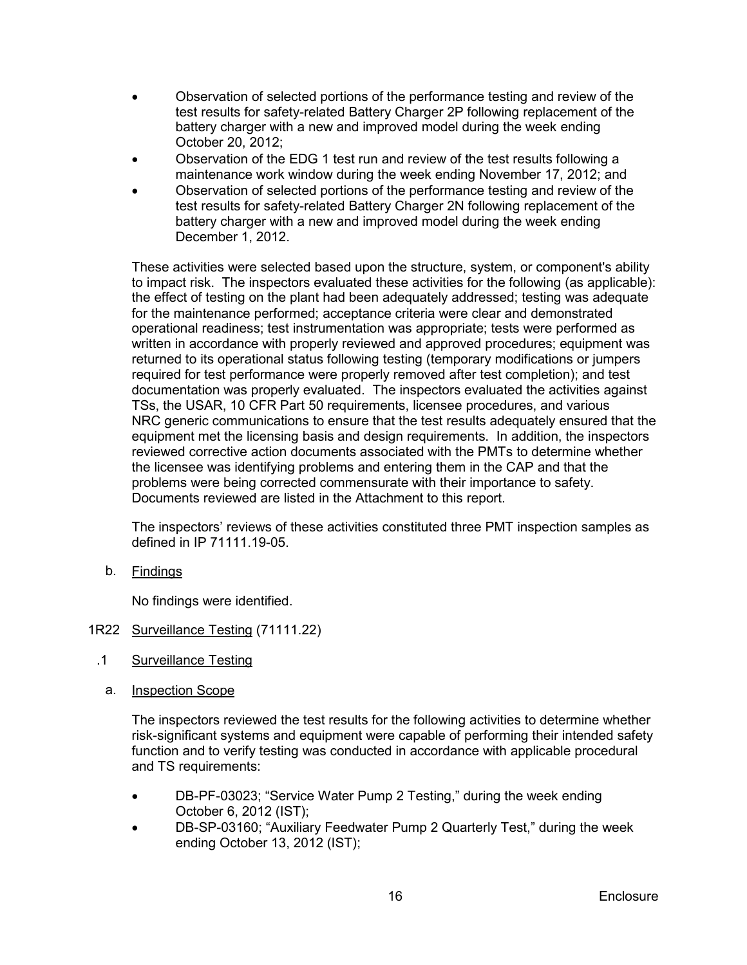- Observation of selected portions of the performance testing and review of the test results for safety-related Battery Charger 2P following replacement of the battery charger with a new and improved model during the week ending October 20, 2012;
- Observation of the EDG 1 test run and review of the test results following a maintenance work window during the week ending November 17, 2012; and
- Observation of selected portions of the performance testing and review of the test results for safety-related Battery Charger 2N following replacement of the battery charger with a new and improved model during the week ending December 1, 2012.

These activities were selected based upon the structure, system, or component's ability to impact risk. The inspectors evaluated these activities for the following (as applicable): the effect of testing on the plant had been adequately addressed; testing was adequate for the maintenance performed; acceptance criteria were clear and demonstrated operational readiness; test instrumentation was appropriate; tests were performed as written in accordance with properly reviewed and approved procedures; equipment was returned to its operational status following testing (temporary modifications or jumpers required for test performance were properly removed after test completion); and test documentation was properly evaluated. The inspectors evaluated the activities against TSs, the USAR, 10 CFR Part 50 requirements, licensee procedures, and various NRC generic communications to ensure that the test results adequately ensured that the equipment met the licensing basis and design requirements. In addition, the inspectors reviewed corrective action documents associated with the PMTs to determine whether the licensee was identifying problems and entering them in the CAP and that the problems were being corrected commensurate with their importance to safety. Documents reviewed are listed in the Attachment to this report.

The inspectors' reviews of these activities constituted three PMT inspection samples as defined in IP 71111.19-05.

b. <u>Findings</u>

No findings were identified.

# <span id="page-19-0"></span>1R22 Surveillance Testing (71111.22)

- .1 Surveillance Testing
	- a. Inspection Scope

The inspectors reviewed the test results for the following activities to determine whether risk-significant systems and equipment were capable of performing their intended safety function and to verify testing was conducted in accordance with applicable procedural and TS requirements:

- DB-PF-03023; "Service Water Pump 2 Testing," during the week ending October 6, 2012 (IST);
- DB-SP-03160; "Auxiliary Feedwater Pump 2 Quarterly Test," during the week ending October 13, 2012 (IST);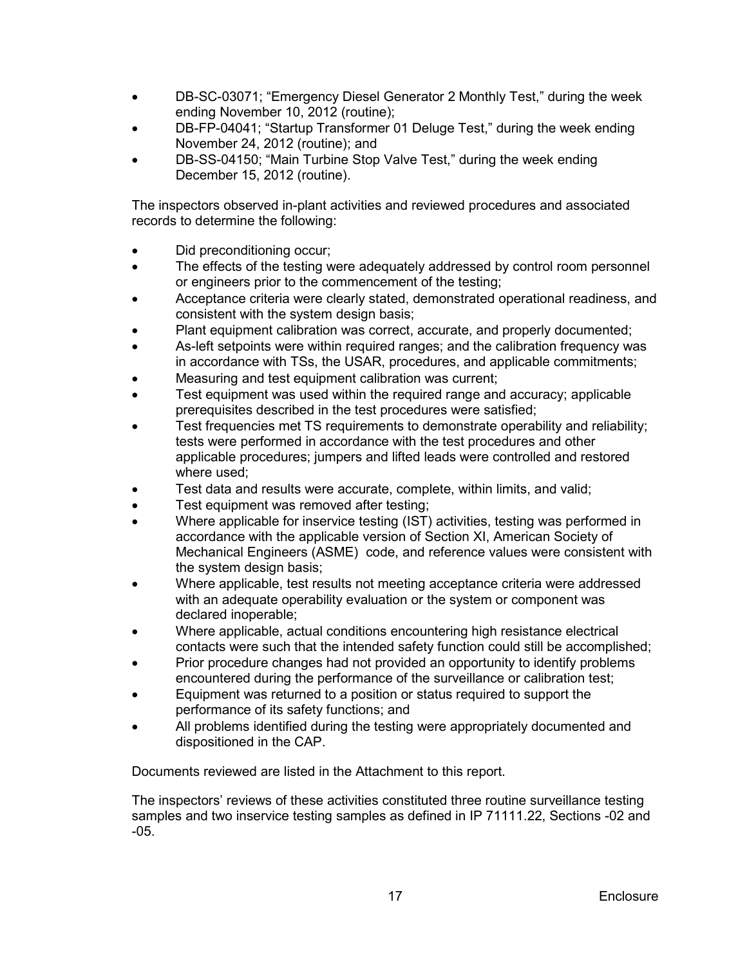- DB-SC-03071; "Emergency Diesel Generator 2 Monthly Test," during the week ending November 10, 2012 (routine);
- DB-FP-04041; "Startup Transformer 01 Deluge Test," during the week ending November 24, 2012 (routine); and
- DB-SS-04150; "Main Turbine Stop Valve Test," during the week ending December 15, 2012 (routine).

The inspectors observed in-plant activities and reviewed procedures and associated records to determine the following:

- Did preconditioning occur;
- The effects of the testing were adequately addressed by control room personnel or engineers prior to the commencement of the testing;
- Acceptance criteria were clearly stated, demonstrated operational readiness, and consistent with the system design basis;
- Plant equipment calibration was correct, accurate, and properly documented;
- As-left setpoints were within required ranges; and the calibration frequency was in accordance with TSs, the USAR, procedures, and applicable commitments;
- Measuring and test equipment calibration was current;
- Test equipment was used within the required range and accuracy; applicable prerequisites described in the test procedures were satisfied;
- Test frequencies met TS requirements to demonstrate operability and reliability; tests were performed in accordance with the test procedures and other applicable procedures; jumpers and lifted leads were controlled and restored where used;
- Test data and results were accurate, complete, within limits, and valid;
- Test equipment was removed after testing;
- Where applicable for inservice testing (IST) activities, testing was performed in accordance with the applicable version of Section XI, American Society of Mechanical Engineers (ASME) code, and reference values were consistent with the system design basis;
- Where applicable, test results not meeting acceptance criteria were addressed with an adequate operability evaluation or the system or component was declared inoperable;
- Where applicable, actual conditions encountering high resistance electrical contacts were such that the intended safety function could still be accomplished;
- Prior procedure changes had not provided an opportunity to identify problems encountered during the performance of the surveillance or calibration test;
- Equipment was returned to a position or status required to support the performance of its safety functions; and
- All problems identified during the testing were appropriately documented and dispositioned in the CAP.

Documents reviewed are listed in the Attachment to this report.

The inspectors' reviews of these activities constituted three routine surveillance testing samples and two inservice testing samples as defined in IP 71111.22, Sections -02 and -05.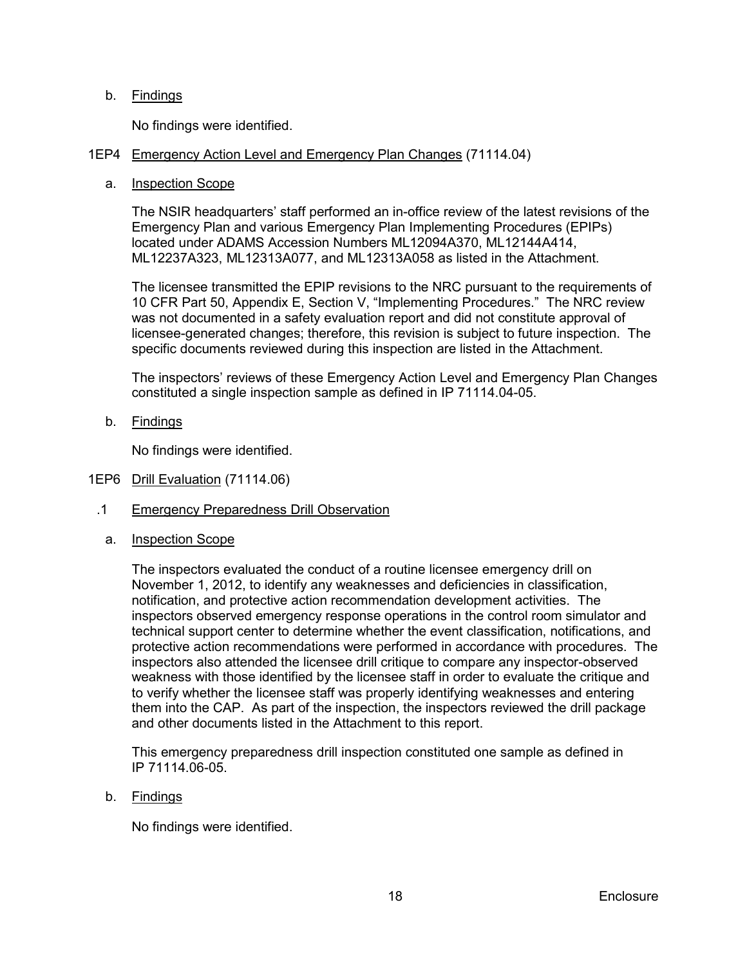# b. <u>Findings</u>

No findings were identified.

# <span id="page-21-0"></span>1EP4 Emergency Action Level and Emergency Plan Changes (71114.04)

#### a. Inspection Scope

The NSIR headquarters' staff performed an in-office review of the latest revisions of the Emergency Plan and various Emergency Plan Implementing Procedures (EPIPs) located under ADAMS Accession Numbers ML12094A370, ML12144A414, ML12237A323, ML12313A077, and ML12313A058 as listed in the Attachment.

The licensee transmitted the EPIP revisions to the NRC pursuant to the requirements of 10 CFR Part 50, Appendix E, Section V, "Implementing Procedures." The NRC review was not documented in a safety evaluation report and did not constitute approval of licensee-generated changes; therefore, this revision is subject to future inspection. The specific documents reviewed during this inspection are listed in the Attachment.

The inspectors' reviews of these Emergency Action Level and Emergency Plan Changes constituted a single inspection sample as defined in IP 71114.04-05.

b. <u>Findings</u>

No findings were identified.

- <span id="page-21-1"></span>1EP6 Drill Evaluation (71114.06)
	- .1 Emergency Preparedness Drill Observation
		- a. Inspection Scope

The inspectors evaluated the conduct of a routine licensee emergency drill on November 1, 2012, to identify any weaknesses and deficiencies in classification, notification, and protective action recommendation development activities. The inspectors observed emergency response operations in the control room simulator and technical support center to determine whether the event classification, notifications, and protective action recommendations were performed in accordance with procedures. The inspectors also attended the licensee drill critique to compare any inspector-observed weakness with those identified by the licensee staff in order to evaluate the critique and to verify whether the licensee staff was properly identifying weaknesses and entering them into the CAP. As part of the inspection, the inspectors reviewed the drill package and other documents listed in the Attachment to this report.

This emergency preparedness drill inspection constituted one sample as defined in IP 71114.06-05.

b. <u>Findings</u>

No findings were identified.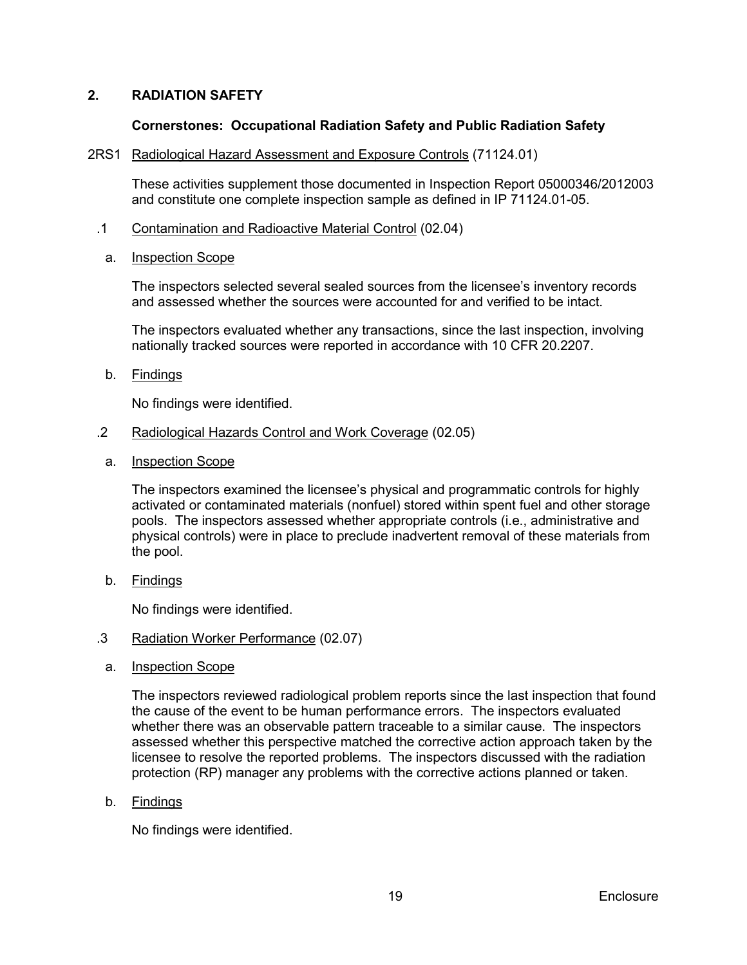# <span id="page-22-0"></span>**2. RADIATION SAFETY**

#### **Cornerstones: Occupational Radiation Safety and Public Radiation Safety**

#### <span id="page-22-1"></span>2RS1 Radiological Hazard Assessment and Exposure Controls (71124.01)

These activities supplement those documented in Inspection Report 05000346/2012003 and constitute one complete inspection sample as defined in IP 71124.01-05.

.1 Contamination and Radioactive Material Control (02.04)

#### a. Inspection Scope

The inspectors selected several sealed sources from the licensee's inventory records and assessed whether the sources were accounted for and verified to be intact.

The inspectors evaluated whether any transactions, since the last inspection, involving nationally tracked sources were reported in accordance with 10 CFR 20.2207.

b. <u>Findings</u>

No findings were identified.

- .2 Radiological Hazards Control and Work Coverage (02.05)
	- a. Inspection Scope

The inspectors examined the licensee's physical and programmatic controls for highly activated or contaminated materials (nonfuel) stored within spent fuel and other storage pools. The inspectors assessed whether appropriate controls (i.e., administrative and physical controls) were in place to preclude inadvertent removal of these materials from the pool.

b. <u>Findings</u>

No findings were identified.

### .3 Radiation Worker Performance (02.07)

a. Inspection Scope

The inspectors reviewed radiological problem reports since the last inspection that found the cause of the event to be human performance errors. The inspectors evaluated whether there was an observable pattern traceable to a similar cause. The inspectors assessed whether this perspective matched the corrective action approach taken by the licensee to resolve the reported problems. The inspectors discussed with the radiation protection (RP) manager any problems with the corrective actions planned or taken.

b. <u>Findings</u>

No findings were identified.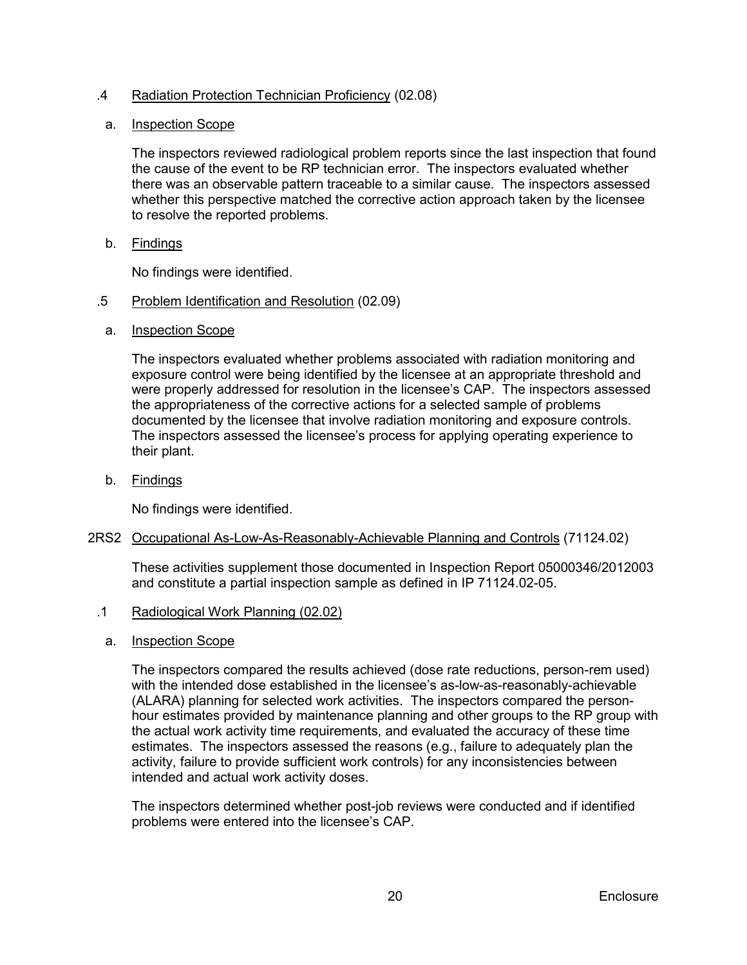# .4 Radiation Protection Technician Proficiency (02.08)

### a. Inspection Scope

The inspectors reviewed radiological problem reports since the last inspection that found the cause of the event to be RP technician error. The inspectors evaluated whether there was an observable pattern traceable to a similar cause. The inspectors assessed whether this perspective matched the corrective action approach taken by the licensee to resolve the reported problems.

b. <u>Findings</u>

No findings were identified.

- .5 Problem Identification and Resolution (02.09)
	- a. Inspection Scope

The inspectors evaluated whether problems associated with radiation monitoring and exposure control were being identified by the licensee at an appropriate threshold and were properly addressed for resolution in the licensee's CAP. The inspectors assessed the appropriateness of the corrective actions for a selected sample of problems documented by the licensee that involve radiation monitoring and exposure controls. The inspectors assessed the licensee's process for applying operating experience to their plant.

b. <u>Findings</u>

No findings were identified.

#### <span id="page-23-0"></span>2RS2 Occupational As-Low-As-Reasonably-Achievable Planning and Controls (71124.02)

These activities supplement those documented in Inspection Report 05000346/2012003 and constitute a partial inspection sample as defined in IP 71124.02-05.

- .1 Radiological Work Planning (02.02)
	- a. Inspection Scope

The inspectors compared the results achieved (dose rate reductions, person-rem used) with the intended dose established in the licensee's as-low-as-reasonably-achievable (ALARA) planning for selected work activities. The inspectors compared the personhour estimates provided by maintenance planning and other groups to the RP group with the actual work activity time requirements, and evaluated the accuracy of these time estimates. The inspectors assessed the reasons (e.g., failure to adequately plan the activity, failure to provide sufficient work controls) for any inconsistencies between intended and actual work activity doses.

The inspectors determined whether post-job reviews were conducted and if identified problems were entered into the licensee's CAP.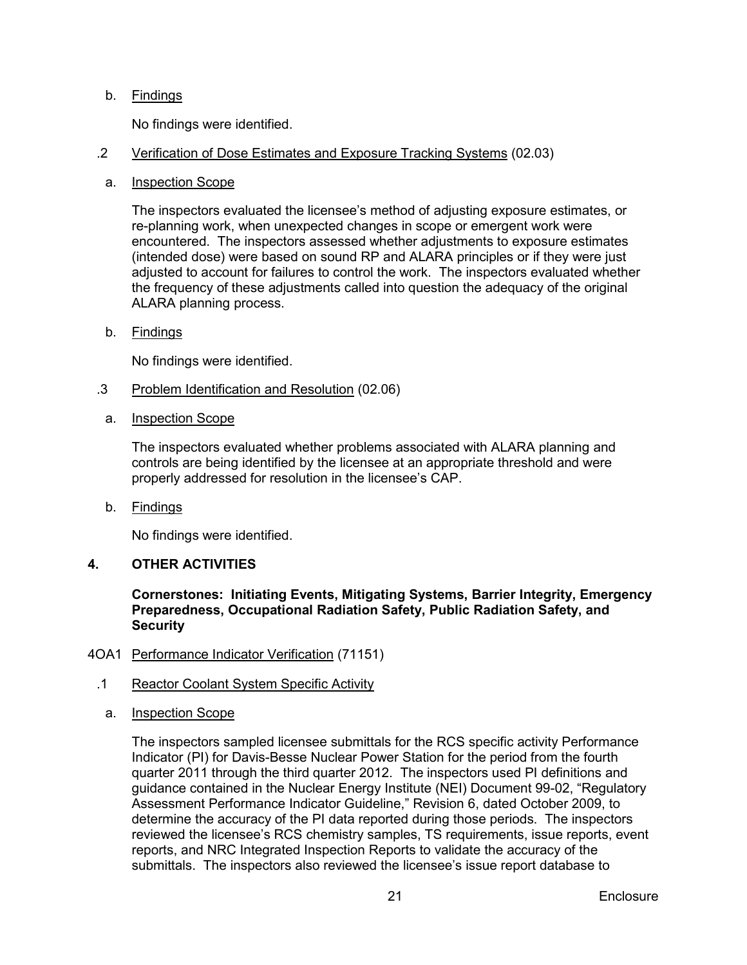# b. <u>Findings</u>

No findings were identified.

### .2 Verification of Dose Estimates and Exposure Tracking Systems (02.03)

a. Inspection Scope

The inspectors evaluated the licensee's method of adjusting exposure estimates, or re-planning work, when unexpected changes in scope or emergent work were encountered. The inspectors assessed whether adjustments to exposure estimates (intended dose) were based on sound RP and ALARA principles or if they were just adjusted to account for failures to control the work. The inspectors evaluated whether the frequency of these adjustments called into question the adequacy of the original ALARA planning process.

b. <u>Findings</u>

No findings were identified.

- .3 Problem Identification and Resolution (02.06)
- a. Inspection Scope

The inspectors evaluated whether problems associated with ALARA planning and controls are being identified by the licensee at an appropriate threshold and were properly addressed for resolution in the licensee's CAP.

b. <u>Findings</u>

No findings were identified.

# <span id="page-24-0"></span>**4. OTHER ACTIVITIES**

**Cornerstones: Initiating Events, Mitigating Systems, Barrier Integrity, Emergency Preparedness, Occupational Radiation Safety, Public Radiation Safety, and Security**

# <span id="page-24-1"></span>4OA1 Performance Indicator Verification (71151)

- .1 Reactor Coolant System Specific Activity
	- a. Inspection Scope

The inspectors sampled licensee submittals for the RCS specific activity Performance Indicator (PI) for Davis-Besse Nuclear Power Station for the period from the fourth quarter 2011 through the third quarter 2012. The inspectors used PI definitions and guidance contained in the Nuclear Energy Institute (NEI) Document 99-02, "Regulatory Assessment Performance Indicator Guideline," Revision 6, dated October 2009, to determine the accuracy of the PI data reported during those periods. The inspectors reviewed the licensee's RCS chemistry samples, TS requirements, issue reports, event reports, and NRC Integrated Inspection Reports to validate the accuracy of the submittals. The inspectors also reviewed the licensee's issue report database to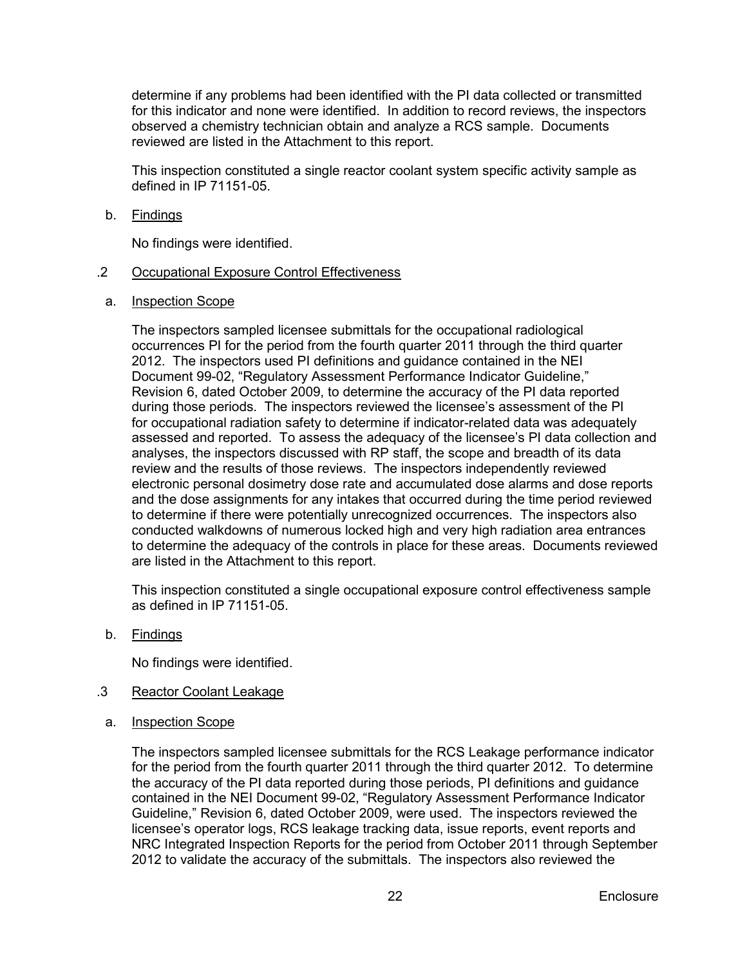determine if any problems had been identified with the PI data collected or transmitted for this indicator and none were identified. In addition to record reviews, the inspectors observed a chemistry technician obtain and analyze a RCS sample. Documents reviewed are listed in the Attachment to this report.

This inspection constituted a single reactor coolant system specific activity sample as defined in IP 71151-05.

b. <u>Findings</u>

No findings were identified.

- .2 Occupational Exposure Control Effectiveness
- a. Inspection Scope

The inspectors sampled licensee submittals for the occupational radiological occurrences PI for the period from the fourth quarter 2011 through the third quarter 2012. The inspectors used PI definitions and guidance contained in the NEI Document 99-02, "Regulatory Assessment Performance Indicator Guideline," Revision 6, dated October 2009, to determine the accuracy of the PI data reported during those periods. The inspectors reviewed the licensee's assessment of the PI for occupational radiation safety to determine if indicator-related data was adequately assessed and reported. To assess the adequacy of the licensee's PI data collection and analyses, the inspectors discussed with RP staff, the scope and breadth of its data review and the results of those reviews. The inspectors independently reviewed electronic personal dosimetry dose rate and accumulated dose alarms and dose reports and the dose assignments for any intakes that occurred during the time period reviewed to determine if there were potentially unrecognized occurrences. The inspectors also conducted walkdowns of numerous locked high and very high radiation area entrances to determine the adequacy of the controls in place for these areas. Documents reviewed are listed in the Attachment to this report.

This inspection constituted a single occupational exposure control effectiveness sample as defined in IP 71151-05.

b. <u>Findings</u>

No findings were identified.

- .3 Reactor Coolant Leakage
	- a. Inspection Scope

The inspectors sampled licensee submittals for the RCS Leakage performance indicator for the period from the fourth quarter 2011 through the third quarter 2012. To determine the accuracy of the PI data reported during those periods, PI definitions and guidance contained in the NEI Document 99-02, "Regulatory Assessment Performance Indicator Guideline," Revision 6, dated October 2009, were used. The inspectors reviewed the licensee's operator logs, RCS leakage tracking data, issue reports, event reports and NRC Integrated Inspection Reports for the period from October 2011 through September 2012 to validate the accuracy of the submittals. The inspectors also reviewed the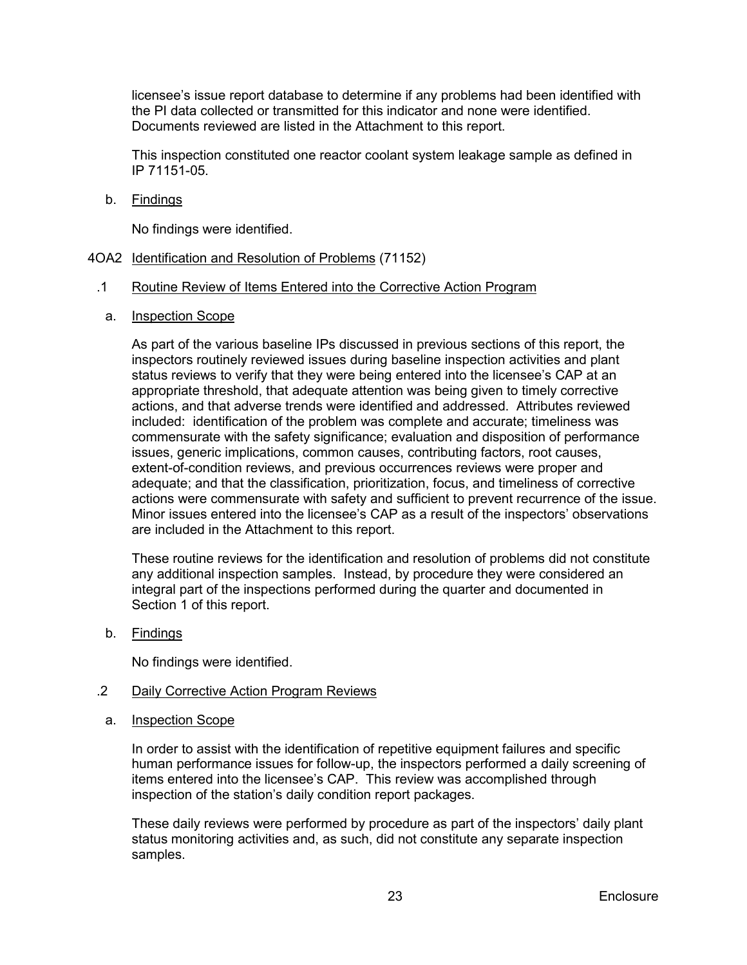licensee's issue report database to determine if any problems had been identified with the PI data collected or transmitted for this indicator and none were identified. Documents reviewed are listed in the Attachment to this report.

This inspection constituted one reactor coolant system leakage sample as defined in IP 71151-05.

b. <u>Findings</u>

No findings were identified.

<span id="page-26-0"></span>4OA2 Identification and Resolution of Problems (71152)

#### .1 Routine Review of Items Entered into the Corrective Action Program

a. Inspection Scope

As part of the various baseline IPs discussed in previous sections of this report, the inspectors routinely reviewed issues during baseline inspection activities and plant status reviews to verify that they were being entered into the licensee's CAP at an appropriate threshold, that adequate attention was being given to timely corrective actions, and that adverse trends were identified and addressed. Attributes reviewed included: identification of the problem was complete and accurate; timeliness was commensurate with the safety significance; evaluation and disposition of performance issues, generic implications, common causes, contributing factors, root causes, extent-of-condition reviews, and previous occurrences reviews were proper and adequate; and that the classification, prioritization, focus, and timeliness of corrective actions were commensurate with safety and sufficient to prevent recurrence of the issue. Minor issues entered into the licensee's CAP as a result of the inspectors' observations are included in the Attachment to this report.

These routine reviews for the identification and resolution of problems did not constitute any additional inspection samples. Instead, by procedure they were considered an integral part of the inspections performed during the quarter and documented in Section 1 of this report.

b. <u>Findings</u>

No findings were identified.

#### .2 Daily Corrective Action Program Reviews

a. Inspection Scope

In order to assist with the identification of repetitive equipment failures and specific human performance issues for follow-up, the inspectors performed a daily screening of items entered into the licensee's CAP. This review was accomplished through inspection of the station's daily condition report packages.

These daily reviews were performed by procedure as part of the inspectors' daily plant status monitoring activities and, as such, did not constitute any separate inspection samples.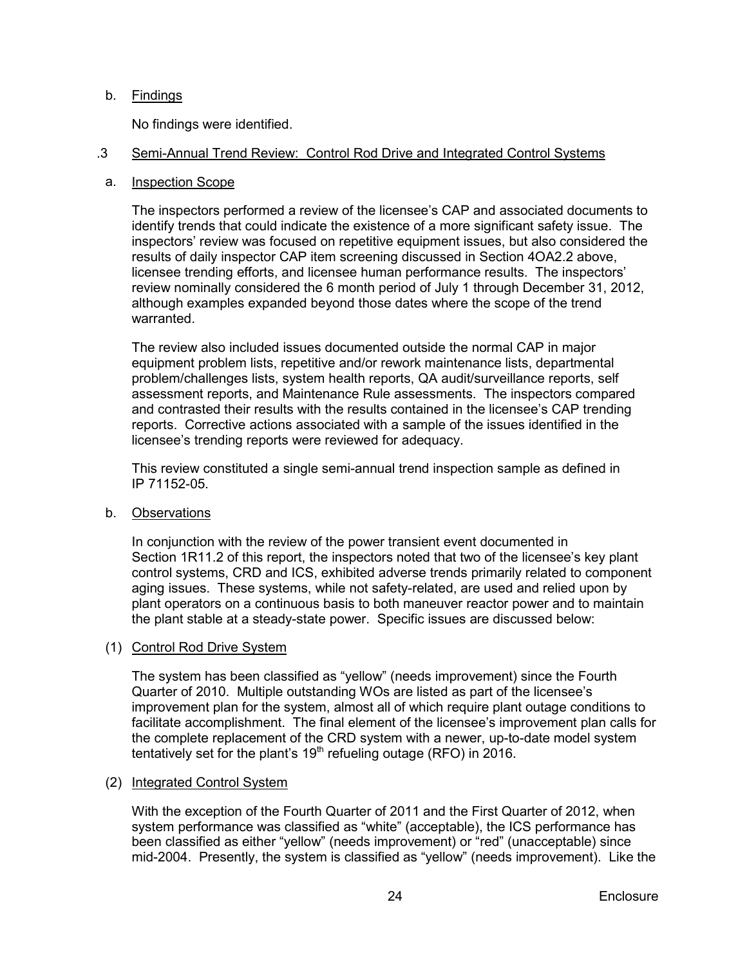# b. <u>Findings</u>

No findings were identified.

#### .3 Semi-Annual Trend Review: Control Rod Drive and Integrated Control Systems

# a. Inspection Scope

The inspectors performed a review of the licensee's CAP and associated documents to identify trends that could indicate the existence of a more significant safety issue. The inspectors' review was focused on repetitive equipment issues, but also considered the results of daily inspector CAP item screening discussed in Section 4OA2.2 above, licensee trending efforts, and licensee human performance results. The inspectors' review nominally considered the 6 month period of July 1 through December 31, 2012, although examples expanded beyond those dates where the scope of the trend warranted.

The review also included issues documented outside the normal CAP in major equipment problem lists, repetitive and/or rework maintenance lists, departmental problem/challenges lists, system health reports, QA audit/surveillance reports, self assessment reports, and Maintenance Rule assessments. The inspectors compared and contrasted their results with the results contained in the licensee's CAP trending reports. Corrective actions associated with a sample of the issues identified in the licensee's trending reports were reviewed for adequacy.

This review constituted a single semi-annual trend inspection sample as defined in IP 71152-05.

b. Observations

In conjunction with the review of the power transient event documented in Section 1R11.2 of this report, the inspectors noted that two of the licensee's key plant control systems, CRD and ICS, exhibited adverse trends primarily related to component aging issues. These systems, while not safety-related, are used and relied upon by plant operators on a continuous basis to both maneuver reactor power and to maintain the plant stable at a steady-state power. Specific issues are discussed below:

# (1) Control Rod Drive System

The system has been classified as "yellow" (needs improvement) since the Fourth Quarter of 2010. Multiple outstanding WOs are listed as part of the licensee's improvement plan for the system, almost all of which require plant outage conditions to facilitate accomplishment. The final element of the licensee's improvement plan calls for the complete replacement of the CRD system with a newer, up-to-date model system tentatively set for the plant's  $19<sup>th</sup>$  refueling outage (RFO) in 2016.

# (2) Integrated Control System

With the exception of the Fourth Quarter of 2011 and the First Quarter of 2012, when system performance was classified as "white" (acceptable), the ICS performance has been classified as either "yellow" (needs improvement) or "red" (unacceptable) since mid-2004. Presently, the system is classified as "yellow" (needs improvement). Like the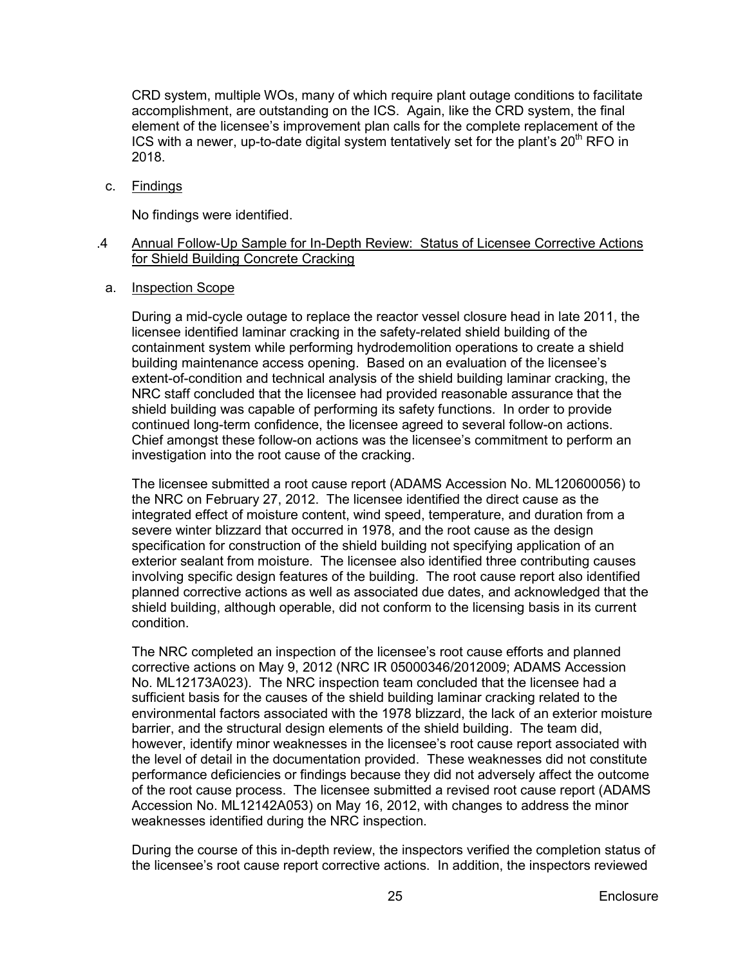CRD system, multiple WOs, many of which require plant outage conditions to facilitate accomplishment, are outstanding on the ICS. Again, like the CRD system, the final element of the licensee's improvement plan calls for the complete replacement of the ICS with a newer, up-to-date digital system tentatively set for the plant's  $20<sup>th</sup>$  RFO in 2018.

c. <u>Findings</u>

No findings were identified.

#### .4 Annual Follow-Up Sample for In-Depth Review: Status of Licensee Corrective Actions for Shield Building Concrete Cracking

a. Inspection Scope

During a mid-cycle outage to replace the reactor vessel closure head in late 2011, the licensee identified laminar cracking in the safety-related shield building of the containment system while performing hydrodemolition operations to create a shield building maintenance access opening. Based on an evaluation of the licensee's extent-of-condition and technical analysis of the shield building laminar cracking, the NRC staff concluded that the licensee had provided reasonable assurance that the shield building was capable of performing its safety functions. In order to provide continued long-term confidence, the licensee agreed to several follow-on actions. Chief amongst these follow-on actions was the licensee's commitment to perform an investigation into the root cause of the cracking.

The licensee submitted a root cause report (ADAMS Accession No. ML120600056) to the NRC on February 27, 2012. The licensee identified the direct cause as the integrated effect of moisture content, wind speed, temperature, and duration from a severe winter blizzard that occurred in 1978, and the root cause as the design specification for construction of the shield building not specifying application of an exterior sealant from moisture. The licensee also identified three contributing causes involving specific design features of the building. The root cause report also identified planned corrective actions as well as associated due dates, and acknowledged that the shield building, although operable, did not conform to the licensing basis in its current condition.

The NRC completed an inspection of the licensee's root cause efforts and planned corrective actions on May 9, 2012 (NRC IR 05000346/2012009; ADAMS Accession No. ML12173A023). The NRC inspection team concluded that the licensee had a sufficient basis for the causes of the shield building laminar cracking related to the environmental factors associated with the 1978 blizzard, the lack of an exterior moisture barrier, and the structural design elements of the shield building. The team did, however, identify minor weaknesses in the licensee's root cause report associated with the level of detail in the documentation provided. These weaknesses did not constitute performance deficiencies or findings because they did not adversely affect the outcome of the root cause process. The licensee submitted a revised root cause report (ADAMS Accession No. ML12142A053) on May 16, 2012, with changes to address the minor weaknesses identified during the NRC inspection.

During the course of this in-depth review, the inspectors verified the completion status of the licensee's root cause report corrective actions. In addition, the inspectors reviewed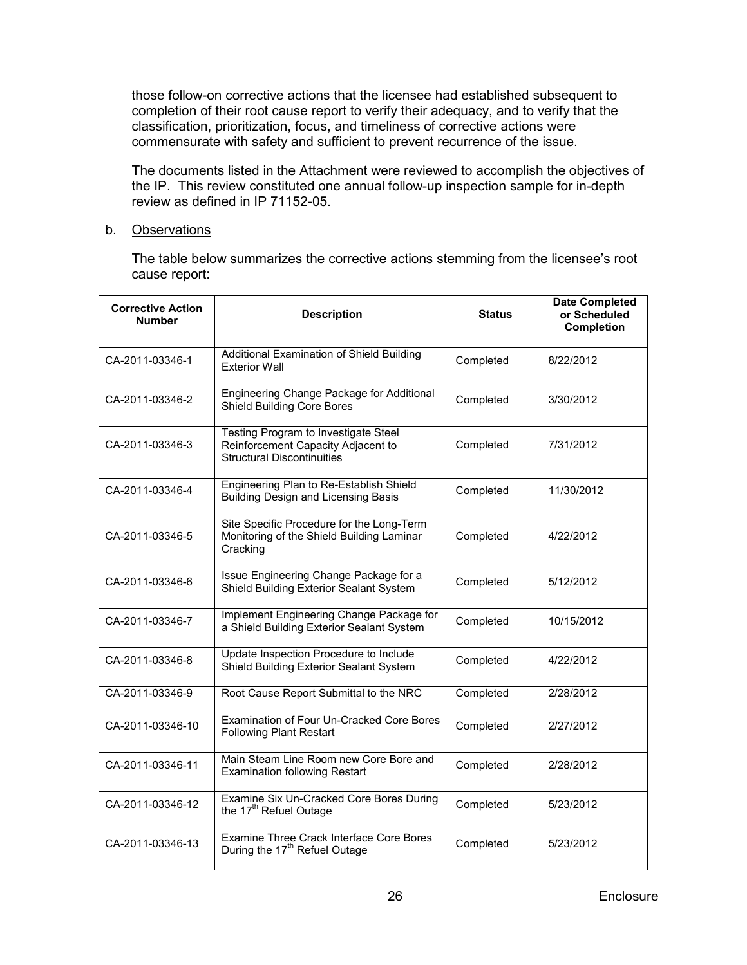those follow-on corrective actions that the licensee had established subsequent to completion of their root cause report to verify their adequacy, and to verify that the classification, prioritization, focus, and timeliness of corrective actions were commensurate with safety and sufficient to prevent recurrence of the issue.

The documents listed in the Attachment were reviewed to accomplish the objectives of the IP. This review constituted one annual follow-up inspection sample for in-depth review as defined in IP 71152-05.

# b. <u>Observations</u>

The table below summarizes the corrective actions stemming from the licensee's root cause report:

| <b>Corrective Action</b><br><b>Number</b> | <b>Description</b>                                                                                              | <b>Status</b> | <b>Date Completed</b><br>or Scheduled<br><b>Completion</b> |
|-------------------------------------------|-----------------------------------------------------------------------------------------------------------------|---------------|------------------------------------------------------------|
| CA-2011-03346-1                           | Additional Examination of Shield Building<br><b>Exterior Wall</b>                                               | Completed     | 8/22/2012                                                  |
| CA-2011-03346-2                           | Engineering Change Package for Additional<br><b>Shield Building Core Bores</b>                                  | Completed     | 3/30/2012                                                  |
| CA-2011-03346-3                           | Testing Program to Investigate Steel<br>Reinforcement Capacity Adjacent to<br><b>Structural Discontinuities</b> | Completed     | 7/31/2012                                                  |
| CA-2011-03346-4                           | Engineering Plan to Re-Establish Shield<br>Building Design and Licensing Basis                                  | Completed     | 11/30/2012                                                 |
| CA-2011-03346-5                           | Site Specific Procedure for the Long-Term<br>Monitoring of the Shield Building Laminar<br>Cracking              | Completed     | 4/22/2012                                                  |
| CA-2011-03346-6                           | Issue Engineering Change Package for a<br>Shield Building Exterior Sealant System                               | Completed     | 5/12/2012                                                  |
| CA-2011-03346-7                           | Implement Engineering Change Package for<br>a Shield Building Exterior Sealant System                           | Completed     | 10/15/2012                                                 |
| CA-2011-03346-8                           | Update Inspection Procedure to Include<br>Shield Building Exterior Sealant System                               | Completed     | 4/22/2012                                                  |
| CA-2011-03346-9                           | Root Cause Report Submittal to the NRC                                                                          | Completed     | 2/28/2012                                                  |
| CA-2011-03346-10                          | Examination of Four Un-Cracked Core Bores<br><b>Following Plant Restart</b>                                     |               | 2/27/2012                                                  |
| CA-2011-03346-11                          | Main Steam Line Room new Core Bore and<br><b>Examination following Restart</b>                                  |               | 2/28/2012                                                  |
| CA-2011-03346-12                          | Examine Six Un-Cracked Core Bores During<br>the 17 <sup>th</sup> Refuel Outage                                  | Completed     | 5/23/2012                                                  |
| CA-2011-03346-13                          | Examine Three Crack Interface Core Bores<br>During the 17 <sup>th</sup> Refuel Outage                           | Completed     | 5/23/2012                                                  |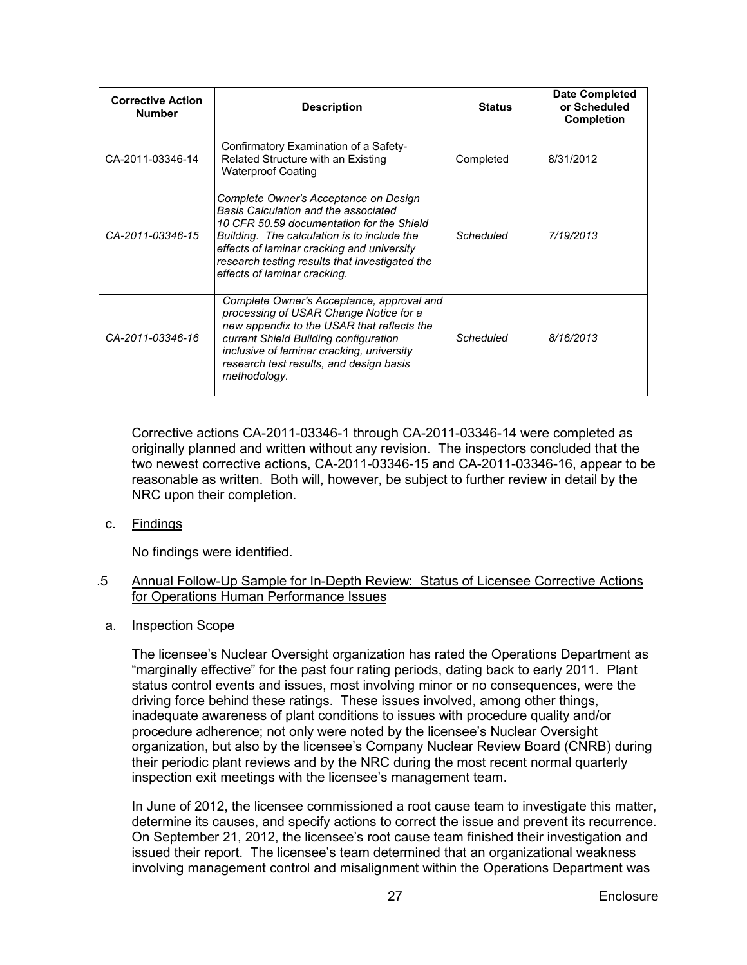| <b>Corrective Action</b><br><b>Number</b> | <b>Description</b>                                                                                                                                                                                                                                                                                        | <b>Status</b> | <b>Date Completed</b><br>or Scheduled<br><b>Completion</b> |
|-------------------------------------------|-----------------------------------------------------------------------------------------------------------------------------------------------------------------------------------------------------------------------------------------------------------------------------------------------------------|---------------|------------------------------------------------------------|
| CA-2011-03346-14                          | Confirmatory Examination of a Safety-<br>Related Structure with an Existing<br><b>Waterproof Coating</b>                                                                                                                                                                                                  | Completed     | 8/31/2012                                                  |
| CA-2011-03346-15                          | Complete Owner's Acceptance on Design<br>Basis Calculation and the associated<br>10 CFR 50.59 documentation for the Shield<br>Building. The calculation is to include the<br>effects of laminar cracking and university<br>research testing results that investigated the<br>effects of laminar cracking. | Scheduled     | 7/19/2013                                                  |
| CA-2011-03346-16                          | Complete Owner's Acceptance, approval and<br>processing of USAR Change Notice for a<br>new appendix to the USAR that reflects the<br>current Shield Building configuration<br>inclusive of laminar cracking, university<br>research test results, and design basis<br>methodology.                        | Scheduled     | 8/16/2013                                                  |

Corrective actions CA-2011-03346-1 through CA-2011-03346-14 were completed as originally planned and written without any revision. The inspectors concluded that the two newest corrective actions, CA-2011-03346-15 and CA-2011-03346-16, appear to be reasonable as written. Both will, however, be subject to further review in detail by the NRC upon their completion.

c. <u>Findings</u>

No findings were identified.

- .5 Annual Follow-Up Sample for In-Depth Review: Status of Licensee Corrective Actions for Operations Human Performance Issues
	- a. Inspection Scope

The licensee's Nuclear Oversight organization has rated the Operations Department as "marginally effective" for the past four rating periods, dating back to early 2011. Plant status control events and issues, most involving minor or no consequences, were the driving force behind these ratings. These issues involved, among other things, inadequate awareness of plant conditions to issues with procedure quality and/or procedure adherence; not only were noted by the licensee's Nuclear Oversight organization, but also by the licensee's Company Nuclear Review Board (CNRB) during their periodic plant reviews and by the NRC during the most recent normal quarterly inspection exit meetings with the licensee's management team.

In June of 2012, the licensee commissioned a root cause team to investigate this matter, determine its causes, and specify actions to correct the issue and prevent its recurrence. On September 21, 2012, the licensee's root cause team finished their investigation and issued their report. The licensee's team determined that an organizational weakness involving management control and misalignment within the Operations Department was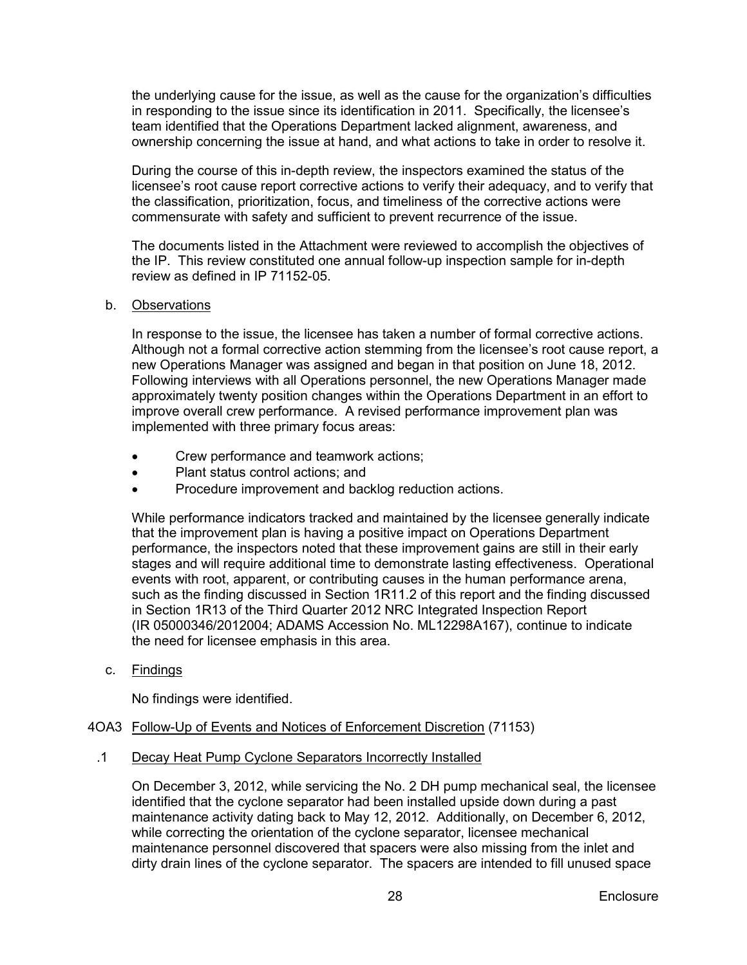the underlying cause for the issue, as well as the cause for the organization's difficulties in responding to the issue since its identification in 2011. Specifically, the licensee's team identified that the Operations Department lacked alignment, awareness, and ownership concerning the issue at hand, and what actions to take in order to resolve it.

During the course of this in-depth review, the inspectors examined the status of the licensee's root cause report corrective actions to verify their adequacy, and to verify that the classification, prioritization, focus, and timeliness of the corrective actions were commensurate with safety and sufficient to prevent recurrence of the issue.

The documents listed in the Attachment were reviewed to accomplish the objectives of the IP. This review constituted one annual follow-up inspection sample for in-depth review as defined in IP 71152-05.

# b. <u>Observations</u>

In response to the issue, the licensee has taken a number of formal corrective actions. Although not a formal corrective action stemming from the licensee's root cause report, a new Operations Manager was assigned and began in that position on June 18, 2012. Following interviews with all Operations personnel, the new Operations Manager made approximately twenty position changes within the Operations Department in an effort to improve overall crew performance. A revised performance improvement plan was implemented with three primary focus areas:

- Crew performance and teamwork actions;
- Plant status control actions: and
- Procedure improvement and backlog reduction actions.

While performance indicators tracked and maintained by the licensee generally indicate that the improvement plan is having a positive impact on Operations Department performance, the inspectors noted that these improvement gains are still in their early stages and will require additional time to demonstrate lasting effectiveness. Operational events with root, apparent, or contributing causes in the human performance arena, such as the finding discussed in Section 1R11.2 of this report and the finding discussed in Section 1R13 of the Third Quarter 2012 NRC Integrated Inspection Report (IR 05000346/2012004; ADAMS Accession No. ML12298A167), continue to indicate the need for licensee emphasis in this area.

c. <u>Findings</u>

No findings were identified.

# <span id="page-31-0"></span>4OA3 Follow-Up of Events and Notices of Enforcement Discretion (71153)

.1 Decay Heat Pump Cyclone Separators Incorrectly Installed

On December 3, 2012, while servicing the No. 2 DH pump mechanical seal, the licensee identified that the cyclone separator had been installed upside down during a past maintenance activity dating back to May 12, 2012. Additionally, on December 6, 2012, while correcting the orientation of the cyclone separator, licensee mechanical maintenance personnel discovered that spacers were also missing from the inlet and dirty drain lines of the cyclone separator. The spacers are intended to fill unused space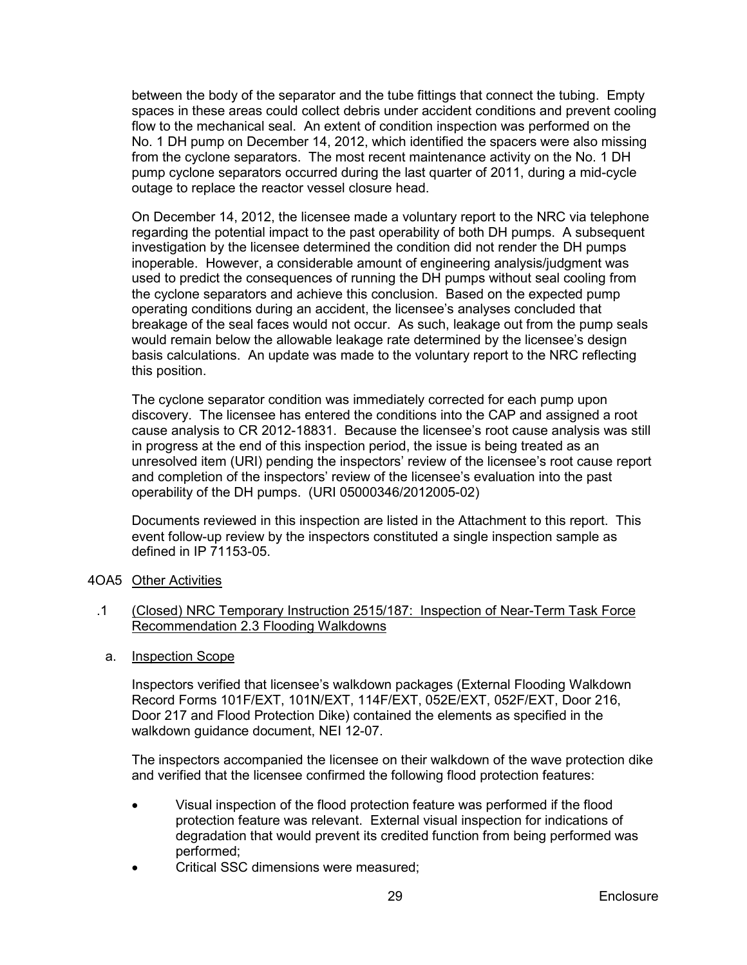between the body of the separator and the tube fittings that connect the tubing. Empty spaces in these areas could collect debris under accident conditions and prevent cooling flow to the mechanical seal. An extent of condition inspection was performed on the No. 1 DH pump on December 14, 2012, which identified the spacers were also missing from the cyclone separators. The most recent maintenance activity on the No. 1 DH pump cyclone separators occurred during the last quarter of 2011, during a mid-cycle outage to replace the reactor vessel closure head.

On December 14, 2012, the licensee made a voluntary report to the NRC via telephone regarding the potential impact to the past operability of both DH pumps. A subsequent investigation by the licensee determined the condition did not render the DH pumps inoperable. However, a considerable amount of engineering analysis/judgment was used to predict the consequences of running the DH pumps without seal cooling from the cyclone separators and achieve this conclusion. Based on the expected pump operating conditions during an accident, the licensee's analyses concluded that breakage of the seal faces would not occur. As such, leakage out from the pump seals would remain below the allowable leakage rate determined by the licensee's design basis calculations. An update was made to the voluntary report to the NRC reflecting this position.

The cyclone separator condition was immediately corrected for each pump upon discovery. The licensee has entered the conditions into the CAP and assigned a root cause analysis to CR 2012-18831. Because the licensee's root cause analysis was still in progress at the end of this inspection period, the issue is being treated as an unresolved item (URI) pending the inspectors' review of the licensee's root cause report and completion of the inspectors' review of the licensee's evaluation into the past operability of the DH pumps. (URI 05000346/2012005-02)

Documents reviewed in this inspection are listed in the Attachment to this report. This event follow-up review by the inspectors constituted a single inspection sample as defined in IP 71153-05.

- <span id="page-32-0"></span>4OA5 <u>Other Activities</u>
- .1 (Closed) NRC Temporary Instruction 2515/187: Inspection of Near-Term Task Force Recommendation 2.3 Flooding Walkdowns
	- a. Inspection Scope

Inspectors verified that licensee's walkdown packages (External Flooding Walkdown Record Forms 101F/EXT, 101N/EXT, 114F/EXT, 052E/EXT, 052F/EXT, Door 216, Door 217 and Flood Protection Dike) contained the elements as specified in the walkdown guidance document, NEI 12-07.

The inspectors accompanied the licensee on their walkdown of the wave protection dike and verified that the licensee confirmed the following flood protection features:

- Visual inspection of the flood protection feature was performed if the flood protection feature was relevant. External visual inspection for indications of degradation that would prevent its credited function from being performed was performed;
- Critical SSC dimensions were measured;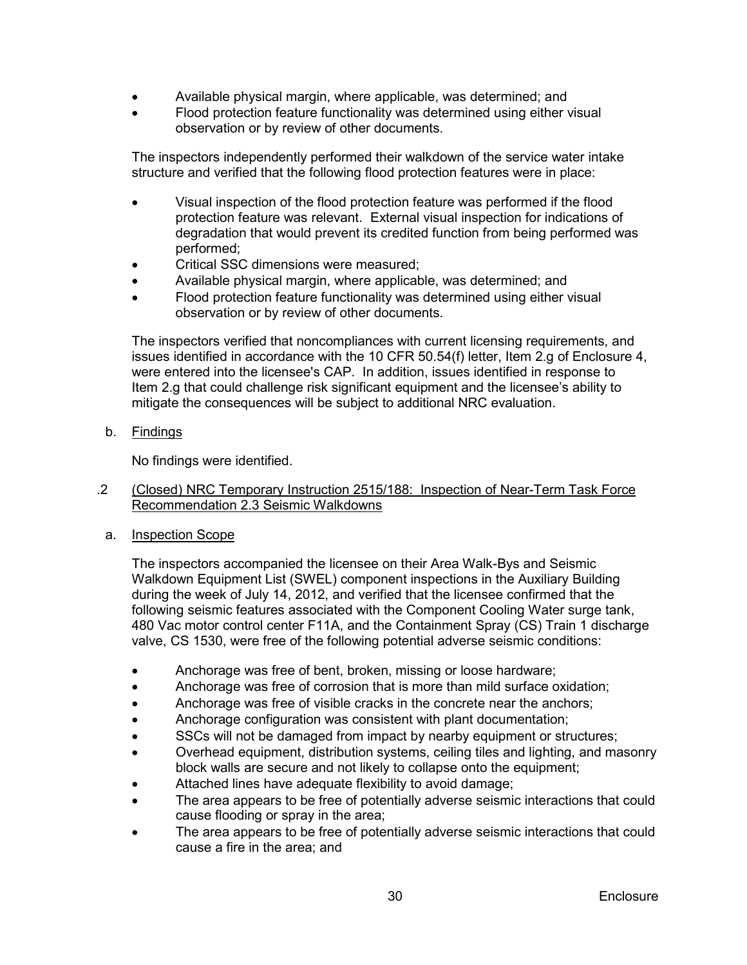- Available physical margin, where applicable, was determined; and
- Flood protection feature functionality was determined using either visual observation or by review of other documents.

The inspectors independently performed their walkdown of the service water intake structure and verified that the following flood protection features were in place:

- Visual inspection of the flood protection feature was performed if the flood protection feature was relevant. External visual inspection for indications of degradation that would prevent its credited function from being performed was performed;
- Critical SSC dimensions were measured;
- Available physical margin, where applicable, was determined; and
- Flood protection feature functionality was determined using either visual observation or by review of other documents.

The inspectors verified that noncompliances with current licensing requirements, and issues identified in accordance with the 10 CFR 50.54(f) letter, Item 2.g of Enclosure 4, were entered into the licensee's CAP. In addition, issues identified in response to Item 2.g that could challenge risk significant equipment and the licensee's ability to mitigate the consequences will be subject to additional NRC evaluation.

b. <u>Findings</u>

No findings were identified.

- .2 (Closed) NRC Temporary Instruction 2515/188: Inspection of Near-Term Task Force Recommendation 2.3 Seismic Walkdowns
	- a. Inspection Scope

The inspectors accompanied the licensee on their Area Walk-Bys and Seismic Walkdown Equipment List (SWEL) component inspections in the Auxiliary Building during the week of July 14, 2012, and verified that the licensee confirmed that the following seismic features associated with the Component Cooling Water surge tank, 480 Vac motor control center F11A, and the Containment Spray (CS) Train 1 discharge valve, CS 1530, were free of the following potential adverse seismic conditions:

- Anchorage was free of bent, broken, missing or loose hardware;
- Anchorage was free of corrosion that is more than mild surface oxidation;
- Anchorage was free of visible cracks in the concrete near the anchors;
- Anchorage configuration was consistent with plant documentation;
- SSCs will not be damaged from impact by nearby equipment or structures;
- Overhead equipment, distribution systems, ceiling tiles and lighting, and masonry block walls are secure and not likely to collapse onto the equipment;
- Attached lines have adequate flexibility to avoid damage;
- The area appears to be free of potentially adverse seismic interactions that could cause flooding or spray in the area;
- The area appears to be free of potentially adverse seismic interactions that could cause a fire in the area; and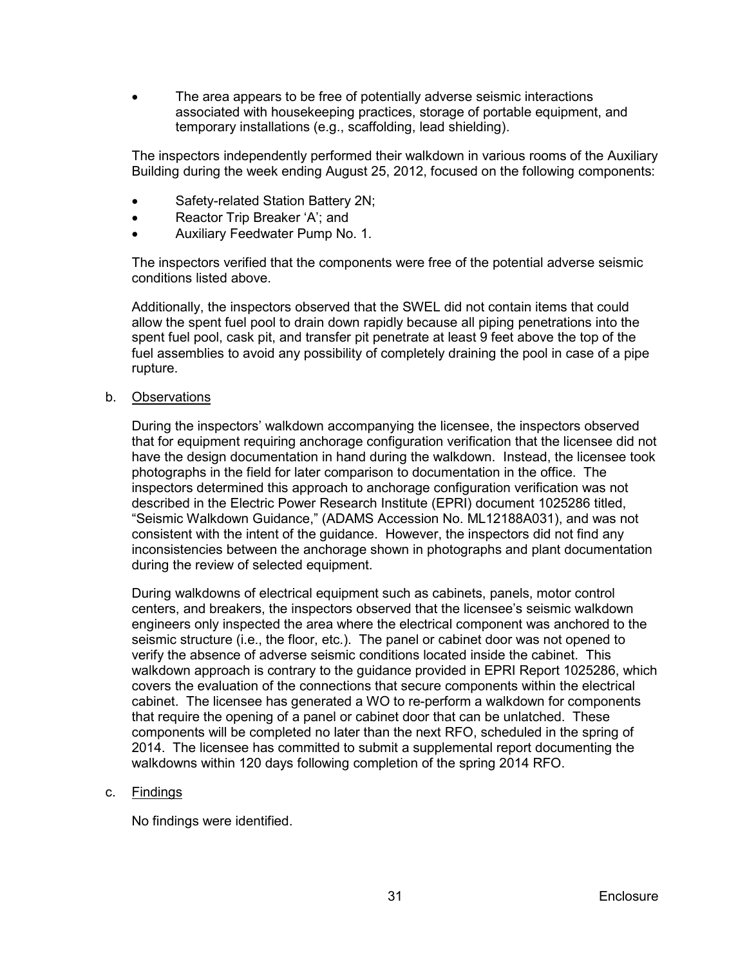The area appears to be free of potentially adverse seismic interactions associated with housekeeping practices, storage of portable equipment, and temporary installations (e.g., scaffolding, lead shielding).

The inspectors independently performed their walkdown in various rooms of the Auxiliary Building during the week ending August 25, 2012, focused on the following components:

- Safety-related Station Battery 2N;
- Reactor Trip Breaker 'A'; and
- Auxiliary Feedwater Pump No. 1.

The inspectors verified that the components were free of the potential adverse seismic conditions listed above.

Additionally, the inspectors observed that the SWEL did not contain items that could allow the spent fuel pool to drain down rapidly because all piping penetrations into the spent fuel pool, cask pit, and transfer pit penetrate at least 9 feet above the top of the fuel assemblies to avoid any possibility of completely draining the pool in case of a pipe rupture.

b. Observations

During the inspectors' walkdown accompanying the licensee, the inspectors observed that for equipment requiring anchorage configuration verification that the licensee did not have the design documentation in hand during the walkdown. Instead, the licensee took photographs in the field for later comparison to documentation in the office. The inspectors determined this approach to anchorage configuration verification was not described in the Electric Power Research Institute (EPRI) document 1025286 titled, "Seismic Walkdown Guidance," (ADAMS Accession No. ML12188A031), and was not consistent with the intent of the guidance. However, the inspectors did not find any inconsistencies between the anchorage shown in photographs and plant documentation during the review of selected equipment.

During walkdowns of electrical equipment such as cabinets, panels, motor control centers, and breakers, the inspectors observed that the licensee's seismic walkdown engineers only inspected the area where the electrical component was anchored to the seismic structure (i.e., the floor, etc.). The panel or cabinet door was not opened to verify the absence of adverse seismic conditions located inside the cabinet. This walkdown approach is contrary to the guidance provided in EPRI Report 1025286, which covers the evaluation of the connections that secure components within the electrical cabinet. The licensee has generated a WO to re-perform a walkdown for components that require the opening of a panel or cabinet door that can be unlatched. These components will be completed no later than the next RFO, scheduled in the spring of 2014. The licensee has committed to submit a supplemental report documenting the walkdowns within 120 days following completion of the spring 2014 RFO.

# c. <u>Findings</u>

No findings were identified.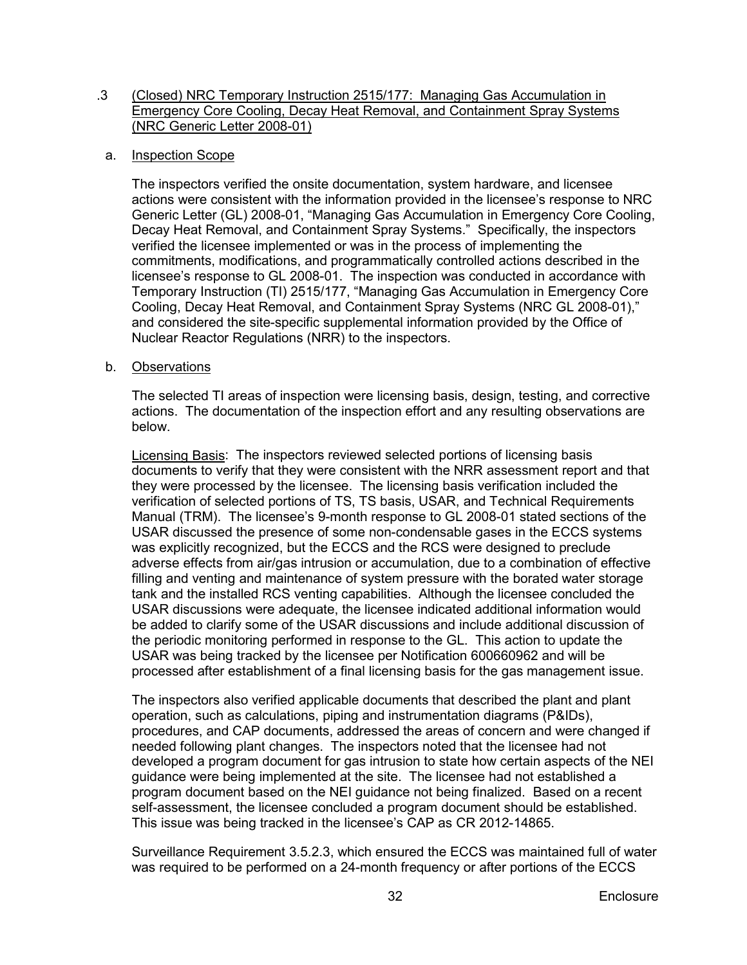#### .3 (Closed) NRC Temporary Instruction 2515/177: Managing Gas Accumulation in Emergency Core Cooling, Decay Heat Removal, and Containment Spray Systems (NRC Generic Letter 2008-01)

# a. Inspection Scope

The inspectors verified the onsite documentation, system hardware, and licensee actions were consistent with the information provided in the licensee's response to NRC Generic Letter (GL) 2008-01, "Managing Gas Accumulation in Emergency Core Cooling, Decay Heat Removal, and Containment Spray Systems." Specifically, the inspectors verified the licensee implemented or was in the process of implementing the commitments, modifications, and programmatically controlled actions described in the licensee's response to GL 2008-01. The inspection was conducted in accordance with Temporary Instruction (TI) 2515/177, "Managing Gas Accumulation in Emergency Core Cooling, Decay Heat Removal, and Containment Spray Systems (NRC GL 2008-01)," and considered the site-specific supplemental information provided by the Office of Nuclear Reactor Regulations (NRR) to the inspectors.

# b. <u>Observations</u>

The selected TI areas of inspection were licensing basis, design, testing, and corrective actions. The documentation of the inspection effort and any resulting observations are below.

Licensing Basis: The inspectors reviewed selected portions of licensing basis documents to verify that they were consistent with the NRR assessment report and that they were processed by the licensee. The licensing basis verification included the verification of selected portions of TS, TS basis, USAR, and Technical Requirements Manual (TRM). The licensee's 9-month response to GL 2008-01 stated sections of the USAR discussed the presence of some non-condensable gases in the ECCS systems was explicitly recognized, but the ECCS and the RCS were designed to preclude adverse effects from air/gas intrusion or accumulation, due to a combination of effective filling and venting and maintenance of system pressure with the borated water storage tank and the installed RCS venting capabilities. Although the licensee concluded the USAR discussions were adequate, the licensee indicated additional information would be added to clarify some of the USAR discussions and include additional discussion of the periodic monitoring performed in response to the GL. This action to update the USAR was being tracked by the licensee per Notification 600660962 and will be processed after establishment of a final licensing basis for the gas management issue.

The inspectors also verified applicable documents that described the plant and plant operation, such as calculations, piping and instrumentation diagrams (P&IDs), procedures, and CAP documents, addressed the areas of concern and were changed if needed following plant changes. The inspectors noted that the licensee had not developed a program document for gas intrusion to state how certain aspects of the NEI guidance were being implemented at the site. The licensee had not established a program document based on the NEI guidance not being finalized. Based on a recent self-assessment, the licensee concluded a program document should be established. This issue was being tracked in the licensee's CAP as CR 2012-14865.

Surveillance Requirement 3.5.2.3, which ensured the ECCS was maintained full of water was required to be performed on a 24-month frequency or after portions of the ECCS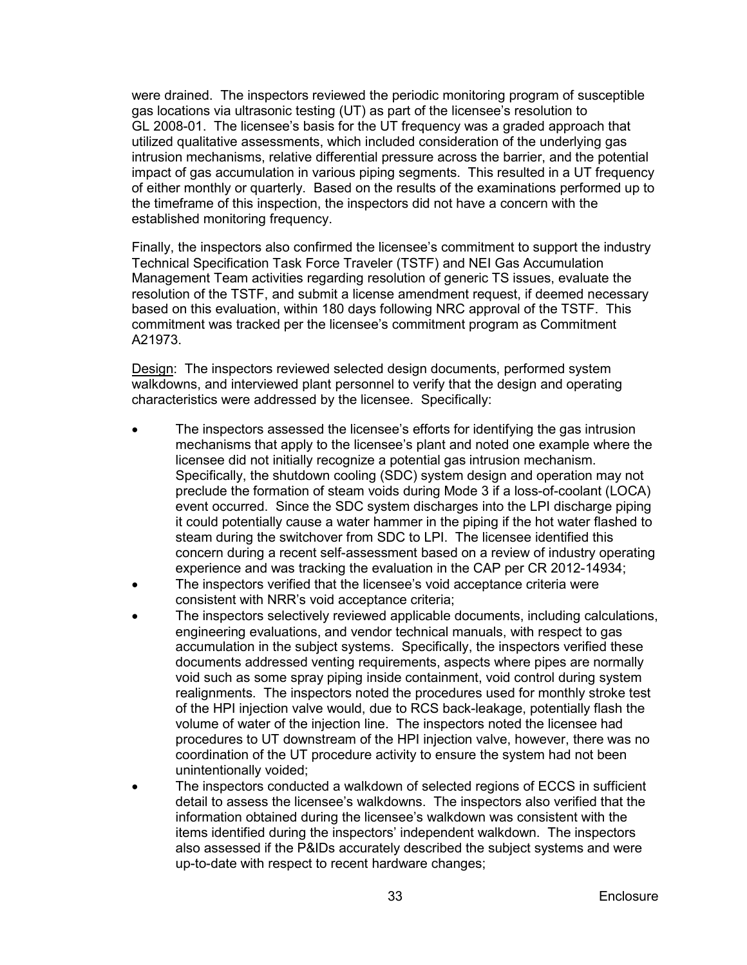were drained. The inspectors reviewed the periodic monitoring program of susceptible gas locations via ultrasonic testing (UT) as part of the licensee's resolution to GL 2008-01. The licensee's basis for the UT frequency was a graded approach that utilized qualitative assessments, which included consideration of the underlying gas intrusion mechanisms, relative differential pressure across the barrier, and the potential impact of gas accumulation in various piping segments. This resulted in a UT frequency of either monthly or quarterly. Based on the results of the examinations performed up to the timeframe of this inspection, the inspectors did not have a concern with the established monitoring frequency.

Finally, the inspectors also confirmed the licensee's commitment to support the industry Technical Specification Task Force Traveler (TSTF) and NEI Gas Accumulation Management Team activities regarding resolution of generic TS issues, evaluate the resolution of the TSTF, and submit a license amendment request, if deemed necessary based on this evaluation, within 180 days following NRC approval of the TSTF. This commitment was tracked per the licensee's commitment program as Commitment A21973.

Design: The inspectors reviewed selected design documents, performed system walkdowns, and interviewed plant personnel to verify that the design and operating characteristics were addressed by the licensee. Specifically:

- The inspectors assessed the licensee's efforts for identifying the gas intrusion mechanisms that apply to the licensee's plant and noted one example where the licensee did not initially recognize a potential gas intrusion mechanism. Specifically, the shutdown cooling (SDC) system design and operation may not preclude the formation of steam voids during Mode 3 if a loss-of-coolant (LOCA) event occurred. Since the SDC system discharges into the LPI discharge piping it could potentially cause a water hammer in the piping if the hot water flashed to steam during the switchover from SDC to LPI. The licensee identified this concern during a recent self-assessment based on a review of industry operating experience and was tracking the evaluation in the CAP per CR 2012-14934;
- The inspectors verified that the licensee's void acceptance criteria were consistent with NRR's void acceptance criteria;
- The inspectors selectively reviewed applicable documents, including calculations, engineering evaluations, and vendor technical manuals, with respect to gas accumulation in the subject systems. Specifically, the inspectors verified these documents addressed venting requirements, aspects where pipes are normally void such as some spray piping inside containment, void control during system realignments. The inspectors noted the procedures used for monthly stroke test of the HPI injection valve would, due to RCS back-leakage, potentially flash the volume of water of the injection line. The inspectors noted the licensee had procedures to UT downstream of the HPI injection valve, however, there was no coordination of the UT procedure activity to ensure the system had not been unintentionally voided;
- The inspectors conducted a walkdown of selected regions of ECCS in sufficient detail to assess the licensee's walkdowns. The inspectors also verified that the information obtained during the licensee's walkdown was consistent with the items identified during the inspectors' independent walkdown. The inspectors also assessed if the P&IDs accurately described the subject systems and were up-to-date with respect to recent hardware changes;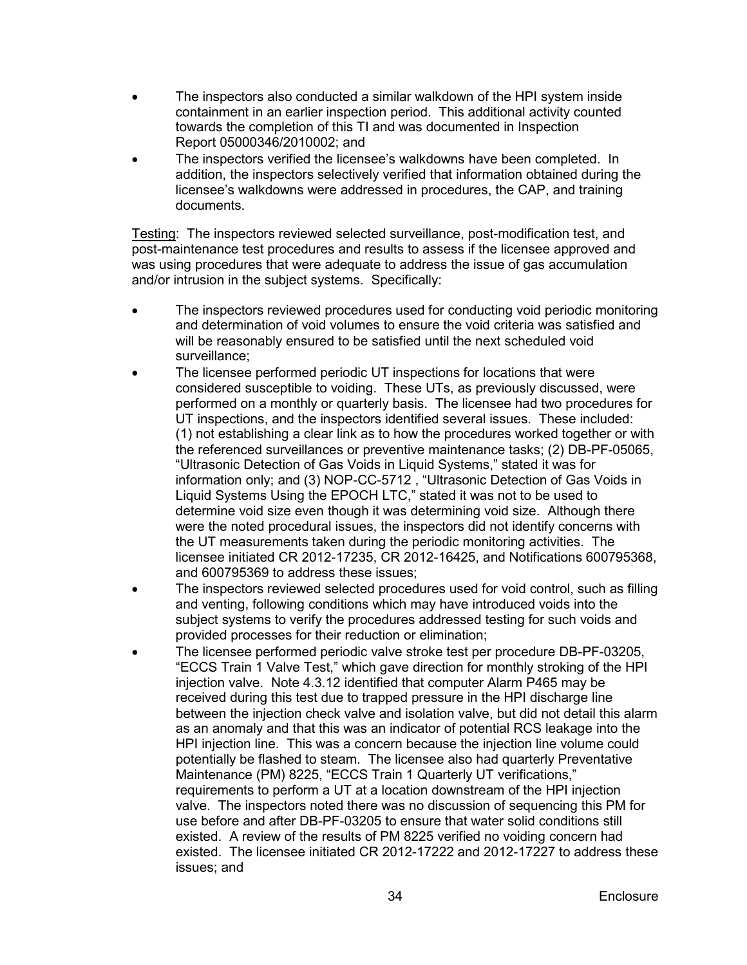- The inspectors also conducted a similar walkdown of the HPI system inside containment in an earlier inspection period. This additional activity counted towards the completion of this TI and was documented in Inspection Report 05000346/2010002; and
- The inspectors verified the licensee's walkdowns have been completed. In addition, the inspectors selectively verified that information obtained during the licensee's walkdowns were addressed in procedures, the CAP, and training documents.

Testing : The inspectors reviewed selected surveillance, post-modification test, and post-maintenance test procedures and results to assess if the licensee approved and was using procedures that were adequate to address the issue of gas accumulation and/or intrusion in the subject systems. Specifically:

- The inspectors reviewed procedures used for conducting void periodic monitoring and determination of void volumes to ensure the void criteria was satisfied and will be reasonably ensured to be satisfied until the next scheduled void surveillance;
- The licensee performed periodic UT inspections for locations that were considered susceptible to voiding. These UTs, as previously discussed, were performed on a monthly or quarterly basis. The licensee had two procedures for UT inspections, and the inspectors identified several issues. These included: (1) not establishing a clear link as to how the procedures worked together or with the referenced surveillances or preventive maintenance tasks; (2) DB-PF-05065, "Ultrasonic Detection of Gas Voids in Liquid Systems," stated it was for information only; and (3) NOP-CC-5712 , "Ultrasonic Detection of Gas Voids in Liquid Systems Using the EPOCH LTC," stated it was not to be used to determine void size even though it was determining void size. Although there were the noted procedural issues, the inspectors did not identify concerns with the UT measurements taken during the periodic monitoring activities. The licensee initiated CR 2012-17235, CR 2012-16425, and Notifications 600795368, and 600795369 to address these issues;
- The inspectors reviewed selected procedures used for void control, such as filling and venting, following conditions which may have introduced voids into the subject systems to verify the procedures addressed testing for such voids and provided processes for their reduction or elimination;
- The licensee performed periodic valve stroke test per procedure DB-PF-03205, "ECCS Train 1 Valve Test," which gave direction for monthly stroking of the HPI injection valve. Note 4.3.12 identified that computer Alarm P465 may be received during this test due to trapped pressure in the HPI discharge line between the injection check valve and isolation valve, but did not detail this alarm as an anomaly and that this was an indicator of potential RCS leakage into the HPI injection line. This was a concern because the injection line volume could potentially be flashed to steam. The licensee also had quarterly Preventative Maintenance (PM) 8225, "ECCS Train 1 Quarterly UT verifications," requirements to perform a UT at a location downstream of the HPI injection valve. The inspectors noted there was no discussion of sequencing this PM for use before and after DB-PF-03205 to ensure that water solid conditions still existed. A review of the results of PM 8225 verified no voiding concern had existed. The licensee initiated CR 2012-17222 and 2012-17227 to address these issues; and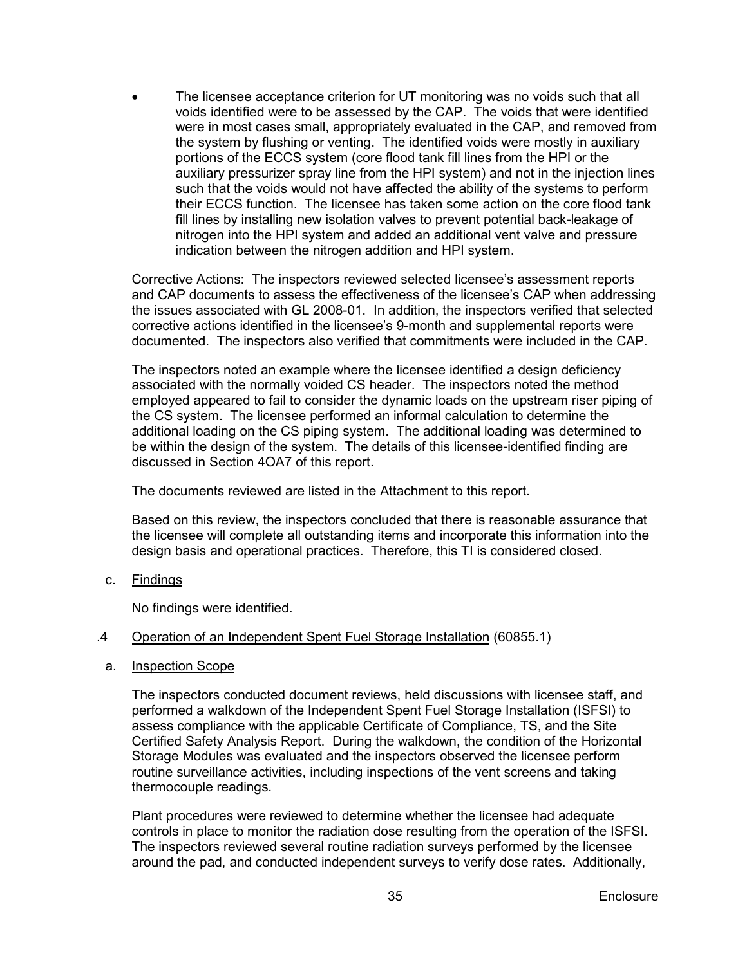• The licensee acceptance criterion for UT monitoring was no voids such that all voids identified were to be assessed by the CAP. The voids that were identified were in most cases small, appropriately evaluated in the CAP, and removed from the system by flushing or venting. The identified voids were mostly in auxiliary portions of the ECCS system (core flood tank fill lines from the HPI or the auxiliary pressurizer spray line from the HPI system) and not in the injection lines such that the voids would not have affected the ability of the systems to perform their ECCS function. The licensee has taken some action on the core flood tank fill lines by installing new isolation valves to prevent potential back-leakage of nitrogen into the HPI system and added an additional vent valve and pressure indication between the nitrogen addition and HPI system.

Corrective Actions: The inspectors reviewed selected licensee's assessment reports and CAP documents to assess the effectiveness of the licensee's CAP when addressing the issues associated with GL 2008-01. In addition, the inspectors verified that selected corrective actions identified in the licensee's 9-month and supplemental reports were documented. The inspectors also verified that commitments were included in the CAP.

The inspectors noted an example where the licensee identified a design deficiency associated with the normally voided CS header. The inspectors noted the method employed appeared to fail to consider the dynamic loads on the upstream riser piping of the CS system. The licensee performed an informal calculation to determine the additional loading on the CS piping system. The additional loading was determined to be within the design of the system. The details of this licensee-identified finding are discussed in Section 4OA7 of this report.

The documents reviewed are listed in the Attachment to this report.

Based on this review, the inspectors concluded that there is reasonable assurance that the licensee will complete all outstanding items and incorporate this information into the design basis and operational practices. Therefore, this TI is considered closed.

c. <u>Findings</u>

No findings were identified.

- .4 Operation of an Independent Spent Fuel Storage Installation (60855.1)
- a. Inspection Scope

The inspectors conducted document reviews, held discussions with licensee staff, and performed a walkdown of the Independent Spent Fuel Storage Installation (ISFSI) to assess compliance with the applicable Certificate of Compliance, TS, and the Site Certified Safety Analysis Report. During the walkdown, the condition of the Horizontal Storage Modules was evaluated and the inspectors observed the licensee perform routine surveillance activities, including inspections of the vent screens and taking thermocouple readings.

Plant procedures were reviewed to determine whether the licensee had adequate controls in place to monitor the radiation dose resulting from the operation of the ISFSI. The inspectors reviewed several routine radiation surveys performed by the licensee around the pad, and conducted independent surveys to verify dose rates. Additionally,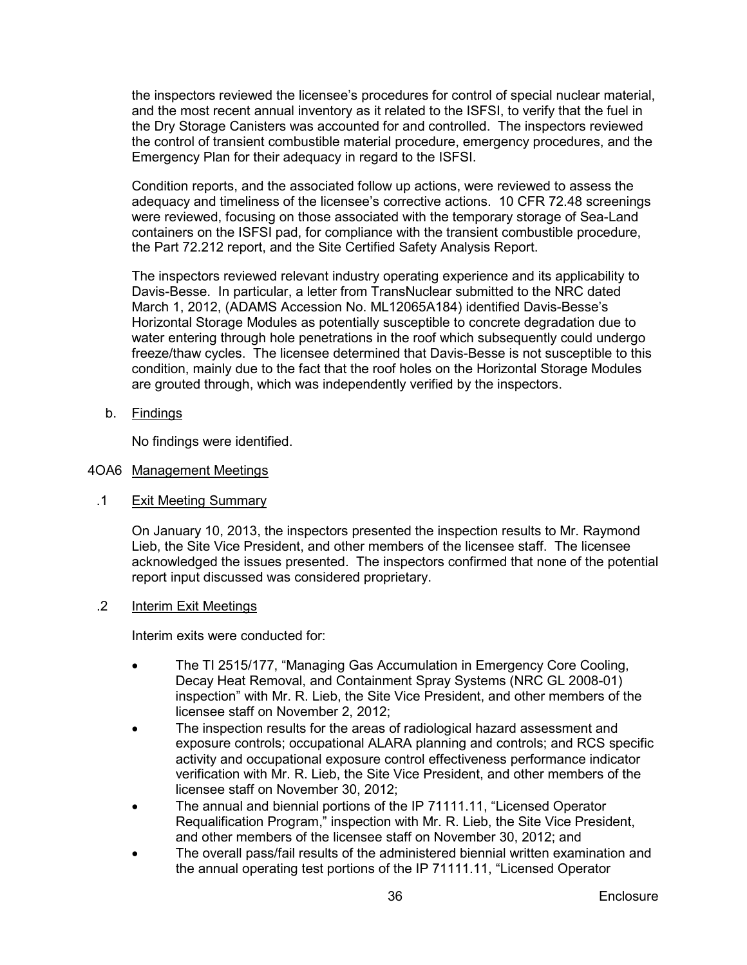the inspectors reviewed the licensee's procedures for control of special nuclear material, and the most recent annual inventory as it related to the ISFSI, to verify that the fuel in the Dry Storage Canisters was accounted for and controlled. The inspectors reviewed the control of transient combustible material procedure, emergency procedures, and the Emergency Plan for their adequacy in regard to the ISFSI.

Condition reports, and the associated follow up actions, were reviewed to assess the adequacy and timeliness of the licensee's corrective actions. 10 CFR 72.48 screenings were reviewed, focusing on those associated with the temporary storage of Sea-Land containers on the ISFSI pad, for compliance with the transient combustible procedure, the Part 72.212 report, and the Site Certified Safety Analysis Report.

The inspectors reviewed relevant industry operating experience and its applicability to Davis-Besse. In particular, a letter from TransNuclear submitted to the NRC dated March 1, 2012, (ADAMS Accession No. ML12065A184) identified Davis-Besse's Horizontal Storage Modules as potentially susceptible to concrete degradation due to water entering through hole penetrations in the roof which subsequently could undergo freeze/thaw cycles. The licensee determined that Davis-Besse is not susceptible to this condition, mainly due to the fact that the roof holes on the Horizontal Storage Modules are grouted through, which was independently verified by the inspectors.

b. <u>Findings</u>

No findings were identified.

# <span id="page-39-0"></span>4OA6 <u>Management Meetings</u>

.1 Exit Meeting Summary

> On January 10, 2013, the inspectors presented the inspection results to Mr. Raymond Lieb, the Site Vice President, and other members of the licensee staff. The licensee acknowledged the issues presented. The inspectors confirmed that none of the potential report input discussed was considered proprietary.

.2 Interim Exit Meetings

Interim exits were conducted for:

- The TI 2515/177, "Managing Gas Accumulation in Emergency Core Cooling. Decay Heat Removal, and Containment Spray Systems (NRC GL 2008-01) inspection" with Mr. R. Lieb, the Site Vice President, and other members of the licensee staff on November 2, 2012;
- The inspection results for the areas of radiological hazard assessment and exposure controls; occupational ALARA planning and controls; and RCS specific activity and occupational exposure control effectiveness performance indicator verification with Mr. R. Lieb, the Site Vice President, and other members of the licensee staff on November 30, 2012;
- The annual and biennial portions of the IP 71111.11, "Licensed Operator Requalification Program," inspection with Mr. R. Lieb, the Site Vice President, and other members of the licensee staff on November 30, 2012; and
- The overall pass/fail results of the administered biennial written examination and the annual operating test portions of the IP 71111.11, "Licensed Operator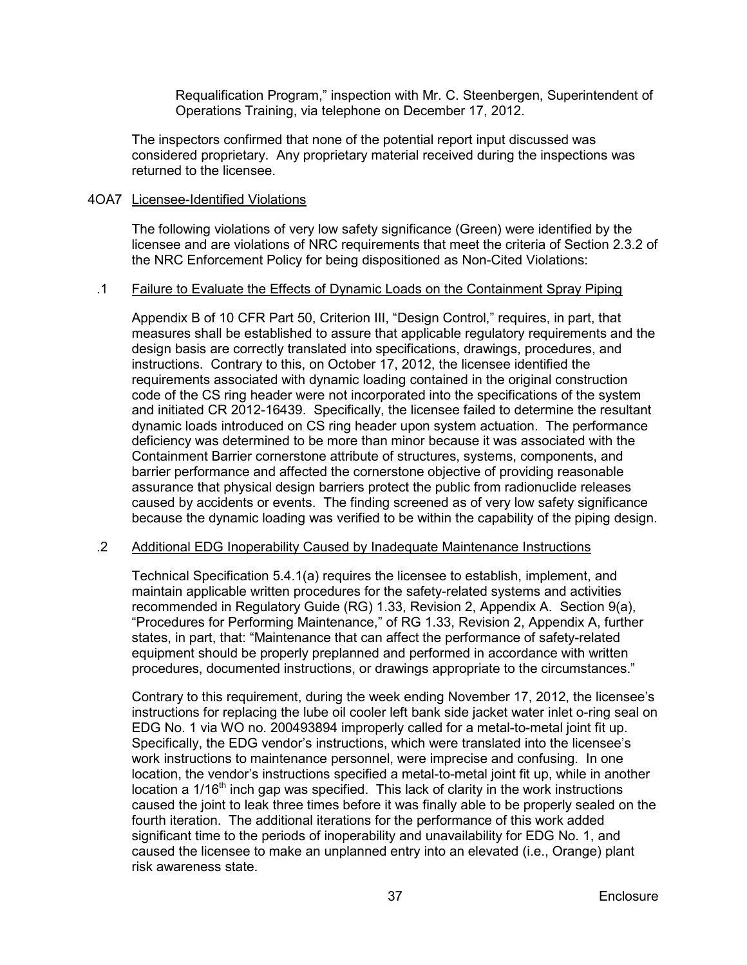Requalification Program," inspection with Mr. C. Steenbergen, Superintendent of Operations Training, via telephone on December 17, 2012.

The inspectors confirmed that none of the potential report input discussed was considered proprietary. Any proprietary material received during the inspections was returned to the licensee.

# <span id="page-40-0"></span>4OA7 Licensee-Identified Violations

The following violations of very low safety significance (Green) were identified by the licensee and are violations of NRC requirements that meet the criteria of Section 2.3.2 of the NRC Enforcement Policy for being dispositioned as Non-Cited Violations:

#### .1 Failure to Evaluate the Effects of Dynamic Loads on the Containment Spray Piping

Appendix B of 10 CFR Part 50, Criterion III, "Design Control," requires, in part, that measures shall be established to assure that applicable regulatory requirements and the design basis are correctly translated into specifications, drawings, procedures, and instructions. Contrary to this, on October 17, 2012, the licensee identified the requirements associated with dynamic loading contained in the original construction code of the CS ring header were not incorporated into the specifications of the system and initiated CR 2012-16439. Specifically, the licensee failed to determine the resultant dynamic loads introduced on CS ring header upon system actuation. The performance deficiency was determined to be more than minor because it was associated with the Containment Barrier cornerstone attribute of structures, systems, components, and barrier performance and affected the cornerstone objective of providing reasonable assurance that physical design barriers protect the public from radionuclide releases caused by accidents or events. The finding screened as of very low safety significance because the dynamic loading was verified to be within the capability of the piping design.

#### .2 Additional EDG Inoperability Caused by Inadequate Maintenance Instructions

Technical Specification 5.4.1(a) requires the licensee to establish, implement, and maintain applicable written procedures for the safety-related systems and activities recommended in Regulatory Guide (RG) 1.33, Revision 2, Appendix A. Section 9(a), "Procedures for Performing Maintenance," of RG 1.33, Revision 2, Appendix A, further states, in part, that: "Maintenance that can affect the performance of safety-related equipment should be properly preplanned and performed in accordance with written procedures, documented instructions, or drawings appropriate to the circumstances."

Contrary to this requirement, during the week ending November 17, 2012, the licensee's instructions for replacing the lube oil cooler left bank side jacket water inlet o-ring seal on EDG No. 1 via WO no. 200493894 improperly called for a metal-to-metal joint fit up. Specifically, the EDG vendor's instructions, which were translated into the licensee's work instructions to maintenance personnel, were imprecise and confusing. In one location, the vendor's instructions specified a metal-to-metal joint fit up, while in another location a  $1/16<sup>th</sup>$  inch gap was specified. This lack of clarity in the work instructions caused the joint to leak three times before it was finally able to be properly sealed on the fourth iteration. The additional iterations for the performance of this work added significant time to the periods of inoperability and unavailability for EDG No. 1, and caused the licensee to make an unplanned entry into an elevated (i.e., Orange) plant risk awareness state.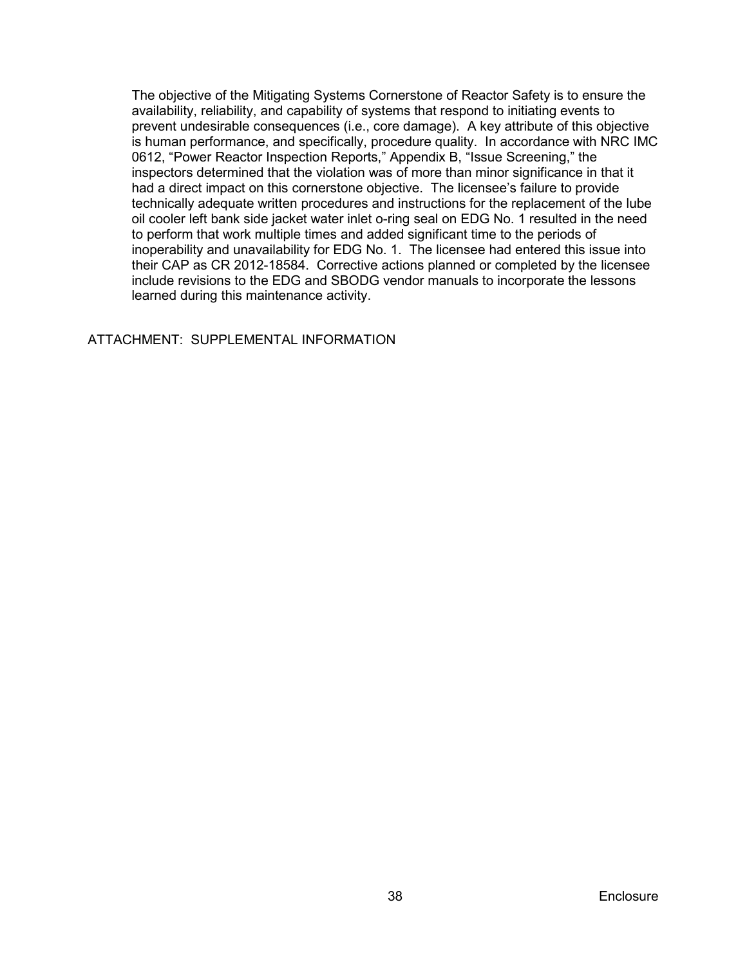The objective of the Mitigating Systems Cornerstone of Reactor Safety is to ensure the availability, reliability, and capability of systems that respond to initiating events to prevent undesirable consequences (i.e., core damage). A key attribute of this objective is human performance, and specifically, procedure quality. In accordance with NRC IMC 0612, "Power Reactor Inspection Reports," Appendix B, "Issue Screening," the inspectors determined that the violation was of more than minor significance in that it had a direct impact on this cornerstone objective. The licensee's failure to provide technically adequate written procedures and instructions for the replacement of the lube oil cooler left bank side jacket water inlet o-ring seal on EDG No. 1 resulted in the need to perform that work multiple times and added significant time to the periods of inoperability and unavailability for EDG No. 1. The licensee had entered this issue into their CAP as CR 2012-18584. Corrective actions planned or completed by the licensee include revisions to the EDG and SBODG vendor manuals to incorporate the lessons learned during this maintenance activity.

ATTACHMENT: SUPPLEMENTAL INFORMATION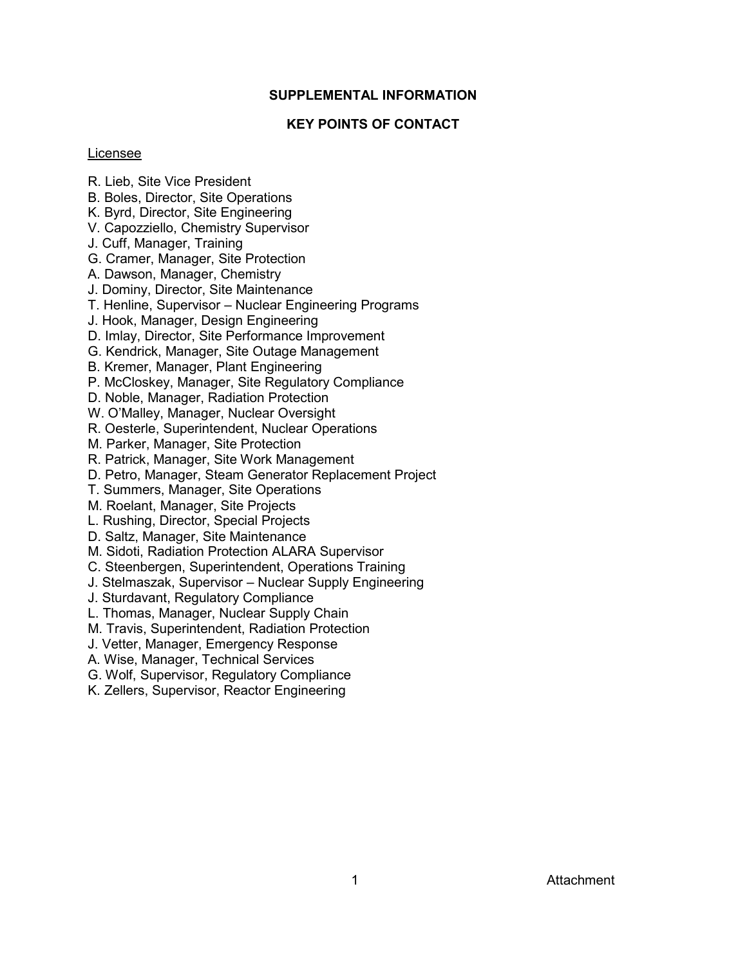#### **SUPPLEMENTAL INFORMATION**

# **KEY POINTS OF CONTACT**

#### <span id="page-42-1"></span><span id="page-42-0"></span>Licensee

- R. Lieb, Site Vice President
- B. Boles, Director, Site Operations
- K. Byrd, Director, Site Engineering
- V. Capozziello, Chemistry Supervisor
- J. Cuff, Manager, Training
- G. Cramer, Manager, Site Protection
- A. Dawson, Manager, Chemistry
- J. Dominy, Director, Site Maintenance
- T. Henline, Supervisor Nuclear Engineering Programs
- J. Hook, Manager, Design Engineering
- D. Imlay, Director, Site Performance Improvement
- G. Kendrick, Manager, Site Outage Management
- B. Kremer, Manager, Plant Engineering
- P. McCloskey, Manager, Site Regulatory Compliance
- D. Noble, Manager, Radiation Protection
- W. O'Malley, Manager, Nuclear Oversight
- R. Oesterle, Superintendent, Nuclear Operations
- M. Parker, Manager, Site Protection
- R. Patrick, Manager, Site Work Management
- D. Petro, Manager, Steam Generator Replacement Project
- T. Summers, Manager, Site Operations
- M. Roelant, Manager, Site Projects
- L. Rushing, Director, Special Projects
- D. Saltz, Manager, Site Maintenance
- M. Sidoti, Radiation Protection ALARA Supervisor
- C. Steenbergen, Superintendent, Operations Training
- J. Stelmaszak, Supervisor Nuclear Supply Engineering
- J. Sturdavant, Regulatory Compliance
- L. Thomas, Manager, Nuclear Supply Chain
- M. Travis, Superintendent, Radiation Protection
- J. Vetter, Manager, Emergency Response
- A. Wise, Manager, Technical Services
- G. Wolf, Supervisor, Regulatory Compliance
- <span id="page-42-2"></span>K. Zellers, Supervisor, Reactor Engineering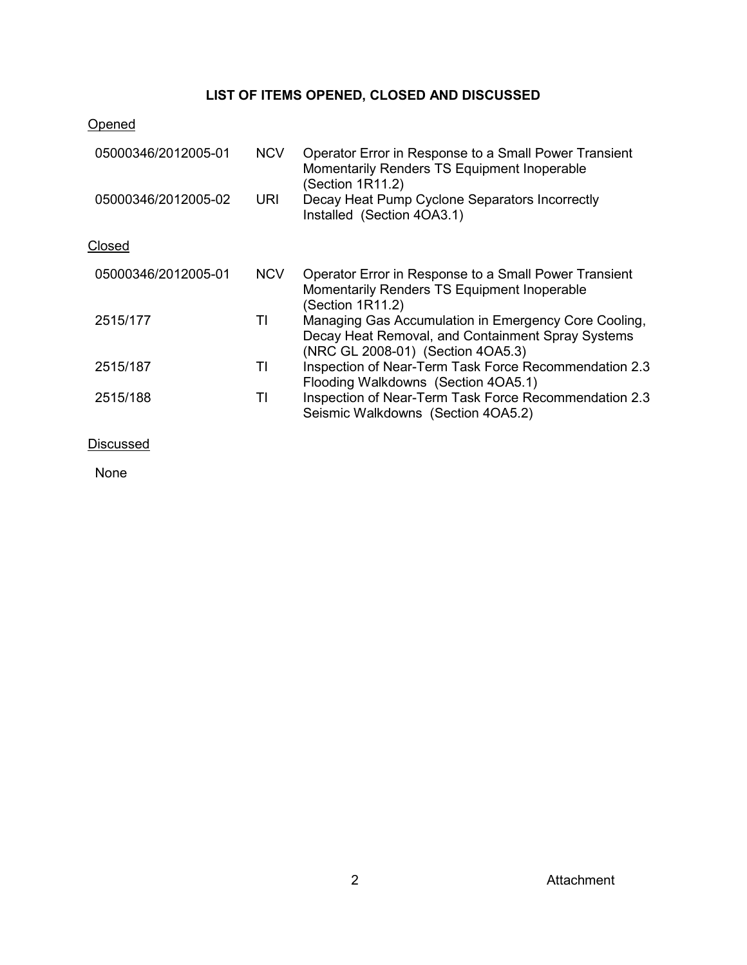# **LIST OF ITEMS OPENED, CLOSED AND DISCUSSED**

# **Opened**

| 05000346/2012005-01 | <b>NCV</b> | Operator Error in Response to a Small Power Transient<br>Momentarily Renders TS Equipment Inoperable<br>(Section 1R11.2)                       |
|---------------------|------------|------------------------------------------------------------------------------------------------------------------------------------------------|
| 05000346/2012005-02 | <b>URI</b> | Decay Heat Pump Cyclone Separators Incorrectly<br>Installed (Section 4OA3.1)                                                                   |
| Closed              |            |                                                                                                                                                |
| 05000346/2012005-01 | <b>NCV</b> | Operator Error in Response to a Small Power Transient<br>Momentarily Renders TS Equipment Inoperable<br>(Section 1R11.2)                       |
| 2515/177            | TI         | Managing Gas Accumulation in Emergency Core Cooling,<br>Decay Heat Removal, and Containment Spray Systems<br>(NRC GL 2008-01) (Section 4OA5.3) |
| 2515/187            | TI         | Inspection of Near-Term Task Force Recommendation 2.3<br>Flooding Walkdowns (Section 4OA5.1)                                                   |
| 2515/188            | TI         | Inspection of Near-Term Task Force Recommendation 2.3<br>Seismic Walkdowns (Section 4OA5.2)                                                    |
| Discussed           |            |                                                                                                                                                |

<span id="page-43-0"></span>None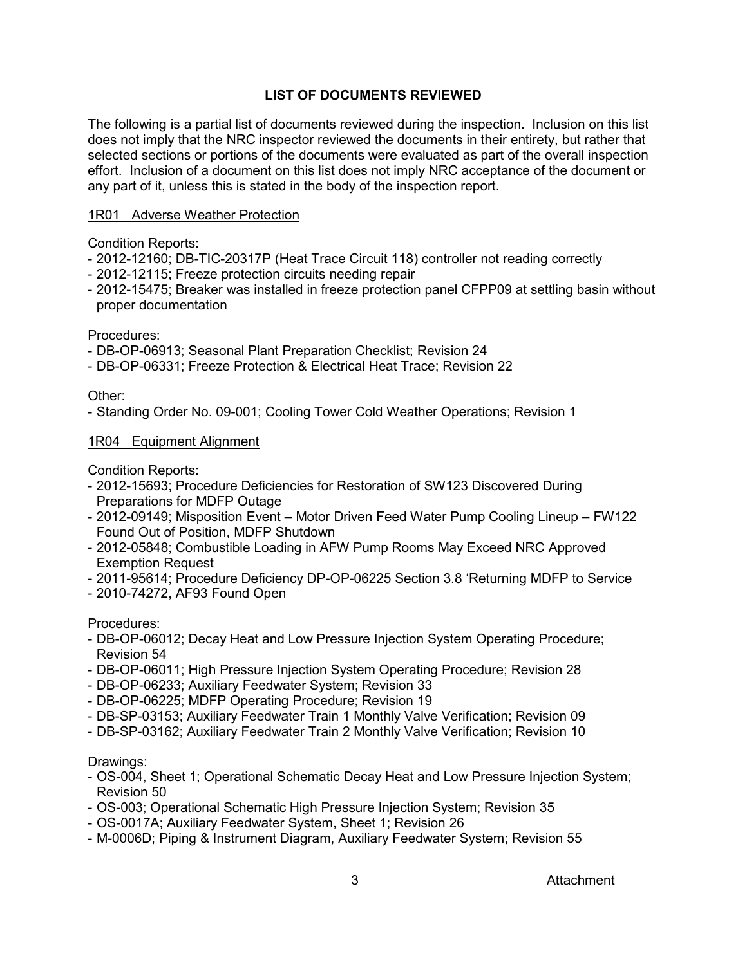# **LIST OF DOCUMENTS REVIEWED**

The following is a partial list of documents reviewed during the inspection. Inclusion on this list does not imply that the NRC inspector reviewed the documents in their entirety, but rather that selected sections or portions of the documents were evaluated as part of the overall inspection effort. Inclusion of a document on this list does not imply NRC acceptance of the document or any part of it, unless this is stated in the body of the inspection report.

#### 1R01 Adverse Weather Protection

Condition Reports:

- 2012-12160; DB-TIC-20317P (Heat Trace Circuit 118) controller not reading correctly
- 2012-12115; Freeze protection circuits needing repair
- 2012-15475; Breaker was installed in freeze protection panel CFPP09 at settling basin without proper documentation

Procedures:

- DB-OP-06913; Seasonal Plant Preparation Checklist; Revision 24
- DB-OP-06331; Freeze Protection & Electrical Heat Trace; Revision 22

#### Other:

- Standing Order No. 09-001; Cooling Tower Cold Weather Operations; Revision 1

### 1R04 Equipment Alignment

Condition Reports:

- 2012-15693; Procedure Deficiencies for Restoration of SW123 Discovered During Preparations for MDFP Outage
- 2012-09149; Misposition Event Motor Driven Feed Water Pump Cooling Lineup FW122 Found Out of Position, MDFP Shutdown
- 2012-05848; Combustible Loading in AFW Pump Rooms May Exceed NRC Approved Exemption Request
- 2011-95614; Procedure Deficiency DP-OP-06225 Section 3.8 'Returning MDFP to Service
- 2010-74272, AF93 Found Open

Procedures:

- DB-OP-06012; Decay Heat and Low Pressure Injection System Operating Procedure; Revision 54
- DB-OP-06011; High Pressure Injection System Operating Procedure; Revision 28
- DB-OP-06233; Auxiliary Feedwater System; Revision 33
- DB-OP-06225; MDFP Operating Procedure; Revision 19
- DB-SP-03153; Auxiliary Feedwater Train 1 Monthly Valve Verification; Revision 09
- DB-SP-03162; Auxiliary Feedwater Train 2 Monthly Valve Verification; Revision 10

#### Drawings:

- OS-004, Sheet 1; Operational Schematic Decay Heat and Low Pressure Injection System; Revision 50
- OS-003; Operational Schematic High Pressure Injection System; Revision 35
- OS-0017A; Auxiliary Feedwater System, Sheet 1; Revision 26
- M-0006D; Piping & Instrument Diagram, Auxiliary Feedwater System; Revision 55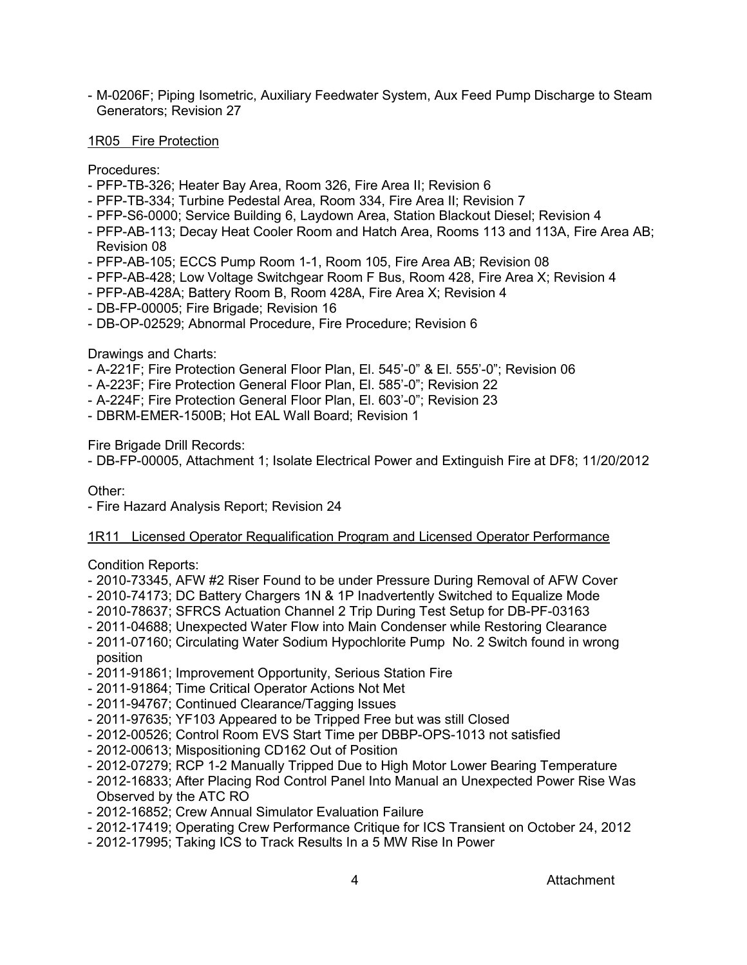- M-0206F; Piping Isometric, Auxiliary Feedwater System, Aux Feed Pump Discharge to Steam Generators; Revision 27

1R05 Fire Protection

Procedures:

- PFP-TB-326; Heater Bay Area, Room 326, Fire Area II; Revision 6
- PFP-TB-334; Turbine Pedestal Area, Room 334, Fire Area II; Revision 7
- PFP-S6-0000; Service Building 6, Laydown Area, Station Blackout Diesel; Revision 4
- PFP-AB-113; Decay Heat Cooler Room and Hatch Area, Rooms 113 and 113A, Fire Area AB; Revision 08
- PFP-AB-105; ECCS Pump Room 1-1, Room 105, Fire Area AB; Revision 08
- PFP-AB-428; Low Voltage Switchgear Room F Bus, Room 428, Fire Area X; Revision 4
- PFP-AB-428A; Battery Room B, Room 428A, Fire Area X; Revision 4
- DB-FP-00005; Fire Brigade; Revision 16
- DB-OP-02529; Abnormal Procedure, Fire Procedure; Revision 6

Drawings and Charts:

- A-221F; Fire Protection General Floor Plan, El. 545'-0" & El. 555'-0"; Revision 06
- A-223F; Fire Protection General Floor Plan, El. 585'-0"; Revision 22
- A-224F; Fire Protection General Floor Plan, El. 603'-0"; Revision 23
- DBRM-EMER-1500B; Hot EAL Wall Board; Revision 1

Fire Brigade Drill Records:

- DB-FP-00005, Attachment 1; Isolate Electrical Power and Extinguish Fire at DF8; 11/20/2012

Other:

- Fire Hazard Analysis Report; Revision 24

# 1R11 Licensed Operator Requalification Program and Licensed Operator Performance

Condition Reports:

- 2010-73345, AFW #2 Riser Found to be under Pressure During Removal of AFW Cover
- 2010-74173; DC Battery Chargers 1N & 1P Inadvertently Switched to Equalize Mode
- 2010-78637; SFRCS Actuation Channel 2 Trip During Test Setup for DB-PF-03163
- 2011-04688; Unexpected Water Flow into Main Condenser while Restoring Clearance
- 2011-07160; Circulating Water Sodium Hypochlorite Pump No. 2 Switch found in wrong position
- 2011-91861; Improvement Opportunity, Serious Station Fire
- 2011-91864; Time Critical Operator Actions Not Met
- 2011-94767; Continued Clearance/Tagging Issues
- 2011-97635; YF103 Appeared to be Tripped Free but was still Closed
- 2012-00526; Control Room EVS Start Time per DBBP-OPS-1013 not satisfied
- 2012-00613; Mispositioning CD162 Out of Position
- 2012-07279; RCP 1-2 Manually Tripped Due to High Motor Lower Bearing Temperature
- 2012-16833; After Placing Rod Control Panel Into Manual an Unexpected Power Rise Was Observed by the ATC RO
- 2012-16852; Crew Annual Simulator Evaluation Failure
- 2012-17419; Operating Crew Performance Critique for ICS Transient on October 24, 2012
- 2012-17995; Taking ICS to Track Results In a 5 MW Rise In Power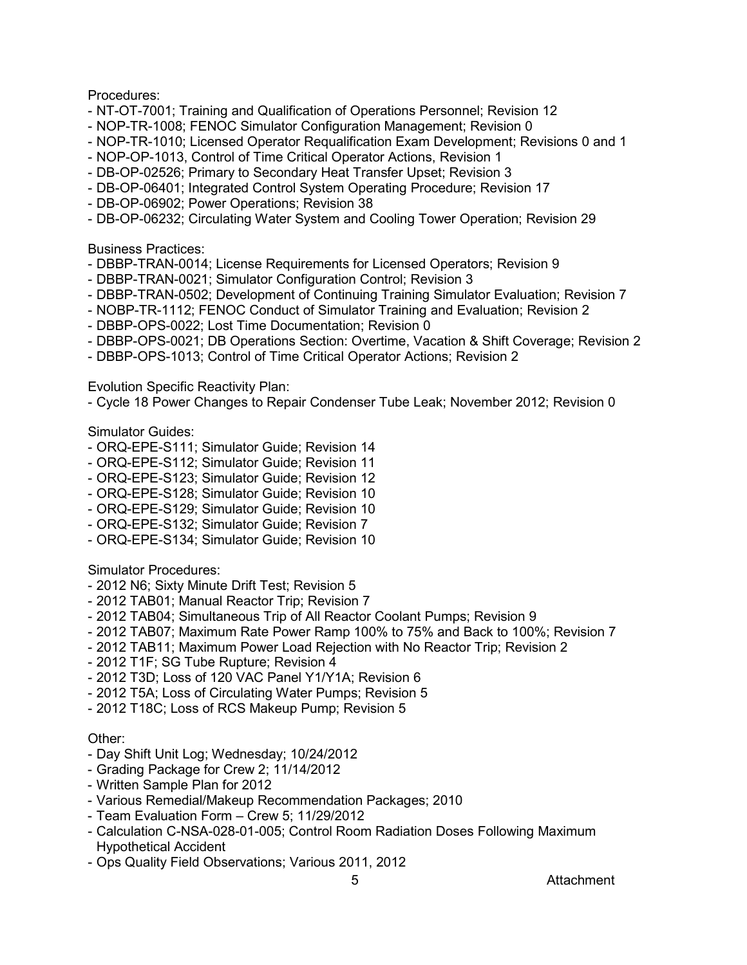# Procedures:

- NT-OT-7001; Training and Qualification of Operations Personnel; Revision 12
- NOP-TR-1008; FENOC Simulator Configuration Management; Revision 0
- NOP-TR-1010; Licensed Operator Requalification Exam Development; Revisions 0 and 1
- NOP-OP-1013, Control of Time Critical Operator Actions, Revision 1
- DB-OP-02526; Primary to Secondary Heat Transfer Upset; Revision 3
- DB-OP-06401; Integrated Control System Operating Procedure; Revision 17
- DB-OP-06902; Power Operations; Revision 38
- DB-OP-06232; Circulating Water System and Cooling Tower Operation; Revision 29

#### Business Practices:

- DBBP-TRAN-0014; License Requirements for Licensed Operators; Revision 9
- DBBP-TRAN-0021; Simulator Configuration Control; Revision 3
- DBBP-TRAN-0502; Development of Continuing Training Simulator Evaluation; Revision 7
- NOBP-TR-1112; FENOC Conduct of Simulator Training and Evaluation; Revision 2
- DBBP-OPS-0022; Lost Time Documentation; Revision 0
- DBBP-OPS-0021; DB Operations Section: Overtime, Vacation & Shift Coverage; Revision 2
- DBBP-OPS-1013; Control of Time Critical Operator Actions; Revision 2

Evolution Specific Reactivity Plan:

- Cycle 18 Power Changes to Repair Condenser Tube Leak; November 2012; Revision 0

### Simulator Guides:

- ORQ-EPE-S111; Simulator Guide; Revision 14
- ORQ-EPE-S112; Simulator Guide; Revision 11
- ORQ-EPE-S123; Simulator Guide; Revision 12
- ORQ-EPE-S128; Simulator Guide; Revision 10
- ORQ-EPE-S129; Simulator Guide; Revision 10
- ORQ-EPE-S132; Simulator Guide; Revision 7
- ORQ-EPE-S134; Simulator Guide; Revision 10

Simulator Procedures:

- 2012 N6; Sixty Minute Drift Test; Revision 5
- 2012 TAB01; Manual Reactor Trip; Revision 7
- 2012 TAB04; Simultaneous Trip of All Reactor Coolant Pumps; Revision 9
- 2012 TAB07; Maximum Rate Power Ramp 100% to 75% and Back to 100%; Revision 7
- 2012 TAB11; Maximum Power Load Rejection with No Reactor Trip; Revision 2
- 2012 T1F; SG Tube Rupture; Revision 4
- 2012 T3D; Loss of 120 VAC Panel Y1/Y1A; Revision 6
- 2012 T5A; Loss of Circulating Water Pumps; Revision 5
- 2012 T18C; Loss of RCS Makeup Pump; Revision 5

# Other:

- Day Shift Unit Log; Wednesday; 10/24/2012
- Grading Package for Crew 2; 11/14/2012
- Written Sample Plan for 2012
- Various Remedial/Makeup Recommendation Packages; 2010
- Team Evaluation Form Crew 5; 11/29/2012
- Calculation C-NSA-028-01-005; Control Room Radiation Doses Following Maximum Hypothetical Accident
- Ops Quality Field Observations; Various 2011, 2012

5 Attachment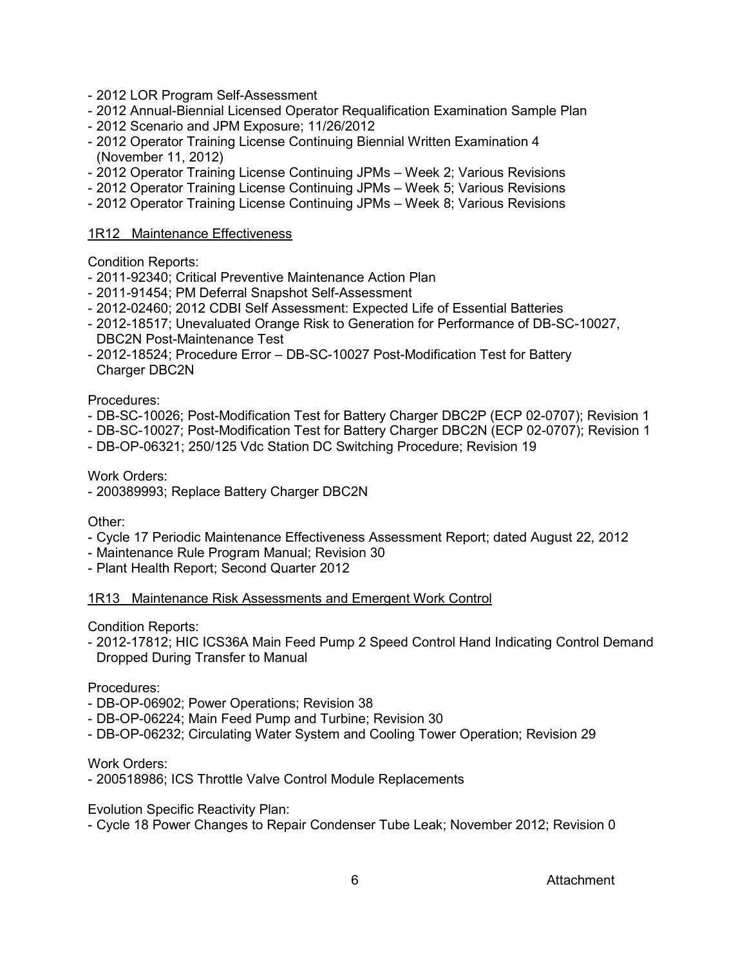- 2012 LOR Program Self-Assessment
- 2012 Annual-Biennial Licensed Operator Requalification Examination Sample Plan
- 2012 Scenario and JPM Exposure; 11/26/2012
- 2012 Operator Training License Continuing Biennial Written Examination 4 (November 11, 2012)
- 2012 Operator Training License Continuing JPMs Week 2; Various Revisions
- 2012 Operator Training License Continuing JPMs Week 5; Various Revisions
- 2012 Operator Training License Continuing JPMs Week 8; Various Revisions

#### 1R12 Maintenance Effectiveness

Condition Reports:

- 2011-92340; Critical Preventive Maintenance Action Plan
- 2011-91454; PM Deferral Snapshot Self-Assessment
- 2012-02460; 2012 CDBI Self Assessment: Expected Life of Essential Batteries
- 2012-18517; Unevaluated Orange Risk to Generation for Performance of DB-SC-10027, DBC2N Post-Maintenance Test
- 2012-18524; Procedure Error DB-SC-10027 Post-Modification Test for Battery Charger DBC2N

#### Procedures:

- DB-SC-10026; Post-Modification Test for Battery Charger DBC2P (ECP 02-0707); Revision 1
- DB-SC-10027; Post-Modification Test for Battery Charger DBC2N (ECP 02-0707); Revision 1
- DB-OP-06321; 250/125 Vdc Station DC Switching Procedure; Revision 19

#### Work Orders:

- 200389993; Replace Battery Charger DBC2N

Other:

- Cycle 17 Periodic Maintenance Effectiveness Assessment Report; dated August 22, 2012
- Maintenance Rule Program Manual; Revision 30
- Plant Health Report; Second Quarter 2012

#### 1R13 Maintenance Risk Assessments and Emergent Work Control

Condition Reports:

- 2012-17812; HIC ICS36A Main Feed Pump 2 Speed Control Hand Indicating Control Demand Dropped During Transfer to Manual

Procedures:

- DB-OP-06902; Power Operations; Revision 38
- DB-OP-06224; Main Feed Pump and Turbine; Revision 30
- DB-OP-06232; Circulating Water System and Cooling Tower Operation; Revision 29

Work Orders:

- 200518986; ICS Throttle Valve Control Module Replacements

Evolution Specific Reactivity Plan:

- Cycle 18 Power Changes to Repair Condenser Tube Leak; November 2012; Revision 0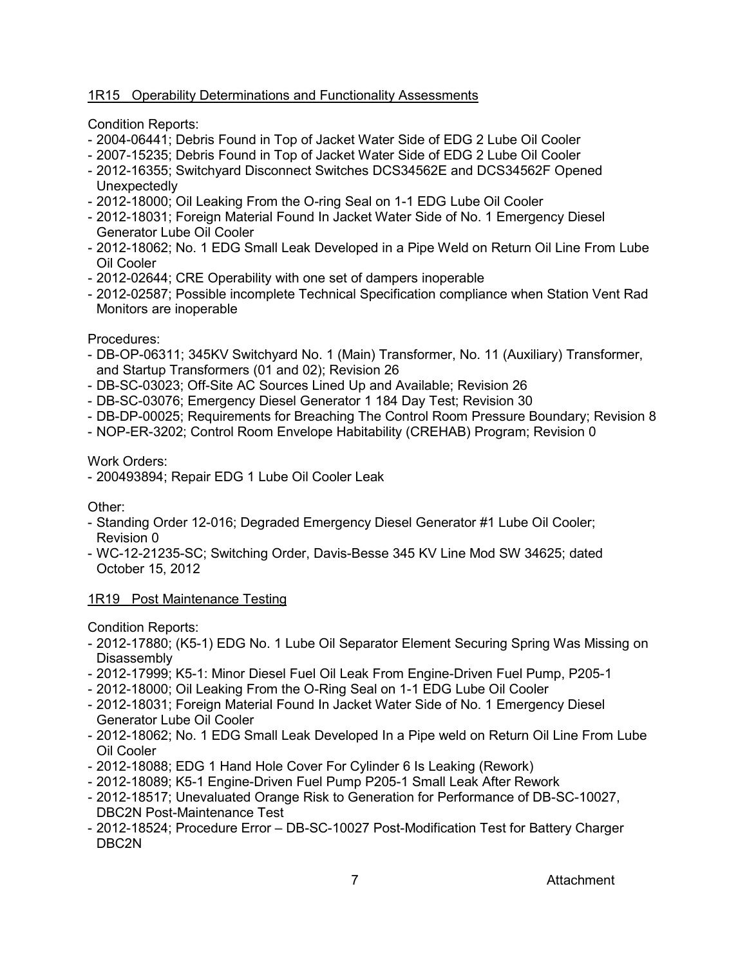# 1R15 Operability Determinations and Functionality Assessments

Condition Reports:

- 2004-06441; Debris Found in Top of Jacket Water Side of EDG 2 Lube Oil Cooler
- 2007-15235; Debris Found in Top of Jacket Water Side of EDG 2 Lube Oil Cooler
- 2012-16355; Switchyard Disconnect Switches DCS34562E and DCS34562F Opened Unexpectedly
- 2012-18000; Oil Leaking From the O-ring Seal on 1-1 EDG Lube Oil Cooler
- 2012-18031; Foreign Material Found In Jacket Water Side of No. 1 Emergency Diesel Generator Lube Oil Cooler
- 2012-18062; No. 1 EDG Small Leak Developed in a Pipe Weld on Return Oil Line From Lube Oil Cooler
- 2012-02644; CRE Operability with one set of dampers inoperable
- 2012-02587; Possible incomplete Technical Specification compliance when Station Vent Rad Monitors are inoperable

Procedures:

- DB-OP-06311; 345KV Switchyard No. 1 (Main) Transformer, No. 11 (Auxiliary) Transformer, and Startup Transformers (01 and 02); Revision 26
- DB-SC-03023; Off-Site AC Sources Lined Up and Available; Revision 26
- DB-SC-03076; Emergency Diesel Generator 1 184 Day Test; Revision 30
- DB-DP-00025; Requirements for Breaching The Control Room Pressure Boundary; Revision 8
- NOP-ER-3202; Control Room Envelope Habitability (CREHAB) Program; Revision 0

Work Orders:

- 200493894; Repair EDG 1 Lube Oil Cooler Leak

Other:

- Standing Order 12-016; Degraded Emergency Diesel Generator #1 Lube Oil Cooler; Revision 0
- WC-12-21235-SC; Switching Order, Davis-Besse 345 KV Line Mod SW 34625; dated October 15, 2012

# 1R19 Post Maintenance Testing

Condition Reports:

- 2012-17880; (K5-1) EDG No. 1 Lube Oil Separator Element Securing Spring Was Missing on Disassembly
- 2012-17999; K5-1: Minor Diesel Fuel Oil Leak From Engine-Driven Fuel Pump, P205-1
- 2012-18000; Oil Leaking From the O-Ring Seal on 1-1 EDG Lube Oil Cooler
- 2012-18031; Foreign Material Found In Jacket Water Side of No. 1 Emergency Diesel Generator Lube Oil Cooler
- 2012-18062; No. 1 EDG Small Leak Developed In a Pipe weld on Return Oil Line From Lube Oil Cooler
- 2012-18088; EDG 1 Hand Hole Cover For Cylinder 6 Is Leaking (Rework)
- 2012-18089; K5-1 Engine-Driven Fuel Pump P205-1 Small Leak After Rework
- 2012-18517; Unevaluated Orange Risk to Generation for Performance of DB-SC-10027, DBC2N Post-Maintenance Test
- 2012-18524; Procedure Error DB-SC-10027 Post-Modification Test for Battery Charger DBC2N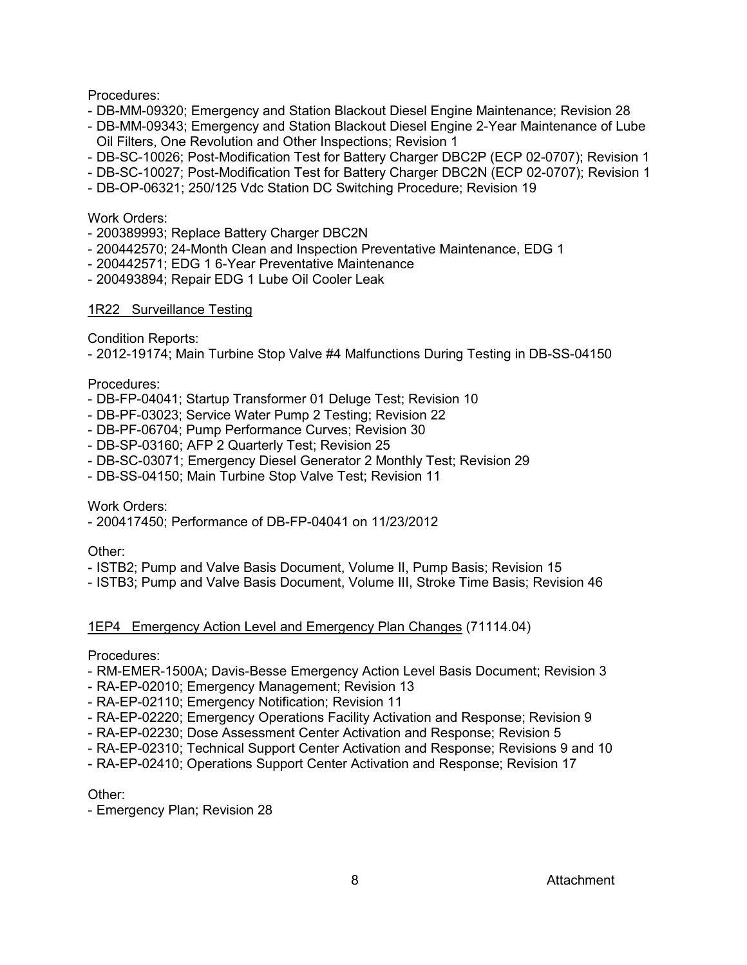# Procedures:

- DB-MM-09320; Emergency and Station Blackout Diesel Engine Maintenance; Revision 28
- DB-MM-09343; Emergency and Station Blackout Diesel Engine 2-Year Maintenance of Lube Oil Filters, One Revolution and Other Inspections; Revision 1
- DB-SC-10026; Post-Modification Test for Battery Charger DBC2P (ECP 02-0707); Revision 1
- DB-SC-10027; Post-Modification Test for Battery Charger DBC2N (ECP 02-0707); Revision 1
- DB-OP-06321; 250/125 Vdc Station DC Switching Procedure; Revision 19

#### Work Orders:

- 200389993; Replace Battery Charger DBC2N
- 200442570; 24-Month Clean and Inspection Preventative Maintenance, EDG 1
- 200442571; EDG 1 6-Year Preventative Maintenance
- 200493894; Repair EDG 1 Lube Oil Cooler Leak

### 1R22 Surveillance Testing

Condition Reports:

- 2012-19174; Main Turbine Stop Valve #4 Malfunctions During Testing in DB-SS-04150

### Procedures:

- DB-FP-04041; Startup Transformer 01 Deluge Test; Revision 10
- DB-PF-03023; Service Water Pump 2 Testing; Revision 22
- DB-PF-06704; Pump Performance Curves; Revision 30
- DB-SP-03160; AFP 2 Quarterly Test; Revision 25
- DB-SC-03071; Emergency Diesel Generator 2 Monthly Test; Revision 29
- DB-SS-04150; Main Turbine Stop Valve Test; Revision 11

#### Work Orders:

- 200417450; Performance of DB-FP-04041 on 11/23/2012

#### Other:

- ISTB2; Pump and Valve Basis Document, Volume II, Pump Basis; Revision 15
- ISTB3; Pump and Valve Basis Document, Volume III, Stroke Time Basis; Revision 46

# 1EP4 Emergency Action Level and Emergency Plan Changes (71114.04)

Procedures:

- RM-EMER-1500A; Davis-Besse Emergency Action Level Basis Document; Revision 3
- RA-EP-02010; Emergency Management; Revision 13
- RA-EP-02110; Emergency Notification; Revision 11
- RA-EP-02220; Emergency Operations Facility Activation and Response; Revision 9
- RA-EP-02230; Dose Assessment Center Activation and Response; Revision 5
- RA-EP-02310; Technical Support Center Activation and Response; Revisions 9 and 10
- RA-EP-02410; Operations Support Center Activation and Response; Revision 17

Other:

- Emergency Plan; Revision 28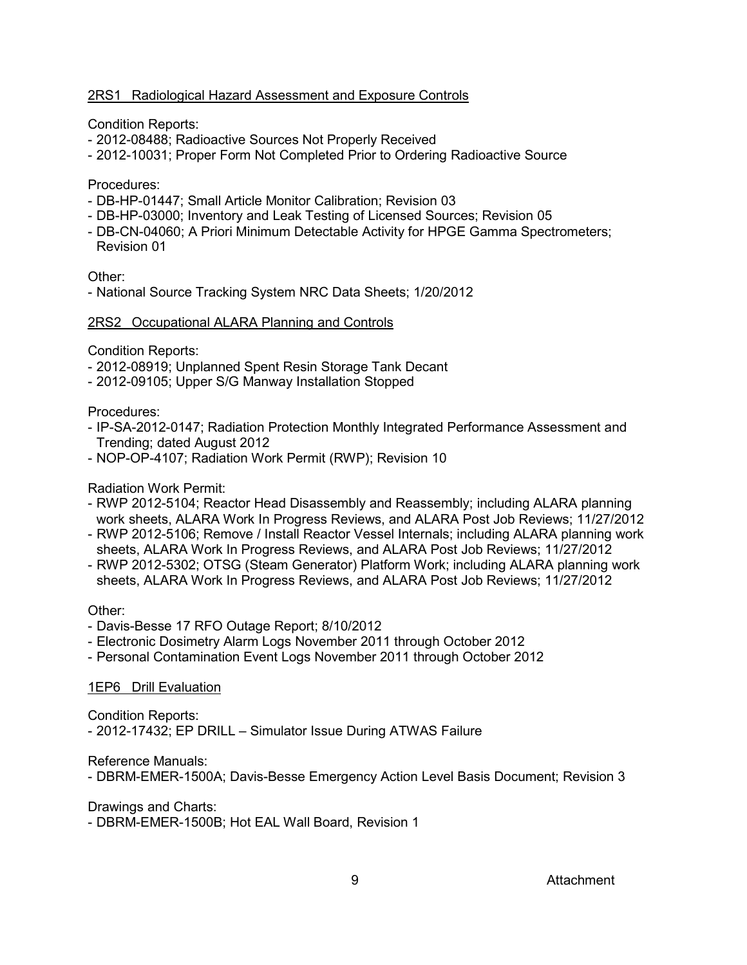# 2RS1 Radiological Hazard Assessment and Exposure Controls

Condition Reports:

- 2012-08488; Radioactive Sources Not Properly Received
- 2012-10031; Proper Form Not Completed Prior to Ordering Radioactive Source

#### Procedures:

- DB-HP-01447; Small Article Monitor Calibration; Revision 03
- DB-HP-03000; Inventory and Leak Testing of Licensed Sources; Revision 05
- DB-CN-04060; A Priori Minimum Detectable Activity for HPGE Gamma Spectrometers; Revision 01

Other:

- National Source Tracking System NRC Data Sheets; 1/20/2012

### 2RS2 Occupational ALARA Planning and Controls

Condition Reports:

- 2012-08919; Unplanned Spent Resin Storage Tank Decant
- 2012-09105; Upper S/G Manway Installation Stopped

Procedures:

- IP-SA-2012-0147; Radiation Protection Monthly Integrated Performance Assessment and Trending; dated August 2012
- NOP-OP-4107; Radiation Work Permit (RWP); Revision 10

# Radiation Work Permit:

- RWP 2012-5104; Reactor Head Disassembly and Reassembly; including ALARA planning work sheets, ALARA Work In Progress Reviews, and ALARA Post Job Reviews; 11/27/2012
- RWP 2012-5106; Remove / Install Reactor Vessel Internals; including ALARA planning work sheets, ALARA Work In Progress Reviews, and ALARA Post Job Reviews; 11/27/2012
- RWP 2012-5302; OTSG (Steam Generator) Platform Work; including ALARA planning work sheets, ALARA Work In Progress Reviews, and ALARA Post Job Reviews; 11/27/2012

#### Other:

- Davis-Besse 17 RFO Outage Report; 8/10/2012
- Electronic Dosimetry Alarm Logs November 2011 through October 2012
- Personal Contamination Event Logs November 2011 through October 2012

# 1EP6 Drill Evaluation

Condition Reports:

- 2012-17432; EP DRILL – Simulator Issue During ATWAS Failure

Reference Manuals:

- DBRM-EMER-1500A; Davis-Besse Emergency Action Level Basis Document; Revision 3

Drawings and Charts:

- DBRM-EMER-1500B; Hot EAL Wall Board, Revision 1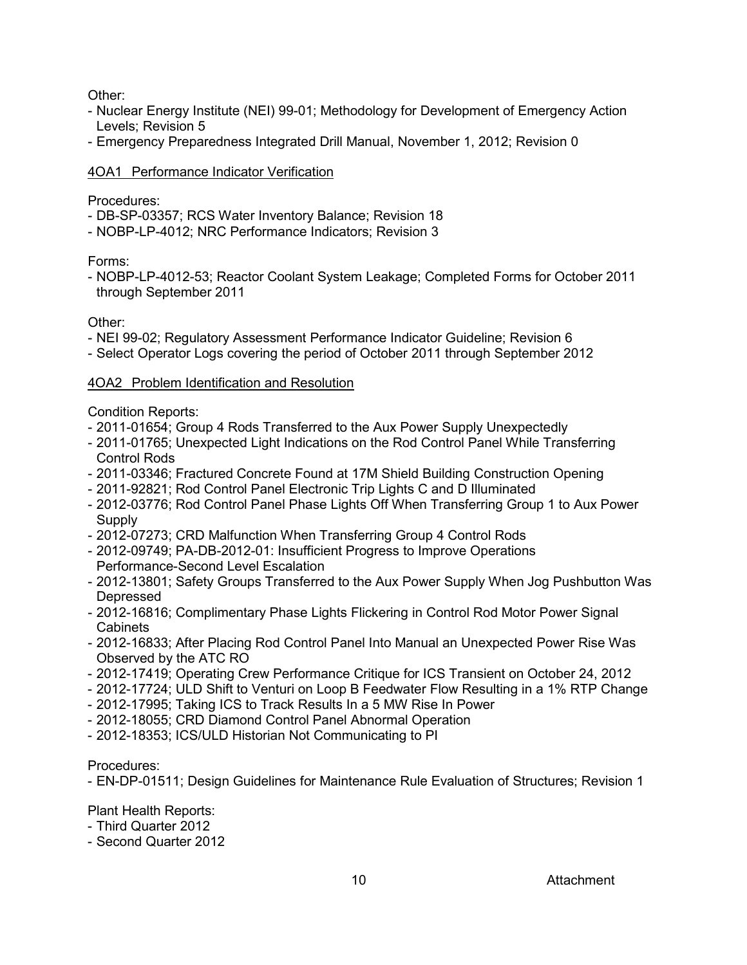Other:

- Nuclear Energy Institute (NEI) 99-01; Methodology for Development of Emergency Action Levels; Revision 5
- Emergency Preparedness Integrated Drill Manual, November 1, 2012; Revision 0

# 4OA1 Performance Indicator Verification

Procedures:

- DB-SP-03357; RCS Water Inventory Balance; Revision 18
- NOBP-LP-4012; NRC Performance Indicators; Revision 3

Forms:

- NOBP-LP-4012-53; Reactor Coolant System Leakage; Completed Forms for October 2011 through September 2011

Other:

- NEI 99-02; Regulatory Assessment Performance Indicator Guideline; Revision 6
- Select Operator Logs covering the period of October 2011 through September 2012

# 4OA2 Problem Identification and Resolution

Condition Reports:

- 2011-01654; Group 4 Rods Transferred to the Aux Power Supply Unexpectedly
- 2011-01765; Unexpected Light Indications on the Rod Control Panel While Transferring Control Rods
- 2011-03346; Fractured Concrete Found at 17M Shield Building Construction Opening
- 2011-92821; Rod Control Panel Electronic Trip Lights C and D Illuminated
- 2012-03776; Rod Control Panel Phase Lights Off When Transferring Group 1 to Aux Power **Supply**
- 2012-07273; CRD Malfunction When Transferring Group 4 Control Rods
- 2012-09749; PA-DB-2012-01: Insufficient Progress to Improve Operations Performance-Second Level Escalation
- 2012-13801; Safety Groups Transferred to the Aux Power Supply When Jog Pushbutton Was Depressed
- 2012-16816; Complimentary Phase Lights Flickering in Control Rod Motor Power Signal Cabinets
- 2012-16833; After Placing Rod Control Panel Into Manual an Unexpected Power Rise Was Observed by the ATC RO
- 2012-17419; Operating Crew Performance Critique for ICS Transient on October 24, 2012
- 2012-17724; ULD Shift to Venturi on Loop B Feedwater Flow Resulting in a 1% RTP Change
- 2012-17995; Taking ICS to Track Results In a 5 MW Rise In Power
- 2012-18055; CRD Diamond Control Panel Abnormal Operation
- 2012-18353; ICS/ULD Historian Not Communicating to PI

# Procedures:

- EN-DP-01511; Design Guidelines for Maintenance Rule Evaluation of Structures; Revision 1

Plant Health Reports:

- Third Quarter 2012
- Second Quarter 2012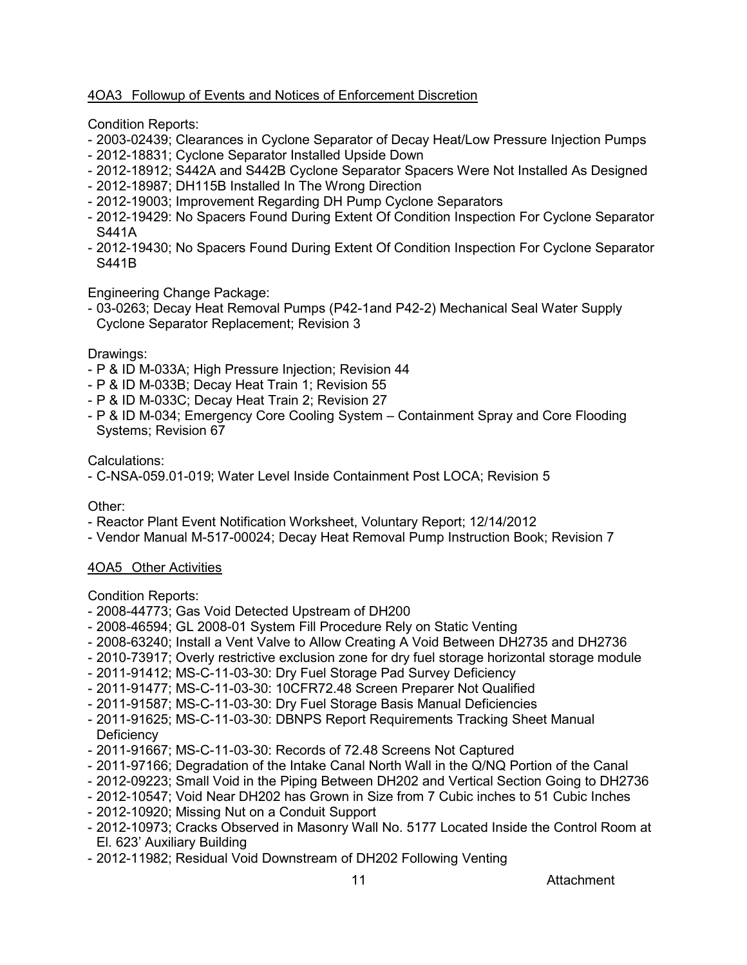# 4OA3 Followup of Events and Notices of Enforcement Discretion

Condition Reports:

- 2003-02439; Clearances in Cyclone Separator of Decay Heat/Low Pressure Injection Pumps
- 2012-18831; Cyclone Separator Installed Upside Down
- 2012-18912; S442A and S442B Cyclone Separator Spacers Were Not Installed As Designed
- 2012-18987; DH115B Installed In The Wrong Direction
- 2012-19003; Improvement Regarding DH Pump Cyclone Separators
- 2012-19429: No Spacers Found During Extent Of Condition Inspection For Cyclone Separator S441A
- 2012-19430; No Spacers Found During Extent Of Condition Inspection For Cyclone Separator S441B

Engineering Change Package:

- 03-0263; Decay Heat Removal Pumps (P42-1and P42-2) Mechanical Seal Water Supply Cyclone Separator Replacement; Revision 3

# Drawings:

- P & ID M-033A; High Pressure Injection; Revision 44
- P & ID M-033B; Decay Heat Train 1; Revision 55
- P & ID M-033C; Decay Heat Train 2; Revision 27
- P & ID M-034; Emergency Core Cooling System Containment Spray and Core Flooding Systems; Revision 67

Calculations:

- C-NSA-059.01-019; Water Level Inside Containment Post LOCA; Revision 5

# Other:

- Reactor Plant Event Notification Worksheet, Voluntary Report; 12/14/2012
- Vendor Manual M-517-00024; Decay Heat Removal Pump Instruction Book; Revision 7

# 4OA5 Other Activities

Condition Reports:

- 2008-44773; Gas Void Detected Upstream of DH200
- 2008-46594; GL 2008-01 System Fill Procedure Rely on Static Venting
- 2008-63240; Install a Vent Valve to Allow Creating A Void Between DH2735 and DH2736
- 2010-73917; Overly restrictive exclusion zone for dry fuel storage horizontal storage module
- 2011-91412; MS-C-11-03-30: Dry Fuel Storage Pad Survey Deficiency
- 2011-91477; MS-C-11-03-30: 10CFR72.48 Screen Preparer Not Qualified
- 2011-91587; MS-C-11-03-30: Dry Fuel Storage Basis Manual Deficiencies
- 2011-91625; MS-C-11-03-30: DBNPS Report Requirements Tracking Sheet Manual **Deficiency**
- 2011-91667; MS-C-11-03-30: Records of 72.48 Screens Not Captured
- 2011-97166; Degradation of the Intake Canal North Wall in the Q/NQ Portion of the Canal
- 2012-09223; Small Void in the Piping Between DH202 and Vertical Section Going to DH2736
- 2012-10547; Void Near DH202 has Grown in Size from 7 Cubic inches to 51 Cubic Inches
- 2012-10920; Missing Nut on a Conduit Support
- 2012-10973; Cracks Observed in Masonry Wall No. 5177 Located Inside the Control Room at El. 623' Auxiliary Building
- 2012-11982; Residual Void Downstream of DH202 Following Venting

11 **Attachment**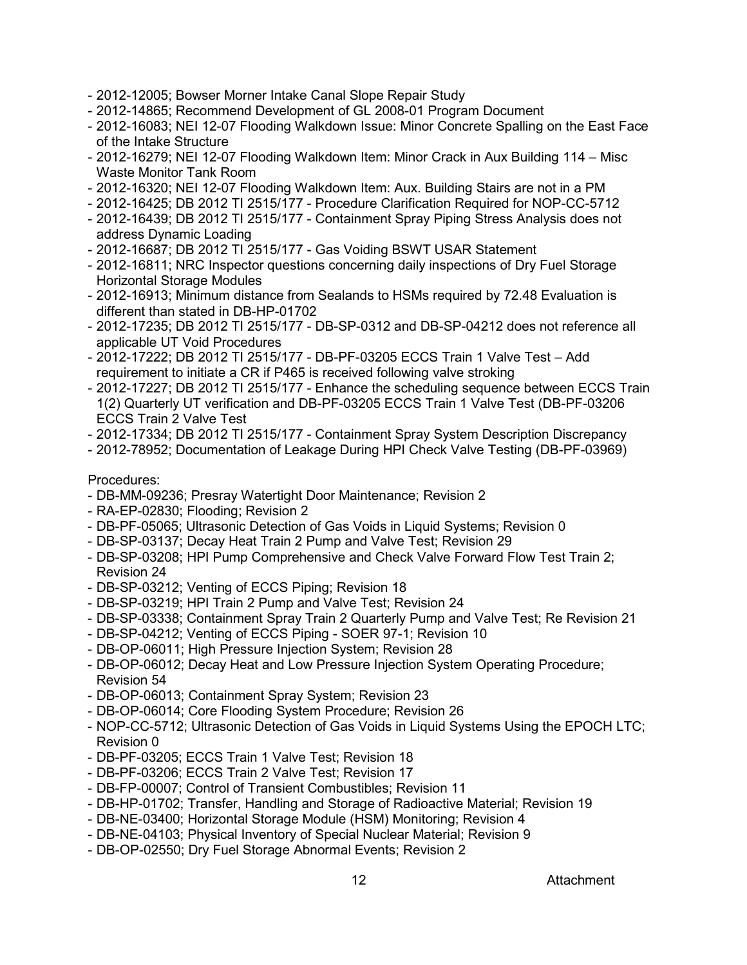- 2012-12005; Bowser Morner Intake Canal Slope Repair Study
- 2012-14865; Recommend Development of GL 2008-01 Program Document
- 2012-16083; NEI 12-07 Flooding Walkdown Issue: Minor Concrete Spalling on the East Face of the Intake Structure
- 2012-16279; NEI 12-07 Flooding Walkdown Item: Minor Crack in Aux Building 114 Misc Waste Monitor Tank Room
- 2012-16320; NEI 12-07 Flooding Walkdown Item: Aux. Building Stairs are not in a PM
- 2012-16425; DB 2012 TI 2515/177 Procedure Clarification Required for NOP-CC-5712
- 2012-16439; DB 2012 TI 2515/177 Containment Spray Piping Stress Analysis does not address Dynamic Loading
- 2012-16687; DB 2012 TI 2515/177 Gas Voiding BSWT USAR Statement
- 2012-16811; NRC Inspector questions concerning daily inspections of Dry Fuel Storage Horizontal Storage Modules
- 2012-16913; Minimum distance from Sealands to HSMs required by 72.48 Evaluation is different than stated in DB-HP-01702
- 2012-17235; DB 2012 TI 2515/177 DB-SP-0312 and DB-SP-04212 does not reference all applicable UT Void Procedures
- 2012-17222; DB 2012 TI 2515/177 DB-PF-03205 ECCS Train 1 Valve Test Add requirement to initiate a CR if P465 is received following valve stroking
- 2012-17227; DB 2012 TI 2515/177 Enhance the scheduling sequence between ECCS Train 1(2) Quarterly UT verification and DB-PF-03205 ECCS Train 1 Valve Test (DB-PF-03206 ECCS Train 2 Valve Test
- 2012-17334; DB 2012 TI 2515/177 Containment Spray System Description Discrepancy
- 2012-78952; Documentation of Leakage During HPI Check Valve Testing (DB-PF-03969)

#### Procedures:

- DB-MM-09236; Presray Watertight Door Maintenance; Revision 2
- RA-EP-02830; Flooding; Revision 2
- DB-PF-05065; Ultrasonic Detection of Gas Voids in Liquid Systems; Revision 0
- DB-SP-03137; Decay Heat Train 2 Pump and Valve Test; Revision 29
- DB-SP-03208; HPI Pump Comprehensive and Check Valve Forward Flow Test Train 2; Revision 24
- DB-SP-03212; Venting of ECCS Piping; Revision 18
- DB-SP-03219; HPI Train 2 Pump and Valve Test; Revision 24
- DB-SP-03338; Containment Spray Train 2 Quarterly Pump and Valve Test; Re Revision 21
- DB-SP-04212; Venting of ECCS Piping SOER 97-1; Revision 10
- DB-OP-06011; High Pressure Injection System; Revision 28
- DB-OP-06012; Decay Heat and Low Pressure Injection System Operating Procedure; Revision 54
- DB-OP-06013; Containment Spray System; Revision 23
- DB-OP-06014; Core Flooding System Procedure; Revision 26
- NOP-CC-5712; Ultrasonic Detection of Gas Voids in Liquid Systems Using the EPOCH LTC; Revision 0
- DB-PF-03205; ECCS Train 1 Valve Test; Revision 18
- DB-PF-03206; ECCS Train 2 Valve Test; Revision 17
- DB-FP-00007; Control of Transient Combustibles; Revision 11
- DB-HP-01702; Transfer, Handling and Storage of Radioactive Material; Revision 19
- DB-NE-03400; Horizontal Storage Module (HSM) Monitoring; Revision 4
- DB-NE-04103; Physical Inventory of Special Nuclear Material; Revision 9
- DB-OP-02550; Dry Fuel Storage Abnormal Events; Revision 2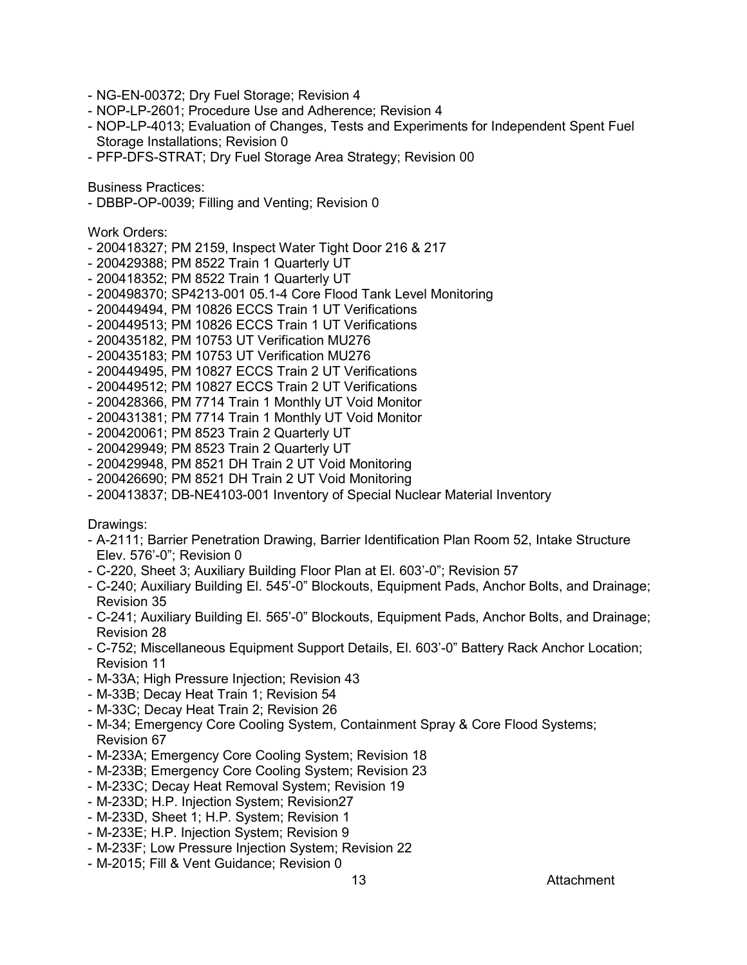- NG-EN-00372; Dry Fuel Storage; Revision 4
- NOP-LP-2601; Procedure Use and Adherence; Revision 4
- NOP-LP-4013; Evaluation of Changes, Tests and Experiments for Independent Spent Fuel Storage Installations; Revision 0
- PFP-DFS-STRAT; Dry Fuel Storage Area Strategy; Revision 00

Business Practices:

- DBBP-OP-0039; Filling and Venting; Revision 0

Work Orders:

- 200418327; PM 2159, Inspect Water Tight Door 216 & 217
- 200429388; PM 8522 Train 1 Quarterly UT
- 200418352; PM 8522 Train 1 Quarterly UT
- 200498370; SP4213-001 05.1-4 Core Flood Tank Level Monitoring
- 200449494, PM 10826 ECCS Train 1 UT Verifications
- 200449513; PM 10826 ECCS Train 1 UT Verifications
- 200435182, PM 10753 UT Verification MU276
- 200435183; PM 10753 UT Verification MU276
- 200449495, PM 10827 ECCS Train 2 UT Verifications
- 200449512; PM 10827 ECCS Train 2 UT Verifications
- 200428366, PM 7714 Train 1 Monthly UT Void Monitor
- 200431381; PM 7714 Train 1 Monthly UT Void Monitor
- 200420061; PM 8523 Train 2 Quarterly UT
- 200429949; PM 8523 Train 2 Quarterly UT
- 200429948, PM 8521 DH Train 2 UT Void Monitoring
- 200426690; PM 8521 DH Train 2 UT Void Monitoring
- 200413837; DB-NE4103-001 Inventory of Special Nuclear Material Inventory

#### Drawings:

- A-2111; Barrier Penetration Drawing, Barrier Identification Plan Room 52, Intake Structure Elev. 576'-0"; Revision 0
- C-220, Sheet 3; Auxiliary Building Floor Plan at El. 603'-0"; Revision 57
- C-240; Auxiliary Building El. 545'-0" Blockouts, Equipment Pads, Anchor Bolts, and Drainage; Revision 35
- C-241; Auxiliary Building El. 565'-0" Blockouts, Equipment Pads, Anchor Bolts, and Drainage; Revision 28
- C-752; Miscellaneous Equipment Support Details, El. 603'-0" Battery Rack Anchor Location; Revision 11
- M-33A; High Pressure Injection; Revision 43
- M-33B; Decay Heat Train 1; Revision 54
- M-33C; Decay Heat Train 2; Revision 26
- M-34; Emergency Core Cooling System, Containment Spray & Core Flood Systems; Revision 67
- M-233A; Emergency Core Cooling System; Revision 18
- M-233B; Emergency Core Cooling System; Revision 23
- M-233C; Decay Heat Removal System; Revision 19
- M-233D; H.P. Injection System; Revision27
- M-233D, Sheet 1; H.P. System; Revision 1
- M-233E; H.P. Injection System; Revision 9
- M-233F; Low Pressure Injection System; Revision 22
- M-2015; Fill & Vent Guidance; Revision 0

#### 13 Attachment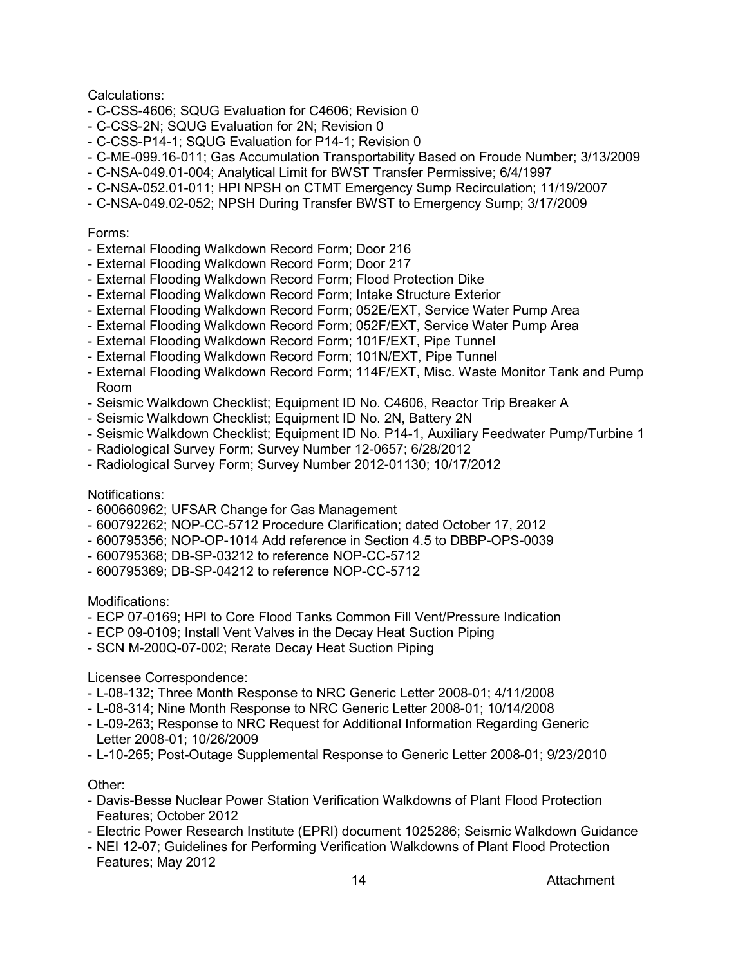Calculations:

- C-CSS-4606; SQUG Evaluation for C4606; Revision 0
- C-CSS-2N; SQUG Evaluation for 2N; Revision 0
- C-CSS-P14-1; SQUG Evaluation for P14-1; Revision 0
- C-ME-099.16-011; Gas Accumulation Transportability Based on Froude Number; 3/13/2009
- C-NSA-049.01-004; Analytical Limit for BWST Transfer Permissive; 6/4/1997
- C-NSA-052.01-011; HPI NPSH on CTMT Emergency Sump Recirculation; 11/19/2007
- C-NSA-049.02-052; NPSH During Transfer BWST to Emergency Sump; 3/17/2009

# Forms:

- External Flooding Walkdown Record Form; Door 216
- External Flooding Walkdown Record Form; Door 217
- External Flooding Walkdown Record Form; Flood Protection Dike
- External Flooding Walkdown Record Form; Intake Structure Exterior
- External Flooding Walkdown Record Form; 052E/EXT, Service Water Pump Area
- External Flooding Walkdown Record Form; 052F/EXT, Service Water Pump Area
- External Flooding Walkdown Record Form; 101F/EXT, Pipe Tunnel
- External Flooding Walkdown Record Form; 101N/EXT, Pipe Tunnel
- External Flooding Walkdown Record Form; 114F/EXT, Misc. Waste Monitor Tank and Pump Room
- Seismic Walkdown Checklist; Equipment ID No. C4606, Reactor Trip Breaker A
- Seismic Walkdown Checklist; Equipment ID No. 2N, Battery 2N
- Seismic Walkdown Checklist; Equipment ID No. P14-1, Auxiliary Feedwater Pump/Turbine 1
- Radiological Survey Form; Survey Number 12-0657; 6/28/2012
- Radiological Survey Form; Survey Number 2012-01130; 10/17/2012

# Notifications:

- 600660962; UFSAR Change for Gas Management
- 600792262; NOP-CC-5712 Procedure Clarification; dated October 17, 2012
- 600795356; NOP-OP-1014 Add reference in Section 4.5 to DBBP-OPS-0039
- 600795368; DB-SP-03212 to reference NOP-CC-5712
- 600795369; DB-SP-04212 to reference NOP-CC-5712

Modifications:

- ECP 07-0169; HPI to Core Flood Tanks Common Fill Vent/Pressure Indication
- ECP 09-0109; Install Vent Valves in the Decay Heat Suction Piping
- SCN M-200Q-07-002; Rerate Decay Heat Suction Piping

# Licensee Correspondence:

- L-08-132; Three Month Response to NRC Generic Letter 2008-01; 4/11/2008
- L-08-314; Nine Month Response to NRC Generic Letter 2008-01; 10/14/2008
- L-09-263; Response to NRC Request for Additional Information Regarding Generic Letter 2008-01; 10/26/2009
- L-10-265; Post-Outage Supplemental Response to Generic Letter 2008-01; 9/23/2010

# Other:

- Davis-Besse Nuclear Power Station Verification Walkdowns of Plant Flood Protection Features; October 2012
- Electric Power Research Institute (EPRI) document 1025286; Seismic Walkdown Guidance
- NEI 12-07; Guidelines for Performing Verification Walkdowns of Plant Flood Protection Features; May 2012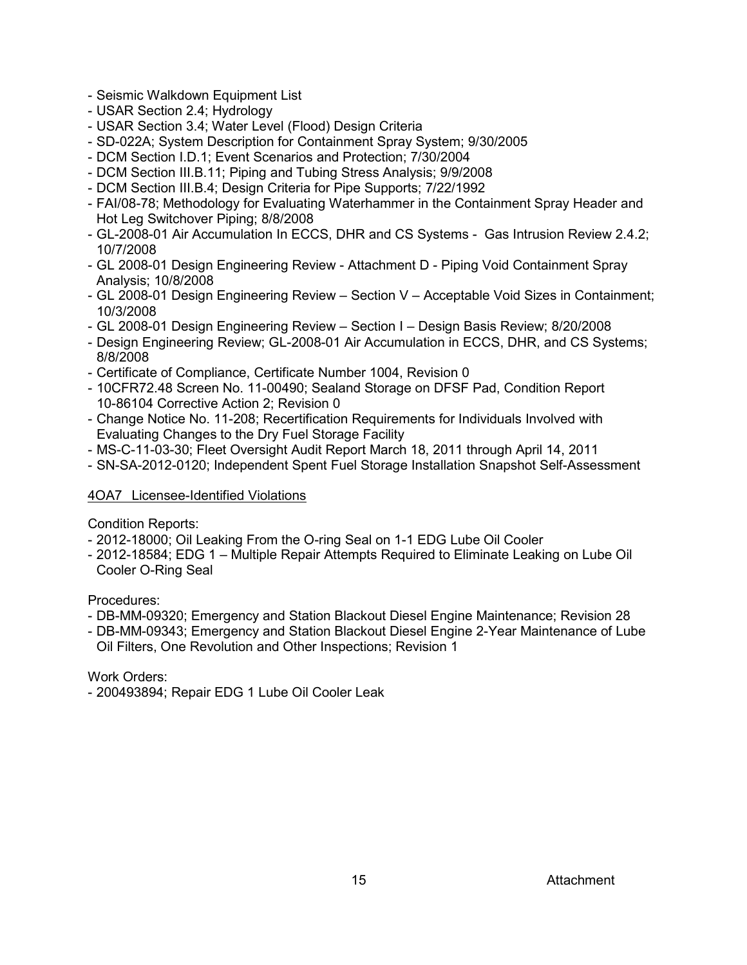- Seismic Walkdown Equipment List
- USAR Section 2.4; Hydrology
- USAR Section 3.4; Water Level (Flood) Design Criteria
- SD-022A; System Description for Containment Spray System; 9/30/2005
- DCM Section I.D.1; Event Scenarios and Protection; 7/30/2004
- DCM Section III.B.11; Piping and Tubing Stress Analysis; 9/9/2008
- DCM Section III.B.4; Design Criteria for Pipe Supports; 7/22/1992
- FAI/08-78; Methodology for Evaluating Waterhammer in the Containment Spray Header and Hot Leg Switchover Piping; 8/8/2008
- GL-2008-01 Air Accumulation In ECCS, DHR and CS Systems Gas Intrusion Review 2.4.2; 10/7/2008
- GL 2008-01 Design Engineering Review Attachment D Piping Void Containment Spray Analysis; 10/8/2008
- GL 2008-01 Design Engineering Review Section V Acceptable Void Sizes in Containment; 10/3/2008
- GL 2008-01 Design Engineering Review Section I Design Basis Review; 8/20/2008
- Design Engineering Review; GL-2008-01 Air Accumulation in ECCS, DHR, and CS Systems; 8/8/2008
- Certificate of Compliance, Certificate Number 1004, Revision 0
- 10CFR72.48 Screen No. 11-00490; Sealand Storage on DFSF Pad, Condition Report 10-86104 Corrective Action 2; Revision 0
- Change Notice No. 11-208; Recertification Requirements for Individuals Involved with Evaluating Changes to the Dry Fuel Storage Facility
- MS-C-11-03-30; Fleet Oversight Audit Report March 18, 2011 through April 14, 2011
- SN-SA-2012-0120; Independent Spent Fuel Storage Installation Snapshot Self-Assessment

# 4OA7 Licensee-Identified Violations

Condition Reports:

- 2012-18000; Oil Leaking From the O-ring Seal on 1-1 EDG Lube Oil Cooler
- 2012-18584; EDG 1 Multiple Repair Attempts Required to Eliminate Leaking on Lube Oil Cooler O-Ring Seal

Procedures:

- DB-MM-09320; Emergency and Station Blackout Diesel Engine Maintenance; Revision 28
- DB-MM-09343; Emergency and Station Blackout Diesel Engine 2-Year Maintenance of Lube Oil Filters, One Revolution and Other Inspections; Revision 1

Work Orders:

- 200493894; Repair EDG 1 Lube Oil Cooler Leak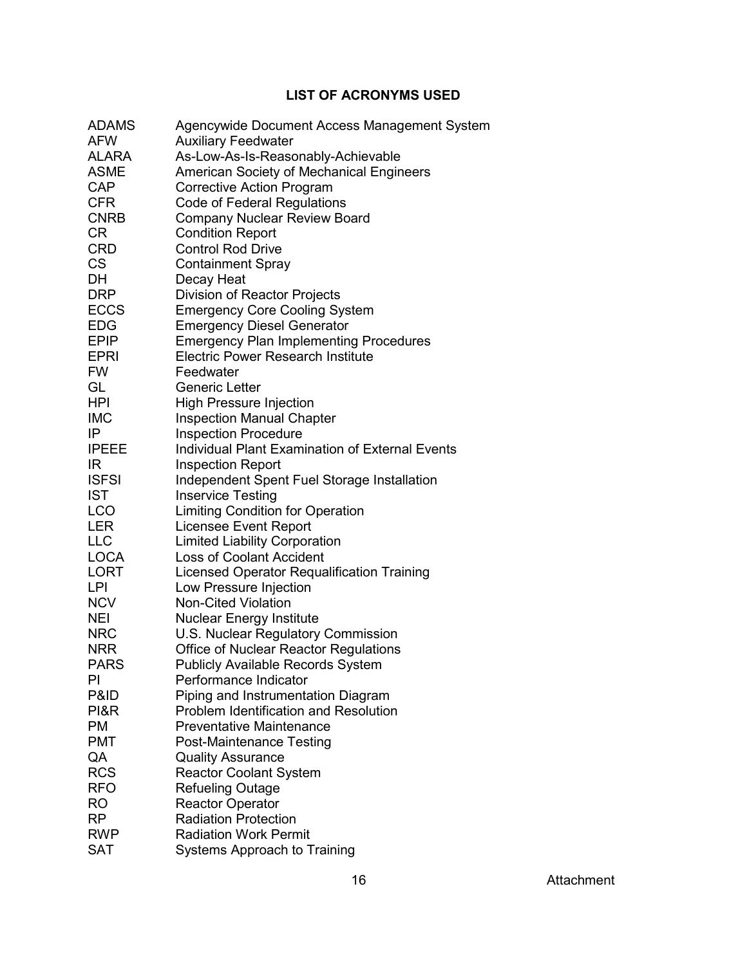# **LIST OF ACRONYMS USED**

<span id="page-57-0"></span>

| <b>ADAMS</b> | Agencywide Document Access Management System           |
|--------------|--------------------------------------------------------|
| AFW          | <b>Auxiliary Feedwater</b>                             |
| ALARA        | As-Low-As-Is-Reasonably-Achievable                     |
| <b>ASME</b>  | American Society of Mechanical Engineers               |
| <b>CAP</b>   | <b>Corrective Action Program</b>                       |
| <b>CFR</b>   | Code of Federal Regulations                            |
| <b>CNRB</b>  | Company Nuclear Review Board                           |
| <b>CR</b>    | <b>Condition Report</b>                                |
| <b>CRD</b>   | <b>Control Rod Drive</b>                               |
| <b>CS</b>    | <b>Containment Spray</b>                               |
| DH           | Decay Heat                                             |
| <b>DRP</b>   | Division of Reactor Projects                           |
| ECCS         | <b>Emergency Core Cooling System</b>                   |
| EDG          | <b>Emergency Diesel Generator</b>                      |
| <b>EPIP</b>  | <b>Emergency Plan Implementing Procedures</b>          |
| <b>EPRI</b>  | <b>Electric Power Research Institute</b>               |
| <b>FW</b>    | Feedwater                                              |
| GL           | <b>Generic Letter</b>                                  |
| <b>HPI</b>   | <b>High Pressure Injection</b>                         |
| <b>IMC</b>   | <b>Inspection Manual Chapter</b>                       |
| IP           | <b>Inspection Procedure</b>                            |
| <b>IPEEE</b> | <b>Individual Plant Examination of External Events</b> |
| IR.          | <b>Inspection Report</b>                               |
| <b>ISFSI</b> | Independent Spent Fuel Storage Installation            |
| <b>IST</b>   | <b>Inservice Testing</b>                               |
| LCO          | <b>Limiting Condition for Operation</b>                |
| <b>LER</b>   | <b>Licensee Event Report</b>                           |
| <b>LLC</b>   | <b>Limited Liability Corporation</b>                   |
| <b>LOCA</b>  | <b>Loss of Coolant Accident</b>                        |
| <b>LORT</b>  | Licensed Operator Requalification Training             |
| LPI          | Low Pressure Injection                                 |
| <b>NCV</b>   | Non-Cited Violation                                    |
| <b>NEI</b>   | <b>Nuclear Energy Institute</b>                        |
| <b>NRC</b>   | U.S. Nuclear Regulatory Commission                     |
| <b>NRR</b>   | <b>Office of Nuclear Reactor Regulations</b>           |
| <b>PARS</b>  | <b>Publicly Available Records System</b>               |
| PI           | Performance Indicator                                  |
| P&ID         | Piping and Instrumentation Diagram                     |
| PI&R         | <b>Problem Identification and Resolution</b>           |
| <b>PM</b>    | <b>Preventative Maintenance</b>                        |
| <b>PMT</b>   | <b>Post-Maintenance Testing</b>                        |
| QA           | <b>Quality Assurance</b>                               |
| <b>RCS</b>   | <b>Reactor Coolant System</b>                          |
| <b>RFO</b>   | <b>Refueling Outage</b>                                |
| <b>RO</b>    | <b>Reactor Operator</b>                                |
| RP           | <b>Radiation Protection</b>                            |
| RWP          | <b>Radiation Work Permit</b>                           |
| SAT          | Systems Approach to Training                           |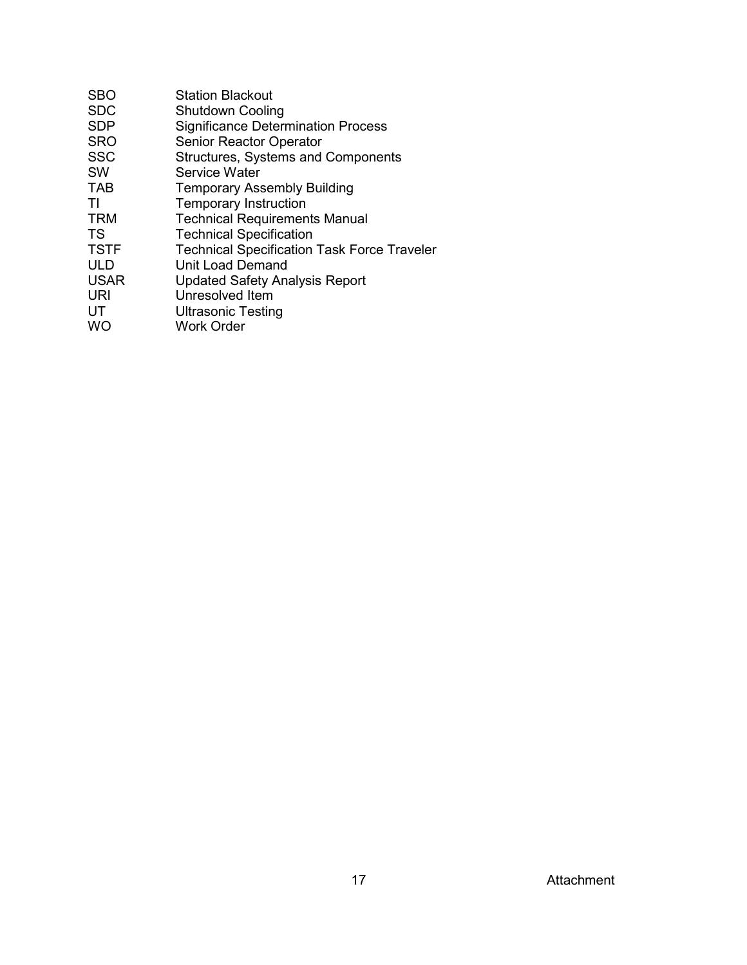| <b>Station Blackout</b>                            |
|----------------------------------------------------|
| <b>Shutdown Cooling</b>                            |
| <b>Significance Determination Process</b>          |
| <b>Senior Reactor Operator</b>                     |
| <b>Structures, Systems and Components</b>          |
| Service Water                                      |
| <b>Temporary Assembly Building</b>                 |
| <b>Temporary Instruction</b>                       |
| <b>Technical Requirements Manual</b>               |
| <b>Technical Specification</b>                     |
| <b>Technical Specification Task Force Traveler</b> |
| <b>Unit Load Demand</b>                            |
| <b>Updated Safety Analysis Report</b>              |
| Unresolved Item                                    |
| <b>Ultrasonic Testing</b>                          |
| <b>Work Order</b>                                  |
|                                                    |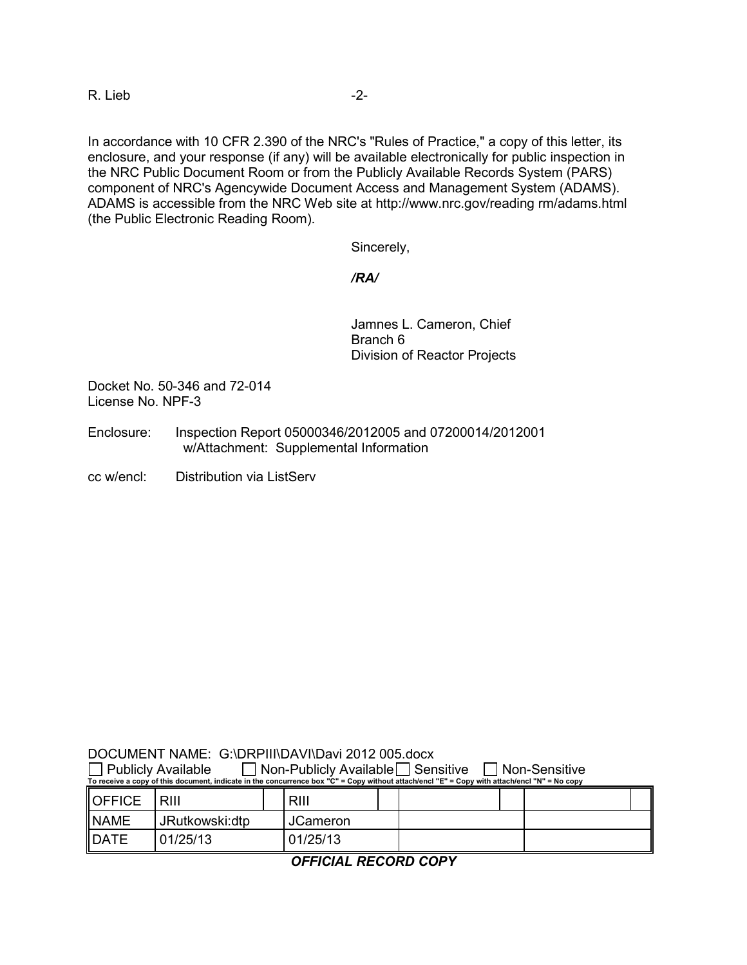R. Lieb -2-

In accordance with 10 CFR 2.390 of the NRC's "Rules of Practice," a copy of this letter, its enclosure, and your response (if any) will be available electronically for public inspection in the NRC Public Document Room or from the Publicly Available Records System (PARS) component of NRC's Agencywide Document Access and Management System (ADAMS). ADAMS is accessible from the NRC Web site at http://www.nrc.gov/reading rm/adams.html (the Public Electronic Reading Room).

Sincerely,

*/RA/*

Jamnes L. Cameron, Chief Branch 6 Division of Reactor Projects

Docket No. 50-346 and 72-014 License No. NPF-3

- Enclosure: Inspection Report 05000346/2012005 and 07200014/2012001 w/Attachment: Supplemental Information
- cc w/encl: Distribution via ListServ

| DOCUMENT NAME: G:\DRPIII\DAVI\Davi 2012 005.docx |  |
|--------------------------------------------------|--|
|                                                  |  |

| <b>Publicly Available</b><br>Non-Publicly Available   Sensitive<br>⊦Non-Sensitive<br>To receive a copy of this document, indicate in the concurrence box "C" = Copy without attach/encl "E" = Copy with attach/encl "N" = No copy |                 |                 |  |  |  |  |
|-----------------------------------------------------------------------------------------------------------------------------------------------------------------------------------------------------------------------------------|-----------------|-----------------|--|--|--|--|
| <b>OFFICE</b>                                                                                                                                                                                                                     | RIII            | RIII            |  |  |  |  |
| <b>INAME</b>                                                                                                                                                                                                                      | JRutkowski: dtp | <b>JCameron</b> |  |  |  |  |
| <b>IDATE</b>                                                                                                                                                                                                                      | 01/25/13        | 01/25/13        |  |  |  |  |

*OFFICIAL RECORD COPY*